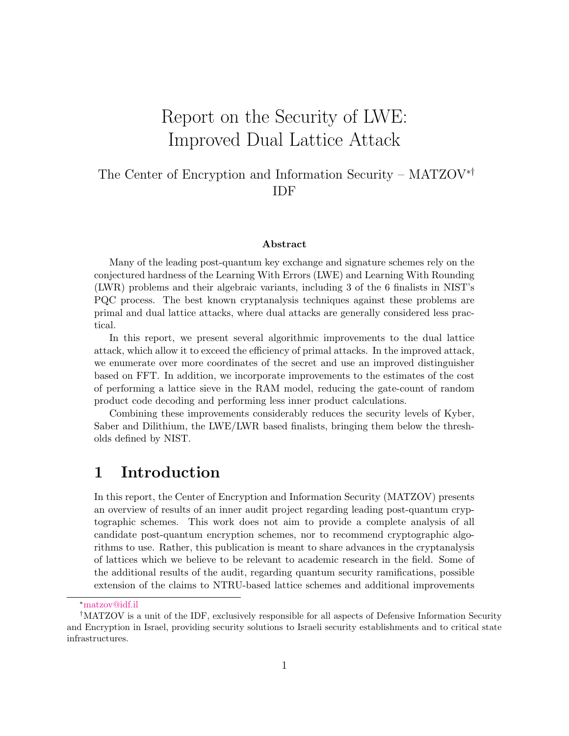# Report on the Security of LWE: Improved Dual Lattice Attack

## The Center of Encryption and Information Security – MATZOV∗† IDF

#### Abstract

Many of the leading post-quantum key exchange and signature schemes rely on the conjectured hardness of the Learning With Errors (LWE) and Learning With Rounding (LWR) problems and their algebraic variants, including 3 of the 6 finalists in NIST's PQC process. The best known cryptanalysis techniques against these problems are primal and dual lattice attacks, where dual attacks are generally considered less practical.

In this report, we present several algorithmic improvements to the dual lattice attack, which allow it to exceed the efficiency of primal attacks. In the improved attack, we enumerate over more coordinates of the secret and use an improved distinguisher based on FFT. In addition, we incorporate improvements to the estimates of the cost of performing a lattice sieve in the RAM model, reducing the gate-count of random product code decoding and performing less inner product calculations.

Combining these improvements considerably reduces the security levels of Kyber, Saber and Dilithium, the LWE/LWR based finalists, bringing them below the thresholds defined by NIST.

# 1 Introduction

In this report, the Center of Encryption and Information Security (MATZOV) presents an overview of results of an inner audit project regarding leading post-quantum cryptographic schemes. This work does not aim to provide a complete analysis of all candidate post-quantum encryption schemes, nor to recommend cryptographic algorithms to use. Rather, this publication is meant to share advances in the cryptanalysis of lattices which we believe to be relevant to academic research in the field. Some of the additional results of the audit, regarding quantum security ramifications, possible extension of the claims to NTRU-based lattice schemes and additional improvements

<sup>∗</sup>[matzov@idf.il](mailto:matzov@idf.il)

<sup>†</sup>MATZOV is a unit of the IDF, exclusively responsible for all aspects of Defensive Information Security and Encryption in Israel, providing security solutions to Israeli security establishments and to critical state infrastructures.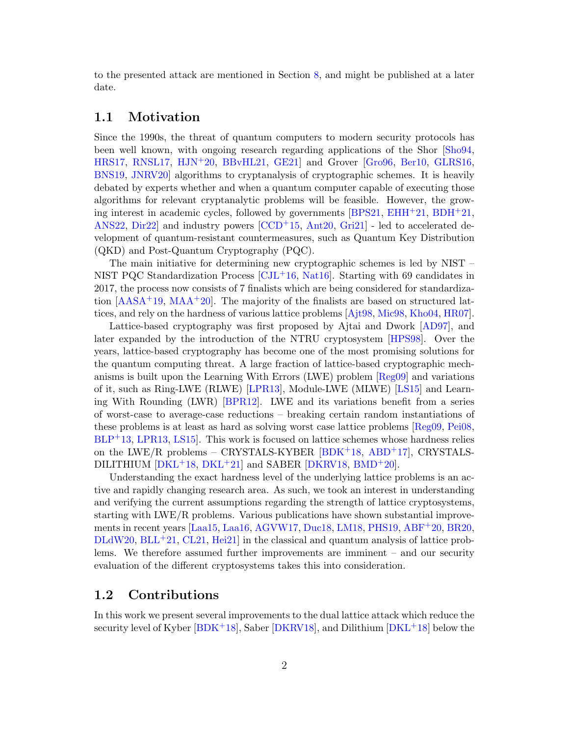to the presented attack are mentioned in Section [8,](#page-41-0) and might be published at a later date.

## <span id="page-1-0"></span>1.1 Motivation

Since the 1990s, the threat of quantum computers to modern security protocols has been well known, with ongoing research regarding applications of the Shor [\[Sho94,](#page-52-0) [HRS17,](#page-50-0) [RNSL17,](#page-52-1) [HJN](#page-50-1)+20, [BBvHL21,](#page-46-0) [GE21\]](#page-49-0) and Grover [\[Gro96,](#page-49-1) [Ber10,](#page-46-1) [GLRS16,](#page-49-2) [BNS19,](#page-47-0) [JNRV20\]](#page-50-2) algorithms to cryptanalysis of cryptographic schemes. It is heavily debated by experts whether and when a quantum computer capable of executing those algorithms for relevant cryptanalytic problems will be feasible. However, the growing interest in academic cycles, followed by governments [\[BPS21,](#page-47-1) [EHH](#page-49-3)+21, [BDH](#page-46-2)+21, [ANS22,](#page-45-0) [Dir22\]](#page-48-0) and industry powers [\[CCD](#page-47-2)+15, [Ant20,](#page-45-1) [Gri21\]](#page-49-4) - led to accelerated development of quantum-resistant countermeasures, such as Quantum Key Distribution (QKD) and Post-Quantum Cryptography (PQC).

The main initiative for determining new cryptographic schemes is led by NIST – NIST PQC Standardization Process  $\left[\text{CJL}^{+16}, \text{Nat16}\right]$ . Starting with 69 candidates in 2017, the process now consists of 7 finalists which are being considered for standardization  $[AASA<sup>+</sup>19, MAA<sup>+</sup>20]$  $[AASA<sup>+</sup>19, MAA<sup>+</sup>20]$  $[AASA<sup>+</sup>19, MAA<sup>+</sup>20]$  $[AASA<sup>+</sup>19, MAA<sup>+</sup>20]$ . The majority of the finalists are based on structured lattices, and rely on the hardness of various lattice problems [\[Ajt98,](#page-45-2) [Mic98,](#page-51-2) [Kho04,](#page-50-3) [HR07\]](#page-50-4).

Lattice-based cryptography was first proposed by Ajtai and Dwork [\[AD97\]](#page-45-3), and later expanded by the introduction of the NTRU cryptosystem [\[HPS98\]](#page-50-5). Over the years, lattice-based cryptography has become one of the most promising solutions for the quantum computing threat. A large fraction of lattice-based cryptographic mechanisms is built upon the Learning With Errors (LWE) problem [\[Reg09\]](#page-52-2) and variations of it, such as Ring-LWE (RLWE) [\[LPR13\]](#page-51-3), Module-LWE (MLWE) [\[LS15\]](#page-51-4) and Learning With Rounding (LWR) [\[BPR12\]](#page-47-4). LWE and its variations benefit from a series of worst-case to average-case reductions – breaking certain random instantiations of these problems is at least as hard as solving worst case lattice problems [\[Reg09,](#page-52-2) [Pei08,](#page-52-3)  $BLP<sup>+</sup>13, LPR13, LS15$  $BLP<sup>+</sup>13, LPR13, LS15$  $BLP<sup>+</sup>13, LPR13, LS15$  $BLP<sup>+</sup>13, LPR13, LS15$ . This work is focused on lattice schemes whose hardness relies on the LWE/R problems – CRYSTALS-KYBER [\[BDK](#page-46-4)+18, [ABD](#page-44-1)+17], CRYSTALS-DILITHIUM  $[DKL+18, DKL+21]$  $[DKL+18, DKL+21]$  $[DKL+18, DKL+21]$  $[DKL+18, DKL+21]$  and SABER  $[DKRV18, BMD+20]$  $[DKRV18, BMD+20]$  $[DKRV18, BMD+20]$  $[DKRV18, BMD+20]$ .

Understanding the exact hardness level of the underlying lattice problems is an active and rapidly changing research area. As such, we took an interest in understanding and verifying the current assumptions regarding the strength of lattice cryptosystems, starting with LWE/R problems. Various publications have shown substantial improvements in recent years [\[Laa15,](#page-51-5) [Laa16,](#page-51-6) [AGVW17,](#page-45-4) [Duc18,](#page-49-5) [LM18,](#page-51-7) [PHS19,](#page-52-4) [ABF](#page-44-2)+20, [BR20,](#page-47-5)  $DLdW20$ ,  $BLL+21$  $BLL+21$ ,  $CL21$ ,  $Hei21$  in the classical and quantum analysis of lattice problems. We therefore assumed further improvements are imminent – and our security evaluation of the different cryptosystems takes this into consideration.

#### <span id="page-1-1"></span>1.2 Contributions

In this work we present several improvements to the dual lattice attack which reduce the security level of Kyber  $[BDK+18]$  $[BDK+18]$ , Saber  $[DKRV18]$ , and Dilithium  $[DKL+18]$  $[DKL+18]$  below the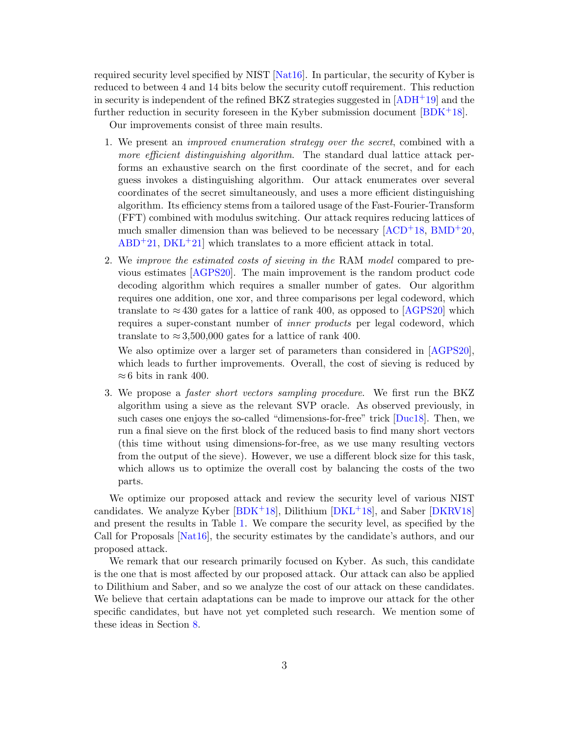required security level specified by NIST [\[Nat16\]](#page-51-0). In particular, the security of Kyber is reduced to between 4 and 14 bits below the security cutoff requirement. This reduction in security is independent of the refined BKZ strategies suggested in  $[ADH^+19]$  $[ADH^+19]$  and the further reduction in security foreseen in the Kyber submission document  $[**BDK**<sup>+</sup>**18**].$ 

Our improvements consist of three main results.

- <span id="page-2-0"></span>1. We present an improved enumeration strategy over the secret, combined with a more efficient distinguishing algorithm. The standard dual lattice attack performs an exhaustive search on the first coordinate of the secret, and for each guess invokes a distinguishing algorithm. Our attack enumerates over several coordinates of the secret simultaneously, and uses a more efficient distinguishing algorithm. Its efficiency stems from a tailored usage of the Fast-Fourier-Transform (FFT) combined with modulus switching. Our attack requires reducing lattices of much smaller dimension than was believed to be necessary  $[ACD<sup>+</sup>18, BMD<sup>+</sup>20,$  $[ACD<sup>+</sup>18, BMD<sup>+</sup>20,$  $[ACD<sup>+</sup>18, BMD<sup>+</sup>20,$  $[ACD<sup>+</sup>18, BMD<sup>+</sup>20,$  $ABD+21$  $ABD+21$ ,  $DKL+21$  $DKL+21$  which translates to a more efficient attack in total.
- <span id="page-2-1"></span>2. We improve the estimated costs of sieving in the RAM model compared to previous estimates [\[AGPS20\]](#page-45-6). The main improvement is the random product code decoding algorithm which requires a smaller number of gates. Our algorithm requires one addition, one xor, and three comparisons per legal codeword, which translate to  $\approx 430$  gates for a lattice of rank 400, as opposed to [\[AGPS20\]](#page-45-6) which requires a super-constant number of inner products per legal codeword, which translate to  $\approx 3,500,000$  gates for a lattice of rank 400.

We also optimize over a larger set of parameters than considered in [\[AGPS20\]](#page-45-6), which leads to further improvements. Overall, the cost of sieving is reduced by  $\approx 6$  bits in rank 400.

<span id="page-2-2"></span>3. We propose a faster short vectors sampling procedure. We first run the BKZ algorithm using a sieve as the relevant SVP oracle. As observed previously, in such cases one enjoys the so-called "dimensions-for-free" trick [\[Duc18\]](#page-49-5). Then, we run a final sieve on the first block of the reduced basis to find many short vectors (this time without using dimensions-for-free, as we use many resulting vectors from the output of the sieve). However, we use a different block size for this task, which allows us to optimize the overall cost by balancing the costs of the two parts.

We optimize our proposed attack and review the security level of various NIST candidates. We analyze Kyber [\[BDK](#page-46-4)+18], Dilithium [\[DKL](#page-48-1)+18], and Saber [\[DKRV18\]](#page-48-3) and present the results in Table [1.](#page-3-0) We compare the security level, as specified by the Call for Proposals [\[Nat16\]](#page-51-0), the security estimates by the candidate's authors, and our proposed attack.

We remark that our research primarily focused on Kyber. As such, this candidate is the one that is most affected by our proposed attack. Our attack can also be applied to Dilithium and Saber, and so we analyze the cost of our attack on these candidates. We believe that certain adaptations can be made to improve our attack for the other specific candidates, but have not yet completed such research. We mention some of these ideas in Section [8.](#page-41-0)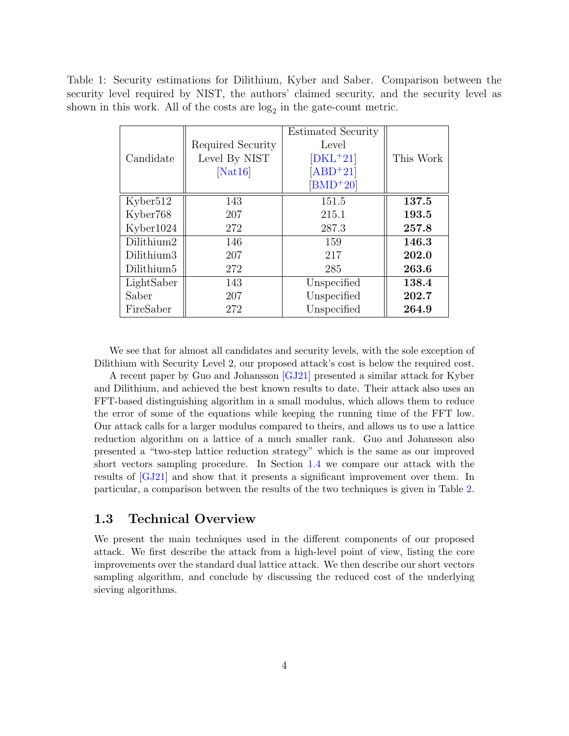<span id="page-3-0"></span>Table 1: Security estimations for Dilithium, Kyber and Saber. Comparison between the security level required by NIST, the authors' claimed security, and the security level as shown in this work. All of the costs are  $log<sub>2</sub>$  in the gate-count metric.

| Candidate              | Required Security<br>Level By NIST<br>[Nat16] | <b>Estimated Security</b><br>Level<br>$[DKL+21]$<br>$[ABD+21]$ | This Work |
|------------------------|-----------------------------------------------|----------------------------------------------------------------|-----------|
|                        |                                               | $[BMD+20]$                                                     |           |
| Kyber <sub>512</sub>   | 143                                           | 151.5                                                          | 137.5     |
| Kyber768               | 207                                           | 215.1                                                          | 193.5     |
| Kyber1024              | 272                                           | 287.3                                                          | 257.8     |
| Dilithium2             | 146                                           | 159                                                            | 146.3     |
| Dilithium3             | 207                                           | 217                                                            | 202.0     |
| Dilithium <sub>5</sub> | 272                                           | 285                                                            | 263.6     |
| LightSaber             | 143                                           | Unspecified                                                    | 138.4     |
| Saber                  | 207                                           | Unspecified                                                    | 202.7     |
| FireSaber              | 272                                           | Unspecified                                                    | 264.9     |

We see that for almost all candidates and security levels, with the sole exception of Dilithium with Security Level 2, our proposed attack's cost is below the required cost.

A recent paper by Guo and Johansson [\[GJ21\]](#page-49-6) presented a similar attack for Kyber and Dilithium, and achieved the best known results to date. Their attack also uses an FFT-based distinguishing algorithm in a small modulus, which allows them to reduce the error of some of the equations while keeping the running time of the FFT low. Our attack calls for a larger modulus compared to theirs, and allows us to use a lattice reduction algorithm on a lattice of a much smaller rank. Guo and Johansson also presented a "two-step lattice reduction strategy" which is the same as our improved short vectors sampling procedure. In Section [1.4](#page-5-0) we compare our attack with the results of [\[GJ21\]](#page-49-6) and show that it presents a significant improvement over them. In particular, a comparison between the results of the two techniques is given in Table [2.](#page-6-0)

## <span id="page-3-1"></span>1.3 Technical Overview

We present the main techniques used in the different components of our proposed attack. We first describe the attack from a high-level point of view, listing the core improvements over the standard dual lattice attack. We then describe our short vectors sampling algorithm, and conclude by discussing the reduced cost of the underlying sieving algorithms.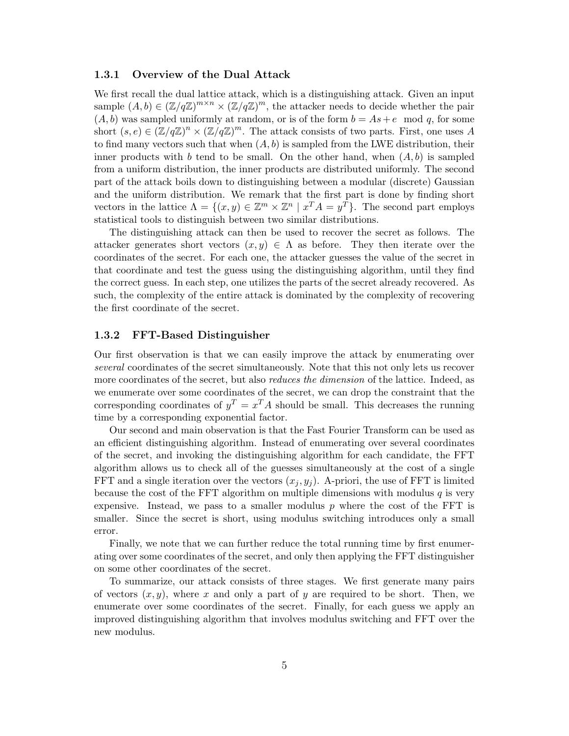#### 1.3.1 Overview of the Dual Attack

We first recall the dual lattice attack, which is a distinguishing attack. Given an input sample  $(A, b) \in (\mathbb{Z}/q\mathbb{Z})^{m \times n} \times (\mathbb{Z}/q\mathbb{Z})^m$ , the attacker needs to decide whether the pair  $(A, b)$  was sampled uniformly at random, or is of the form  $b = As + e \mod q$ , for some short  $(s, e) \in (\mathbb{Z}/q\mathbb{Z})^n \times (\mathbb{Z}/q\mathbb{Z})^m$ . The attack consists of two parts. First, one uses A to find many vectors such that when  $(A, b)$  is sampled from the LWE distribution, their inner products with b tend to be small. On the other hand, when  $(A, b)$  is sampled from a uniform distribution, the inner products are distributed uniformly. The second part of the attack boils down to distinguishing between a modular (discrete) Gaussian and the uniform distribution. We remark that the first part is done by finding short vectors in the lattice  $\Lambda = \{(x, y) \in \mathbb{Z}^m \times \mathbb{Z}^n \mid x^T A = y^T\}$ . The second part employs statistical tools to distinguish between two similar distributions.

The distinguishing attack can then be used to recover the secret as follows. The attacker generates short vectors  $(x, y) \in \Lambda$  as before. They then iterate over the coordinates of the secret. For each one, the attacker guesses the value of the secret in that coordinate and test the guess using the distinguishing algorithm, until they find the correct guess. In each step, one utilizes the parts of the secret already recovered. As such, the complexity of the entire attack is dominated by the complexity of recovering the first coordinate of the secret.

#### 1.3.2 FFT-Based Distinguisher

Our first observation is that we can easily improve the attack by enumerating over several coordinates of the secret simultaneously. Note that this not only lets us recover more coordinates of the secret, but also *reduces the dimension* of the lattice. Indeed, as we enumerate over some coordinates of the secret, we can drop the constraint that the corresponding coordinates of  $y^T = x^T A$  should be small. This decreases the running time by a corresponding exponential factor.

Our second and main observation is that the Fast Fourier Transform can be used as an efficient distinguishing algorithm. Instead of enumerating over several coordinates of the secret, and invoking the distinguishing algorithm for each candidate, the FFT algorithm allows us to check all of the guesses simultaneously at the cost of a single FFT and a single iteration over the vectors  $(x_i, y_j)$ . A-priori, the use of FFT is limited because the cost of the FFT algorithm on multiple dimensions with modulus  $q$  is very expensive. Instead, we pass to a smaller modulus  $p$  where the cost of the FFT is smaller. Since the secret is short, using modulus switching introduces only a small error.

Finally, we note that we can further reduce the total running time by first enumerating over some coordinates of the secret, and only then applying the FFT distinguisher on some other coordinates of the secret.

To summarize, our attack consists of three stages. We first generate many pairs of vectors  $(x, y)$ , where x and only a part of y are required to be short. Then, we enumerate over some coordinates of the secret. Finally, for each guess we apply an improved distinguishing algorithm that involves modulus switching and FFT over the new modulus.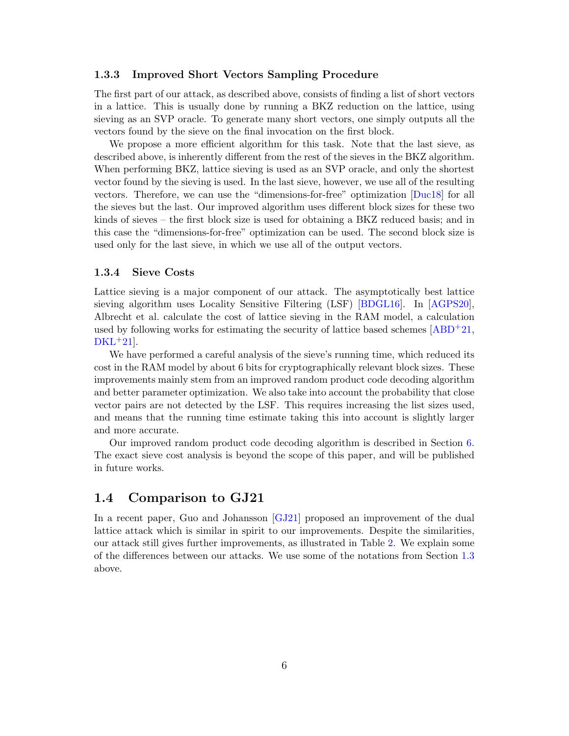#### <span id="page-5-2"></span>1.3.3 Improved Short Vectors Sampling Procedure

The first part of our attack, as described above, consists of finding a list of short vectors in a lattice. This is usually done by running a BKZ reduction on the lattice, using sieving as an SVP oracle. To generate many short vectors, one simply outputs all the vectors found by the sieve on the final invocation on the first block.

We propose a more efficient algorithm for this task. Note that the last sieve, as described above, is inherently different from the rest of the sieves in the BKZ algorithm. When performing BKZ, lattice sieving is used as an SVP oracle, and only the shortest vector found by the sieving is used. In the last sieve, however, we use all of the resulting vectors. Therefore, we can use the "dimensions-for-free" optimization [\[Duc18\]](#page-49-5) for all the sieves but the last. Our improved algorithm uses different block sizes for these two kinds of sieves – the first block size is used for obtaining a BKZ reduced basis; and in this case the "dimensions-for-free" optimization can be used. The second block size is used only for the last sieve, in which we use all of the output vectors.

#### <span id="page-5-1"></span>1.3.4 Sieve Costs

Lattice sieving is a major component of our attack. The asymptotically best lattice sieving algorithm uses Locality Sensitive Filtering (LSF) [\[BDGL16\]](#page-46-7). In [\[AGPS20\]](#page-45-6), Albrecht et al. calculate the cost of lattice sieving in the RAM model, a calculation used by following works for estimating the security of lattice based schemes  $[ABD^+21,$  $[ABD^+21,$  $DKL+21$  $DKL+21$ .

We have performed a careful analysis of the sieve's running time, which reduced its cost in the RAM model by about 6 bits for cryptographically relevant block sizes. These improvements mainly stem from an improved random product code decoding algorithm and better parameter optimization. We also take into account the probability that close vector pairs are not detected by the LSF. This requires increasing the list sizes used, and means that the running time estimate taking this into account is slightly larger and more accurate.

Our improved random product code decoding algorithm is described in Section [6.](#page-31-0) The exact sieve cost analysis is beyond the scope of this paper, and will be published in future works.

#### <span id="page-5-0"></span>1.4 Comparison to GJ21

In a recent paper, Guo and Johansson [\[GJ21\]](#page-49-6) proposed an improvement of the dual lattice attack which is similar in spirit to our improvements. Despite the similarities, our attack still gives further improvements, as illustrated in Table [2.](#page-6-0) We explain some of the differences between our attacks. We use some of the notations from Section [1.3](#page-3-1) above.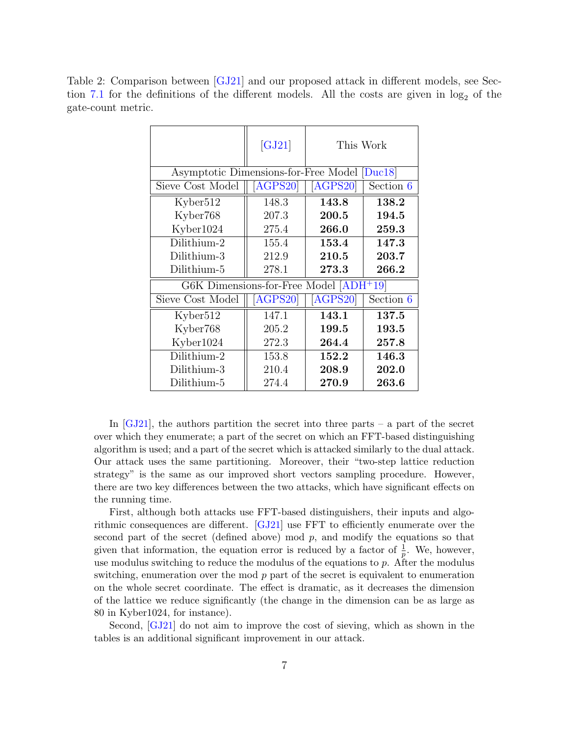<span id="page-6-0"></span>Table 2: Comparison between [\[GJ21\]](#page-49-6) and our proposed attack in different models, see Sec-tion [7.1](#page-35-0) for the definitions of the different models. All the costs are given in  $log_2$  of the gate-count metric.

|                                              | [GJ21]                     | This Work |           |
|----------------------------------------------|----------------------------|-----------|-----------|
| Asymptotic Dimensions-for-Free Model [Duc18] |                            |           |           |
| Sieve Cost Model                             | $\overline{\text{AGPS20}}$ | [AGPS20]  | Section 6 |
| Kyber <sub>512</sub>                         | 148.3                      | 143.8     | 138.2     |
| Kyber768                                     | 207.3                      | 200.5     | 194.5     |
| Kyber1024                                    | 275.4                      | 266.0     | 259.3     |
| Dilithium-2                                  | 155.4                      | 153.4     | 147.3     |
| Dilithium-3                                  | 212.9                      | 210.5     | 203.7     |
| Dilithium-5                                  | 278.1                      | 273.3     | 266.2     |
| G6K Dimensions-for-Free Model [ADH+19]       |                            |           |           |
| Sieve Cost Model                             | [AGPS20]                   | [AGPS20]  | Section 6 |
| Kyber512                                     | 147.1                      | 143.1     | 137.5     |
| Kyber768                                     | 205.2                      | 199.5     | 193.5     |
| Kyber1024                                    | 272.3                      | 264.4     | 257.8     |
| Dilithium-2                                  | 153.8                      | 152.2     | 146.3     |
| Dilithium-3                                  | 210.4                      | 208.9     | 202.0     |
| Dilithium-5                                  | 274.4                      | 270.9     | 263.6     |

In  $[GJ21]$ , the authors partition the secret into three parts – a part of the secret over which they enumerate; a part of the secret on which an FFT-based distinguishing algorithm is used; and a part of the secret which is attacked similarly to the dual attack. Our attack uses the same partitioning. Moreover, their "two-step lattice reduction strategy" is the same as our improved short vectors sampling procedure. However, there are two key differences between the two attacks, which have significant effects on the running time.

First, although both attacks use FFT-based distinguishers, their inputs and algorithmic consequences are different. [\[GJ21\]](#page-49-6) use FFT to efficiently enumerate over the second part of the secret (defined above) mod  $p$ , and modify the equations so that given that information, the equation error is reduced by a factor of  $\frac{1}{p}$ . We, however, use modulus switching to reduce the modulus of the equations to  $p$ . After the modulus switching, enumeration over the mod  $p$  part of the secret is equivalent to enumeration on the whole secret coordinate. The effect is dramatic, as it decreases the dimension of the lattice we reduce significantly (the change in the dimension can be as large as 80 in Kyber1024, for instance).

Second, [\[GJ21\]](#page-49-6) do not aim to improve the cost of sieving, which as shown in the tables is an additional significant improvement in our attack.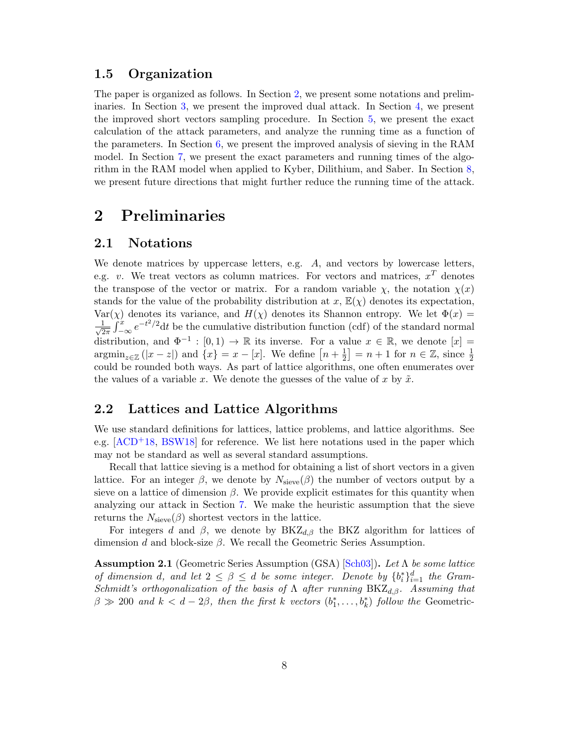#### 1.5 Organization

The paper is organized as follows. In Section [2,](#page-7-0) we present some notations and preliminaries. In Section [3,](#page-10-0) we present the improved dual attack. In Section [4,](#page-16-0) we present the improved short vectors sampling procedure. In Section [5,](#page-17-0) we present the exact calculation of the attack parameters, and analyze the running time as a function of the parameters. In Section [6,](#page-31-0) we present the improved analysis of sieving in the RAM model. In Section [7,](#page-35-1) we present the exact parameters and running times of the algorithm in the RAM model when applied to Kyber, Dilithium, and Saber. In Section [8,](#page-41-0) we present future directions that might further reduce the running time of the attack.

# <span id="page-7-0"></span>2 Preliminaries

#### <span id="page-7-2"></span>2.1 Notations

We denote matrices by uppercase letters, e.g.  $A$ , and vectors by lowercase letters, e.g. v. We treat vectors as column matrices. For vectors and matrices,  $x^T$  denotes the transpose of the vector or matrix. For a random variable  $\chi$ , the notation  $\chi(x)$ stands for the value of the probability distribution at  $x, \mathbb{E}(\chi)$  denotes its expectation, Var(x) denotes its variance, and  $H(\chi)$  denotes its Shannon entropy. We let  $\Phi(x)$  =  $\frac{1}{\sqrt{2}}$  $\frac{1}{2\pi}\int_{-\infty}^{x}e^{-t^2/2}dt$  be the cumulative distribution function (cdf) of the standard normal distribution, and  $\Phi^{-1} : [0,1) \to \mathbb{R}$  its inverse. For a value  $x \in \mathbb{R}$ , we denote  $[x] =$  $\operatorname{argmin}_{z \in \mathbb{Z}} (|x - z|)$  and  $\{x\} = x - [x]$ . We define  $[n + \frac{1}{2}]$  $\left[\frac{1}{2}\right] = n + 1$  for  $n \in \mathbb{Z}$ , since  $\frac{1}{2}$ could be rounded both ways. As part of lattice algorithms, one often enumerates over the values of a variable x. We denote the guesses of the value of x by  $\tilde{x}$ .

## <span id="page-7-3"></span>2.2 Lattices and Lattice Algorithms

We use standard definitions for lattices, lattice problems, and lattice algorithms. See e.g.  $[ACD<sup>+</sup>18, BSW18]$  $[ACD<sup>+</sup>18, BSW18]$  $[ACD<sup>+</sup>18, BSW18]$  for reference. We list here notations used in the paper which may not be standard as well as several standard assumptions.

Recall that lattice sieving is a method for obtaining a list of short vectors in a given lattice. For an integer  $\beta$ , we denote by  $N_{\text{sieve}}(\beta)$  the number of vectors output by a sieve on a lattice of dimension  $\beta$ . We provide explicit estimates for this quantity when analyzing our attack in Section [7.](#page-35-1) We make the heuristic assumption that the sieve returns the  $N<sub>sieve</sub>(\beta)$  shortest vectors in the lattice.

For integers d and  $\beta$ , we denote by BKZ<sub>d,β</sub> the BKZ algorithm for lattices of dimension d and block-size  $\beta$ . We recall the Geometric Series Assumption.

<span id="page-7-1"></span>**Assumption 2.1** (Geometric Series Assumption (GSA) [\[Sch03\]](#page-52-5)). Let  $\Lambda$  be some lattice of dimension d, and let  $2 \leq \beta \leq d$  be some integer. Denote by  $\{b_i^*\}_{i=1}^d$  the Gram-Schmidt's orthogonalization of the basis of  $\Lambda$  after running BKZ<sub>d,β</sub>. Assuming that  $\beta \gg 200$  and  $k < d - 2\beta$ , then the first k vectors  $(b_1^*, \ldots, b_k^*)$  follow the Geometric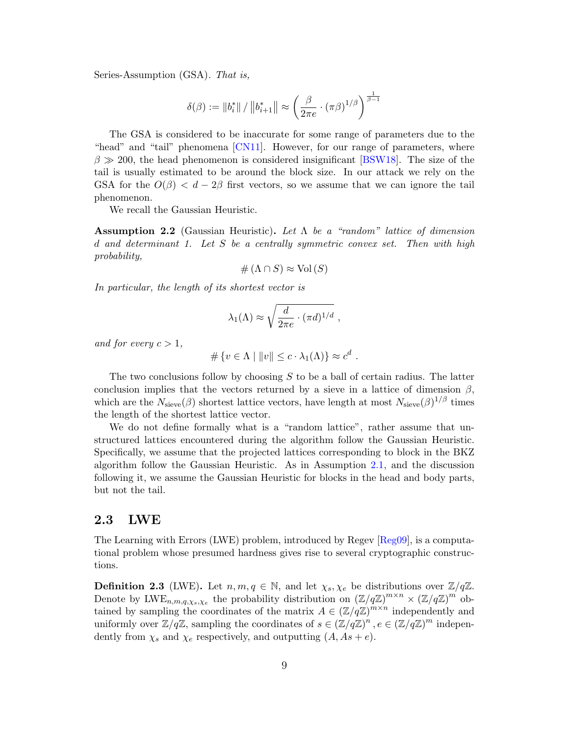Series-Assumption (GSA). That is,

$$
\delta(\beta) := \|b_i^*\| / \|b_{i+1}^*\| \approx \left(\frac{\beta}{2\pi e} \cdot (\pi \beta)^{1/\beta}\right)^{\frac{1}{\beta - 1}}
$$

The GSA is considered to be inaccurate for some range of parameters due to the "head" and "tail" phenomena [\[CN11\]](#page-48-6). However, for our range of parameters, where  $\beta \gg 200$ , the head phenomenon is considered insignificant [\[BSW18\]](#page-47-6). The size of the tail is usually estimated to be around the block size. In our attack we rely on the GSA for the  $O(\beta) < d - 2\beta$  first vectors, so we assume that we can ignore the tail phenomenon.

We recall the Gaussian Heuristic.

<span id="page-8-0"></span>**Assumption 2.2** (Gaussian Heuristic). Let  $\Lambda$  be a "random" lattice of dimension d and determinant 1. Let S be a centrally symmetric convex set. Then with high probability,

$$
\# (\Lambda \cap S) \approx \text{Vol}(S)
$$

In particular, the length of its shortest vector is

$$
\lambda_1(\Lambda) \approx \sqrt{\frac{d}{2\pi e} \cdot (\pi d)^{1/d}} ,
$$

and for every  $c > 1$ ,

 $\#\{v \in \Lambda \mid ||v|| \leq c \cdot \lambda_1(\Lambda)\} \approx c^d$ .

The two conclusions follow by choosing  $S$  to be a ball of certain radius. The latter conclusion implies that the vectors returned by a sieve in a lattice of dimension  $\beta$ , which are the  $N_{\text{sieve}}(\beta)$  shortest lattice vectors, have length at most  $N_{\text{sieve}}(\beta)^{1/\beta}$  times the length of the shortest lattice vector.

We do not define formally what is a "random lattice", rather assume that unstructured lattices encountered during the algorithm follow the Gaussian Heuristic. Specifically, we assume that the projected lattices corresponding to block in the BKZ algorithm follow the Gaussian Heuristic. As in Assumption [2.1,](#page-7-1) and the discussion following it, we assume the Gaussian Heuristic for blocks in the head and body parts, but not the tail.

#### <span id="page-8-1"></span>2.3 LWE

The Learning with Errors (LWE) problem, introduced by Regev [\[Reg09\]](#page-52-2), is a computational problem whose presumed hardness gives rise to several cryptographic constructions.

**Definition 2.3** (LWE). Let  $n, m, q \in \mathbb{N}$ , and let  $\chi_s, \chi_e$  be distributions over  $\mathbb{Z}/q\mathbb{Z}$ . Denote by  $\text{LWE}_{n,m,q,\chi_s,\chi_e}$  the probability distribution on  $(\mathbb{Z}/q\mathbb{Z})^{m\times n}\times(\mathbb{Z}/q\mathbb{Z})^m$  obtained by sampling the coordinates of the matrix  $A \in (\mathbb{Z}/q\mathbb{Z})^{m \times n}$  independently and uniformly over  $\mathbb{Z}/q\mathbb{Z}$ , sampling the coordinates of  $s \in (\mathbb{Z}/q\mathbb{Z})^n$ ,  $e \in (\mathbb{Z}/q\mathbb{Z})^m$  independently from  $\chi_s$  and  $\chi_e$  respectively, and outputting  $(A, As + e)$ .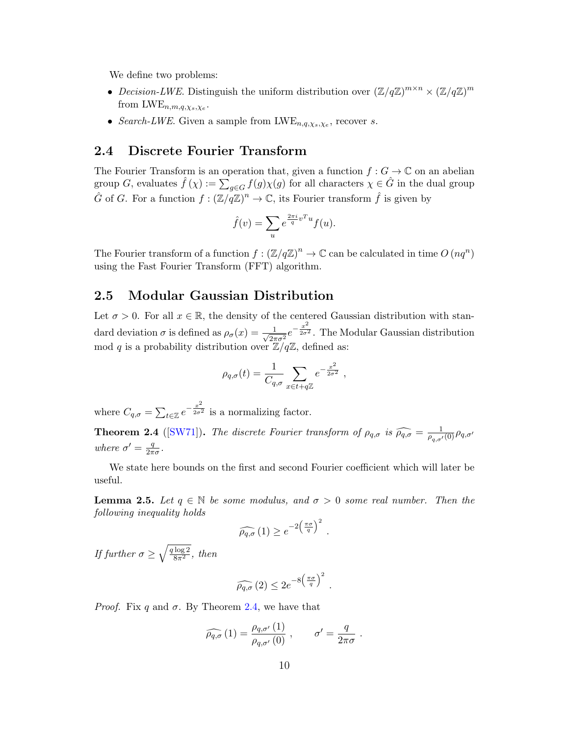We define two problems:

- Decision-LWE. Distinguish the uniform distribution over  $(\mathbb{Z}/q\mathbb{Z})^{m\times n}\times (\mathbb{Z}/q\mathbb{Z})^m$ from  $\text{LWE}_{n,m,q,\chi_s,\chi_e}$ .
- Search-LWE. Given a sample from  $LWE_{n,q,\chi_s,\chi_e}$ , recover s.

#### 2.4 Discrete Fourier Transform

The Fourier Transform is an operation that, given a function  $f: G \to \mathbb{C}$  on an abelian group G, evaluates  $\hat{f}(\chi) := \sum_{g \in G} f(g) \chi(g)$  for all characters  $\chi \in \hat{G}$  in the dual group  $\hat{G}$  of G. For a function  $f: (\mathbb{Z}/q\mathbb{Z})^n \to \mathbb{C}$ , its Fourier transform  $\hat{f}$  is given by

$$
\hat{f}(v) = \sum_{u} e^{\frac{2\pi i}{q}v^T u} f(u).
$$

The Fourier transform of a function  $f : (\mathbb{Z}/q\mathbb{Z})^n \to \mathbb{C}$  can be calculated in time  $O(nq^n)$ using the Fast Fourier Transform (FFT) algorithm.

#### 2.5 Modular Gaussian Distribution

Let  $\sigma > 0$ . For all  $x \in \mathbb{R}$ , the density of the centered Gaussian distribution with standard deviation  $\sigma$  is defined as  $\rho_{\sigma}(x) = \frac{1}{\sqrt{2\pi}}$  $rac{1}{2\pi\sigma^2}e^{-\frac{x^2}{2\sigma^2}}$  $\overline{2\sigma^2}$ . The Modular Gaussian distribution mod q is a probability distribution over  $\mathbb{Z}/q\mathbb{Z}$ , defined as:

$$
\rho_{q,\sigma}(t) = \frac{1}{C_{q,\sigma}} \sum_{x \in t + q\mathbb{Z}} e^{-\frac{x^2}{2\sigma^2}},
$$

where  $C_{q,\sigma} = \sum_{t \in \mathbb{Z}} e^{-\frac{x^2}{2\sigma^2}}$  $\overline{2\sigma^2}$  is a normalizing factor.

<span id="page-9-0"></span>**Theorem 2.4** ([\[SW71\]](#page-52-6)). The discrete Fourier transform of  $\rho_{q,\sigma}$  is  $\widehat{\rho_{q,\sigma}} = \frac{1}{\rho_{q,\sigma'}(0)} \rho_{q,\sigma'}$ where  $\sigma' = \frac{q}{2\pi}$  $\frac{q}{2\pi\sigma}$ .

We state here bounds on the first and second Fourier coefficient which will later be useful.

<span id="page-9-1"></span>**Lemma 2.5.** Let  $q \in \mathbb{N}$  be some modulus, and  $\sigma > 0$  some real number. Then the following inequality holds

$$
\widehat{\rho_{q,\sigma}}\left(1\right) \geq e^{-2\left(\frac{\pi\sigma}{q}\right)^2}.
$$

If further  $\sigma \geq \sqrt{\frac{q \log 2}{8\pi^2}}$ , then

$$
\widehat{\rho_{q,\sigma}}\left(2\right) \leq 2e^{-8\left(\frac{\pi\sigma}{q}\right)^2}.
$$

*Proof.* Fix q and  $\sigma$ . By Theorem [2.4,](#page-9-0) we have that

$$
\widehat{\rho_{q,\sigma}}\left(1\right) = \frac{\rho_{q,\sigma'}\left(1\right)}{\rho_{q,\sigma'}\left(0\right)}\;, \qquad \sigma' = \frac{q}{2\pi\sigma}\;.
$$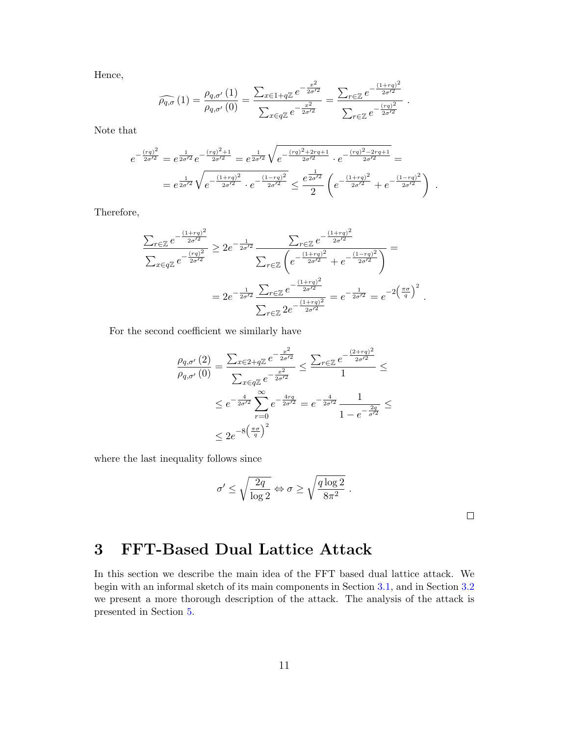Hence,

$$
\widehat{\rho_{q,\sigma}}\left(1\right) = \frac{\rho_{q,\sigma'}\left(1\right)}{\rho_{q,\sigma'}\left(0\right)} = \frac{\sum_{x \in 1 + q\mathbb{Z}} e^{-\frac{x^2}{2\sigma'^2}}}{\sum_{x \in q\mathbb{Z}} e^{-\frac{x^2}{2\sigma'^2}}} = \frac{\sum_{r \in \mathbb{Z}} e^{-\frac{\left(1 + rq\right)^2}{2\sigma'^2}}}{\sum_{r \in \mathbb{Z}} e^{-\frac{\left(rq\right)^2}{2\sigma'^2}}}.
$$

Note that

$$
e^{-\frac{(\tau q)^2}{2\sigma^2}} = e^{\frac{1}{2\sigma^2}} e^{-\frac{(\tau q)^2 + 1}{2\sigma^2}} = e^{\frac{1}{2\sigma^2}} \sqrt{e^{-\frac{(\tau q)^2 + 2\tau q + 1}{2\sigma^2}} \cdot e^{-\frac{(\tau q)^2 - 2\tau q + 1}{2\sigma^2}}} =
$$
  
= 
$$
e^{\frac{1}{2\sigma^2}} \sqrt{e^{-\frac{(1 + \tau q)^2}{2\sigma^2}} \cdot e^{-\frac{(1 - \tau q)^2}{2\sigma^2}}} \leq \frac{e^{\frac{1}{2\sigma^2}}}{2} \left( e^{-\frac{(1 + \tau q)^2}{2\sigma^2}} + e^{-\frac{(1 - \tau q)^2}{2\sigma^2}} \right).
$$

Therefore,

$$
\frac{\sum_{r \in \mathbb{Z}} e^{-\frac{(1+rq)^2}{2\sigma'^2}}}{\sum_{x \in q\mathbb{Z}} e^{-\frac{(rq)^2}{2\sigma'^2}}} \geq 2e^{-\frac{1}{2\sigma'^2}} \frac{\sum_{r \in \mathbb{Z}} e^{-\frac{(1+rq)^2}{2\sigma'^2}}}{\sum_{r \in \mathbb{Z}} \left(e^{-\frac{(1+rq)^2}{2\sigma'^2}} + e^{-\frac{(1-rq)^2}{2\sigma'^2}}\right)} =
$$
\n
$$
= 2e^{-\frac{1}{2\sigma'^2}} \frac{\sum_{r \in \mathbb{Z}} e^{-\frac{(1+rq)^2}{2\sigma'^2}}}{\sum_{r \in \mathbb{Z}} 2e^{-\frac{(1+rq)^2}{2\sigma'^2}}} = e^{-\frac{1}{2\sigma'^2}} = e^{-2\left(\frac{\pi\sigma}{q}\right)^2}.
$$

For the second coefficient we similarly have

$$
\frac{\rho_{q,\sigma'}(2)}{\rho_{q,\sigma'}(0)} = \frac{\sum_{x \in 2+q\mathbb{Z}} e^{-\frac{x^2}{2\sigma'^2}}}{\sum_{x \in q\mathbb{Z}} e^{-\frac{x^2}{2\sigma'^2}}} \le \frac{\sum_{r \in \mathbb{Z}} e^{-\frac{(2+rq)^2}{2\sigma'^2}}}{1} \le
$$
  

$$
\le e^{-\frac{4}{2\sigma'^2}} \sum_{r=0}^{\infty} e^{-\frac{4rq}{2\sigma'^2}} = e^{-\frac{4}{2\sigma'^2}} \frac{1}{1 - e^{-\frac{2q}{\sigma'^2}}} \le
$$
  

$$
\le 2e^{-8\left(\frac{\pi\sigma}{q}\right)^2}
$$

where the last inequality follows since

$$
\sigma' \le \sqrt{\frac{2q}{\log 2}} \Leftrightarrow \sigma \ge \sqrt{\frac{q \log 2}{8\pi^2}}.
$$

 $\Box$ 

# <span id="page-10-0"></span>3 FFT-Based Dual Lattice Attack

In this section we describe the main idea of the FFT based dual lattice attack. We begin with an informal sketch of its main components in Section [3.1,](#page-11-0) and in Section [3.2](#page-13-0) we present a more thorough description of the attack. The analysis of the attack is presented in Section [5.](#page-17-0)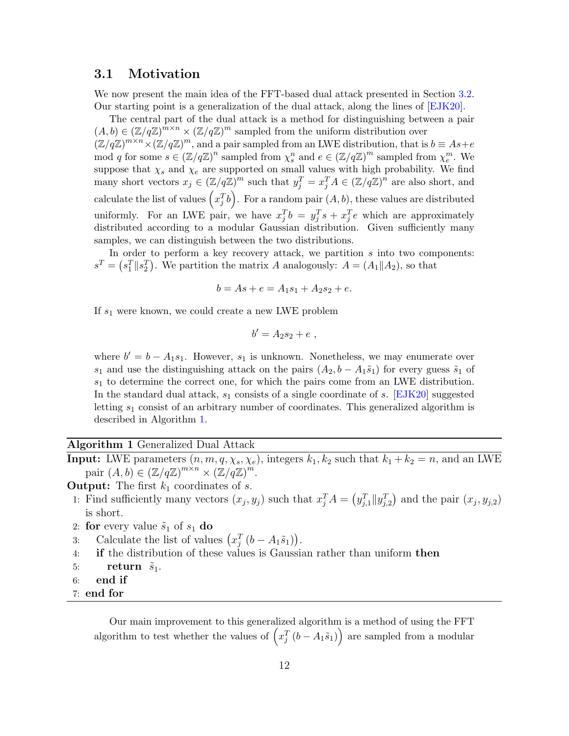#### <span id="page-11-0"></span>3.1 Motivation

We now present the main idea of the FFT-based dual attack presented in Section [3.2.](#page-13-0) Our starting point is a generalization of the dual attack, along the lines of [\[EJK20\]](#page-49-7).

The central part of the dual attack is a method for distinguishing between a pair  $(A, b) \in (\mathbb{Z}/q\mathbb{Z})^m \times (\mathbb{Z}/q\mathbb{Z})^m$  sampled from the uniform distribution over  $(\mathbb{Z}/q\mathbb{Z})^{m\times n}\times(\mathbb{Z}/q\mathbb{Z})^m$ , and a pair sampled from an LWE distribution, that is  $b\equiv As+e$ mod q for some  $s \in (\mathbb{Z}/q\mathbb{Z})^n$  sampled from  $\chi_s^n$  and  $e \in (\mathbb{Z}/q\mathbb{Z})^m$  sampled from  $\chi_e^m$ . We suppose that  $\chi_s$  and  $\chi_e$  are supported on small values with high probability. We find many short vectors  $x_j \in (\mathbb{Z}/q\mathbb{Z})^m$  such that  $y_j^T = x_j^T A \in (\mathbb{Z}/q\mathbb{Z})^n$  are also short, and calculate the list of values  $\left(x_j^Tb\right)$ . For a random pair  $(A, b)$ , these values are distributed uniformly. For an LWE pair, we have  $x_j^T b = y_j^T s + x_j^T e$  which are approximately distributed according to a modular Gaussian distribution. Given sufficiently many samples, we can distinguish between the two distributions.

In order to perform a key recovery attack, we partition  $s$  into two components:  $s^T = (s_1^T || s_2^T)$ . We partition the matrix A analogously:  $A = (A_1 || A_2)$ , so that

$$
b = As + e = A_1s_1 + A_2s_2 + e.
$$

If  $s_1$  were known, we could create a new LWE problem

$$
b'=A_2s_2+e,
$$

where  $b' = b - A_1 s_1$ . However,  $s_1$  is unknown. Nonetheless, we may enumerate over s<sub>1</sub> and use the distinguishing attack on the pairs  $(A_2, b - A_1\tilde{s}_1)$  for every guess  $\tilde{s}_1$  of  $s<sub>1</sub>$  to determine the correct one, for which the pairs come from an LWE distribution. In the standard dual attack,  $s_1$  consists of a single coordinate of s. [\[EJK20\]](#page-49-7) suggested letting  $s_1$  consist of an arbitrary number of coordinates. This generalized algorithm is described in Algorithm [1.](#page-11-1)

<span id="page-11-1"></span>Algorithm 1 Generalized Dual Attack

**Input:** LWE parameters  $(n, m, q, \chi_s, \chi_e)$ , integers  $k_1, k_2$  such that  $k_1 + k_2 = n$ , and an LWE pair  $(A, b) \in (\mathbb{Z}/q\mathbb{Z})^{m \times n} \times (\mathbb{Z}/q\mathbb{Z})^m$ .

**Output:** The first  $k_1$  coordinates of s.

- 1: Find sufficiently many vectors  $(x_j, y_j)$  such that  $x_j^T A = (y_{j,1}^T || y_{j,2}^T)$  and the pair  $(x_j, y_{j,2})$ is short.
- 2: for every value  $\tilde{s}_1$  of  $s_1$  do
- 3: Calculate the list of values  $(x_j^T(b A_1\tilde{s}_1)).$
- 4: if the distribution of these values is Gaussian rather than uniform then
- 5: return  $\tilde{s}_1$ .
- 6: end if
- <span id="page-11-2"></span>7: end for

Our main improvement to this generalized algorithm is a method of using the FFT algorithm to test whether the values of  $\left(x_j^T\left(b - A_1\tilde{s}_1\right)\right)$  are sampled from a modular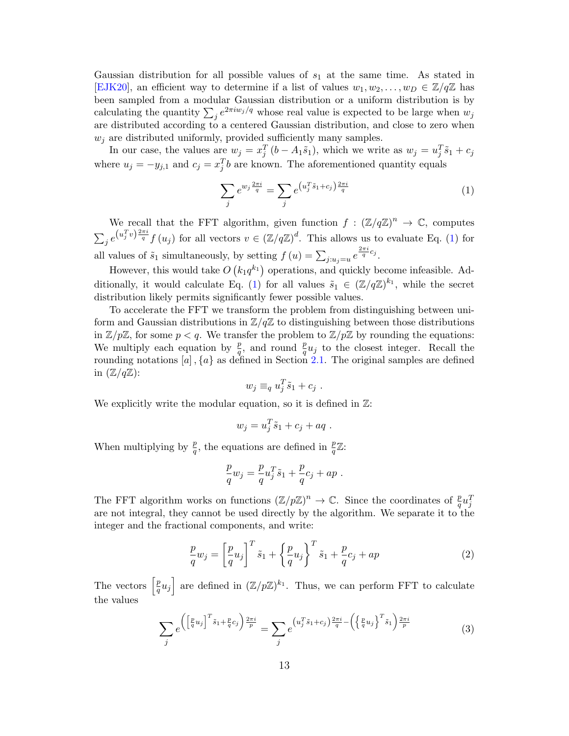Gaussian distribution for all possible values of  $s<sub>1</sub>$  at the same time. As stated in [\[EJK20\]](#page-49-7), an efficient way to determine if a list of values  $w_1, w_2, \ldots, w_D \in \mathbb{Z}/q\mathbb{Z}$  has been sampled from a modular Gaussian distribution or a uniform distribution is by calculating the quantity  $\sum_{j} e^{2\pi i w_j/q}$  whose real value is expected to be large when  $w_j$ are distributed according to a centered Gaussian distribution, and close to zero when  $w_i$  are distributed uniformly, provided sufficiently many samples.

In our case, the values are  $w_j = x_j^T (b - A_1 \tilde{s}_1)$ , which we write as  $w_j = u_j^T \tilde{s}_1 + c_j$ where  $u_j = -y_{j,1}$  and  $c_j = x_j^T b$  are known. The aforementioned quantity equals

<span id="page-12-0"></span>
$$
\sum_{j} e^{w_j \frac{2\pi i}{q}} = \sum_{j} e^{\left(u_j^T \tilde{s}_1 + c_j\right) \frac{2\pi i}{q}}
$$
(1)

We recall that the FFT algorithm, given function  $f : (\mathbb{Z}/q\mathbb{Z})^n \to \mathbb{C}$ , computes  $\sum_{j} e^{\left(u_j^T v\right)\frac{2\pi i}{q}} f\left(u_j\right)$  for all vectors  $v \in (\mathbb{Z}/q\mathbb{Z})^d$ . This allows us to evaluate Eq. [\(1\)](#page-12-0) for all values of  $\tilde{s}_1$  simultaneously, by setting  $f(u) = \sum_{j:u_j=u} e^{\frac{2\pi i}{q}c_j}$ .

However, this would take  $O(k_1q^{k_1})$  operations, and quickly become infeasible. Ad-ditionally, it would calculate Eq. [\(1\)](#page-12-0) for all values  $\tilde{s}_1 \in (\mathbb{Z}/q\mathbb{Z})^{k_1}$ , while the secret distribution likely permits significantly fewer possible values.

To accelerate the FFT we transform the problem from distinguishing between uniform and Gaussian distributions in  $\mathbb{Z}/q\mathbb{Z}$  to distinguishing between those distributions in  $\mathbb{Z}/p\mathbb{Z}$ , for some  $p < q$ . We transfer the problem to  $\mathbb{Z}/p\mathbb{Z}$  by rounding the equations: We multiply each equation by  $\frac{p}{q}$ , and round  $\frac{p}{q}u_j$  to the closest integer. Recall the rounding notations  $[a]$ ,  $\{a\}$  as defined in Section [2.1.](#page-7-2) The original samples are defined in  $(\mathbb{Z}/q\mathbb{Z})$ :

$$
w_j \equiv_q u_j^T \tilde{s}_1 + c_j.
$$

We explicitly write the modular equation, so it is defined in  $\mathbb{Z}$ :

$$
w_j = u_j^T \tilde{s}_1 + c_j + aq \; .
$$

When multiplying by  $\frac{p}{q}$ , the equations are defined in  $\frac{p}{q}\mathbb{Z}$ :

$$
\frac{p}{q}w_j = \frac{p}{q}u_j^T\tilde{s}_1 + \frac{p}{q}c_j + ap.
$$

The FFT algorithm works on functions  $(\mathbb{Z}/p\mathbb{Z})^n \to \mathbb{C}$ . Since the coordinates of  $\frac{p}{q}u_j^T$ are not integral, they cannot be used directly by the algorithm. We separate it to the integer and the fractional components, and write:

$$
\frac{p}{q}w_j = \left[\frac{p}{q}u_j\right]^T \tilde{s}_1 + \left\{\frac{p}{q}u_j\right\}^T \tilde{s}_1 + \frac{p}{q}c_j + ap \tag{2}
$$

The vectors  $\left[\frac{p}{q}\right]$  $\left[\frac{p}{q}u_j\right]$  are defined in  $(\mathbb{Z}/p\mathbb{Z})^{k_1}$ . Thus, we can perform FFT to calculate the values

$$
\sum_{j} e^{\left(\left[\frac{p}{q}u_j\right]^T \tilde{s}_1 + \frac{p}{q}c_j\right)\frac{2\pi i}{p}} = \sum_{j} e^{\left(u_j^T \tilde{s}_1 + c_j\right)\frac{2\pi i}{q} - \left(\left\{\frac{p}{q}u_j\right\}^T \tilde{s}_1\right)\frac{2\pi i}{p}}
$$
(3)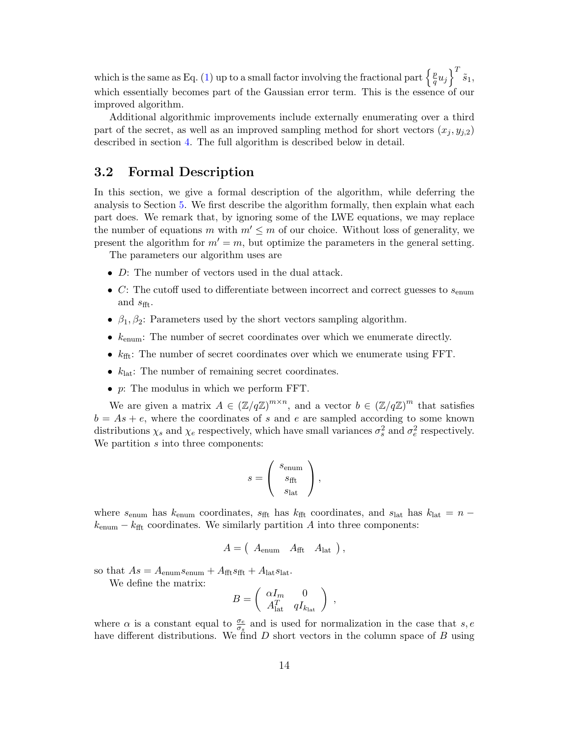which is the same as Eq. [\(1\)](#page-12-0) up to a small factor involving the fractional part  $\left\{\frac{p}{q}\right\}$  $\left[\frac{p}{q}u_j\right]^T\tilde{s}_1,$ which essentially becomes part of the Gaussian error term. This is the essence of our improved algorithm.

Additional algorithmic improvements include externally enumerating over a third part of the secret, as well as an improved sampling method for short vectors  $(x_i, y_{i,2})$ described in section [4.](#page-16-0) The full algorithm is described below in detail.

## <span id="page-13-0"></span>3.2 Formal Description

In this section, we give a formal description of the algorithm, while deferring the analysis to Section [5.](#page-17-0) We first describe the algorithm formally, then explain what each part does. We remark that, by ignoring some of the LWE equations, we may replace the number of equations m with  $m' \leq m$  of our choice. Without loss of generality, we present the algorithm for  $m' = m$ , but optimize the parameters in the general setting.

The parameters our algorithm uses are

- $\bullet$  *D*: The number of vectors used in the dual attack.
- C: The cutoff used to differentiate between incorrect and correct guesses to  $s_{\text{enum}}$ and  $s_{\text{fft}}$ .
- $\beta_1, \beta_2$ : Parameters used by the short vectors sampling algorithm.
- $k_{\text{enum}}$ : The number of secret coordinates over which we enumerate directly.
- $k_{\text{fft}}$ : The number of secret coordinates over which we enumerate using FFT.
- $k_{\text{lat}}$ : The number of remaining secret coordinates.
- p: The modulus in which we perform FFT.

We are given a matrix  $A \in (\mathbb{Z}/q\mathbb{Z})^{m \times n}$ , and a vector  $b \in (\mathbb{Z}/q\mathbb{Z})^m$  that satisfies  $b = As + e$ , where the coordinates of s and e are sampled according to some known distributions  $\chi_s$  and  $\chi_e$  respectively, which have small variances  $\sigma_s^2$  and  $\sigma_e^2$  respectively. We partition s into three components:

$$
s = \left(\begin{array}{c} s_{\text{enum}} \\ s_{\text{fft}} \\ s_{\text{lat}} \end{array}\right),
$$

where  $s_{\text{enum}}$  has  $k_{\text{enum}}$  coordinates,  $s_{\text{fft}}$  has  $k_{\text{fft}}$  coordinates, and  $s_{\text{lat}}$  has  $k_{\text{lat}} = n$  $k_{\text{enum}} - k_{\text{fft}}$  coordinates. We similarly partition A into three components:

$$
A = \begin{pmatrix} A_{\text{enum}} & A_{\text{fft}} & A_{\text{lat}} \end{pmatrix},
$$

so that  $As = A_{\text{enum}}s_{\text{enum}} + A_{\text{fft}}s_{\text{fft}} + A_{\text{lat}}s_{\text{lat}}.$ 

We define the matrix:

$$
B = \left(\begin{array}{cc} \alpha I_m & 0 \\ A_{\text{lat}}^T & q I_{k_{\text{lat}}} \end{array}\right) ,
$$

where  $\alpha$  is a constant equal to  $\frac{\sigma_e}{\sigma_s}$  and is used for normalization in the case that  $s, e$ have different distributions. We find  $D$  short vectors in the column space of  $B$  using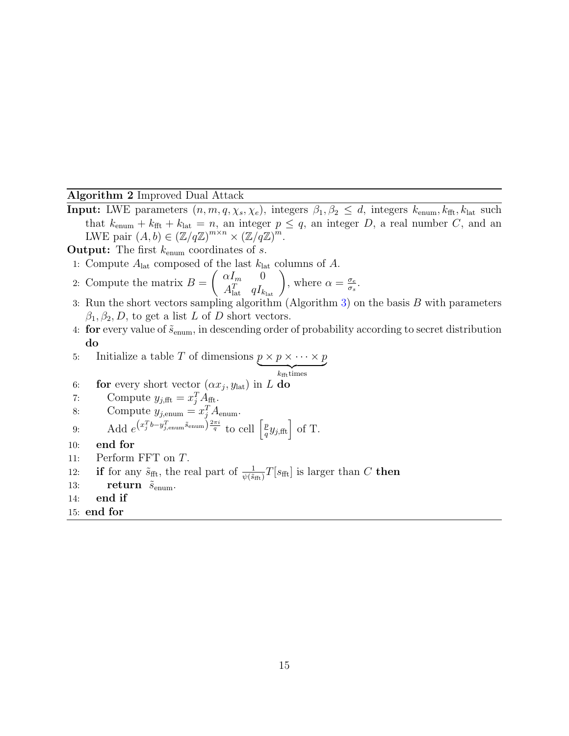#### <span id="page-14-0"></span>Algorithm 2 Improved Dual Attack

**Input:** LWE parameters  $(n, m, q, \chi_s, \chi_e)$ , integers  $\beta_1, \beta_2 \leq d$ , integers  $k_{\text{enum}}, k_{\text{fft}}, k_{\text{lat}}$  such that  $k_{\text{enum}} + k_{\text{fft}} + k_{\text{lat}} = n$ , an integer  $p \leq q$ , an integer D, a real number C, and an LWE pair  $(A, b) \in (\mathbb{Z}/q\mathbb{Z})^{m \times n} \times (\mathbb{Z}/q\mathbb{Z})^m$ .

**Output:** The first  $k_{\text{enum}}$  coordinates of s.

1: Compute  $A_{\text{lat}}$  composed of the last  $k_{\text{lat}}$  columns of A.

2: Compute the matrix 
$$
B = \begin{pmatrix} \alpha I_m & 0 \\ A_{\text{lat}}^T & q I_{k_{\text{lat}}} \end{pmatrix}
$$
, where  $\alpha = \frac{\sigma_e}{\sigma_s}$ .

- 3: Run the short vectors sampling algorithm (Algorithm [3\)](#page-16-1) on the basis B with parameters  $\beta_1, \beta_2, D$ , to get a list L of D short vectors.
- 4: for every value of  $\tilde{s}_{enum}$ , in descending order of probability according to secret distribution do

5: Initialize a table *T* of dimensions 
$$
p \times p \times \cdots \times p
$$

$$
k_{\rm fft} {\rm times}
$$

- 6: **for** every short vector  $(\alpha x_j, y_{\text{lat}})$  in L do
- 7: Compute  $y_{j,fft} = x_j^T A_{fft}.$

8: Compute 
$$
y_{j, \text{enum}} = x_j^T A_{\text{enum}}
$$
.

- 9: Add  $e^{(x_j^T b y_{j,\text{enum}}^T \tilde{s}_{\text{enum}})} \frac{2\pi i}{q}$  to cell  $\left[\frac{p}{q}\right]$  $\frac{p}{q}y_{j,\text{fft}}\Big\} \text{ of T.}$
- 10: end for
- 11: Perform FFT on T.

12: if for any 
$$
\tilde{s}_{\text{fft}}
$$
, the real part of  $\frac{1}{\psi(\tilde{s}_{\text{fft}})}T[s_{\text{fft}}]$  is larger than C then

- 13: **return**  $\tilde{s}_{\text{enum}}$ .
- 14: end if
- 15: end for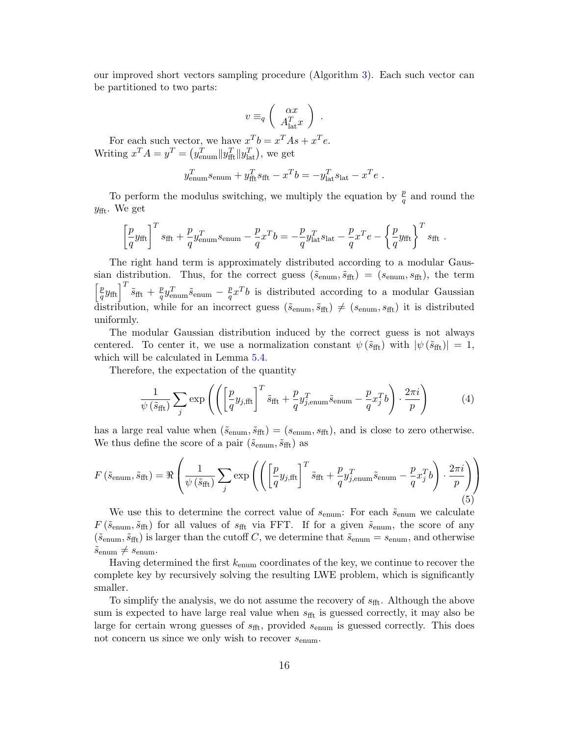our improved short vectors sampling procedure (Algorithm [3\)](#page-16-1). Each such vector can be partitioned to two parts:

$$
v \equiv_q \left( \begin{array}{c} \alpha x \\ A_{\text{lat}}^T x \end{array} \right) .
$$

For each such vector, we have  $x^T b = x^T A s + x^T e$ . Writing  $x^T A = y^T = (y_{\text{enum}}^T || y_{\text{fft}}^T || y_{\text{lat}}^T)$ , we get

$$
y_{\text{enum}}^T s_{\text{enum}} + y_{\text{fft}}^T s_{\text{fft}} - x^T b = -y_{\text{lat}}^T s_{\text{lat}} - x^T e.
$$

To perform the modulus switching, we multiply the equation by  $\frac{p}{q}$  and round the  $y_{\text{fft}}$ . We get

$$
\left[\frac{p}{q}y_{\text{fft}}\right]^T s_{\text{fft}} + \frac{p}{q} y_{\text{enum}}^T s_{\text{enum}} - \frac{p}{q} x^T b = -\frac{p}{q} y_{\text{lat}}^T s_{\text{lat}} - \frac{p}{q} x^T e - \left\{\frac{p}{q} y_{\text{fft}}\right\}^T s_{\text{fft}}.
$$

The right hand term is approximately distributed according to a modular Gaussian distribution. Thus, for the correct guess  $(\tilde{s}_{enum}, \tilde{s}_{fft}) = (s_{enum}, s_{fft})$ , the term  $\lceil p \rceil$  $\left(\frac{p}{q} y_{\rm fft}\right)^T \tilde{s}_{\rm fft} \, + \, \frac{p}{q}$  $\frac{p}{q} y_{\text{enum}}^T \tilde{s}_{\text{enum}} - \frac{p}{q}$  $\frac{p}{q}x^Tb$  is distributed according to a modular Gaussian distribution, while for an incorrect guess  $(\tilde{s}_{enum}, \tilde{s}_{fft}) \neq (s_{enum}, s_{fft})$  it is distributed uniformly.

The modular Gaussian distribution induced by the correct guess is not always centered. To center it, we use a normalization constant  $\psi(\tilde{s}_{\text{fft}})$  with  $|\psi(\tilde{s}_{\text{fft}})| = 1$ , which will be calculated in Lemma [5.4.](#page-21-0)

Therefore, the expectation of the quantity

$$
\frac{1}{\psi\left(\tilde{s}_{\text{fft}}\right)} \sum_{j} \exp\left(\left(\left[\frac{p}{q} y_{j,\text{fft}}\right]^T \tilde{s}_{\text{fft}} + \frac{p}{q} y_{j,\text{enum}}^T \tilde{s}_{\text{enum}} - \frac{p}{q} x_j^T b\right) \cdot \frac{2\pi i}{p}\right) \tag{4}
$$

has a large real value when  $(\tilde{s}_{enum}, \tilde{s}_{fft}) = (s_{enum}, s_{fft})$ , and is close to zero otherwise. We thus define the score of a pair  $(\tilde{s}_{enum}, \tilde{s}_{fft})$  as

$$
F\left(\tilde{s}_{\text{enum}}, \tilde{s}_{\text{fft}}\right) = \Re \left(\frac{1}{\psi\left(\tilde{s}_{\text{fft}}\right)} \sum_{j} \exp \left(\left(\left[\frac{p}{q} y_{j,\text{fft}}\right]^T \tilde{s}_{\text{fft}} + \frac{p}{q} y_{j,\text{enum}}^T \tilde{s}_{\text{enum}} - \frac{p}{q} x_j^T b\right) \cdot \frac{2\pi i}{p}\right)\right)
$$
\n
$$
(5)
$$

We use this to determine the correct value of  $s_{\text{enum}}$ : For each  $\tilde{s}_{\text{enum}}$  we calculate  $F\left(\tilde{s}_{\text{enum}}, \tilde{s}_{\text{fft}}\right)$  for all values of  $s_{\text{fft}}$  via FFT. If for a given  $\tilde{s}_{\text{enum}}$ , the score of any  $(\tilde{s}_{enum}, \tilde{s}_{fft})$  is larger than the cutoff C, we determine that  $\tilde{s}_{enum} = s_{enum}$ , and otherwise  $\tilde{s}_{\text{enum}} \neq s_{\text{enum}}.$ 

Having determined the first  $k_{\text{enum}}$  coordinates of the key, we continue to recover the complete key by recursively solving the resulting LWE problem, which is significantly smaller.

To simplify the analysis, we do not assume the recovery of  $s_{\text{fft}}$ . Although the above sum is expected to have large real value when  $s_{\text{fft}}$  is guessed correctly, it may also be large for certain wrong guesses of  $s_{\text{fft}}$ , provided  $s_{\text{enum}}$  is guessed correctly. This does not concern us since we only wish to recover  $s_{\text{enum}}$ .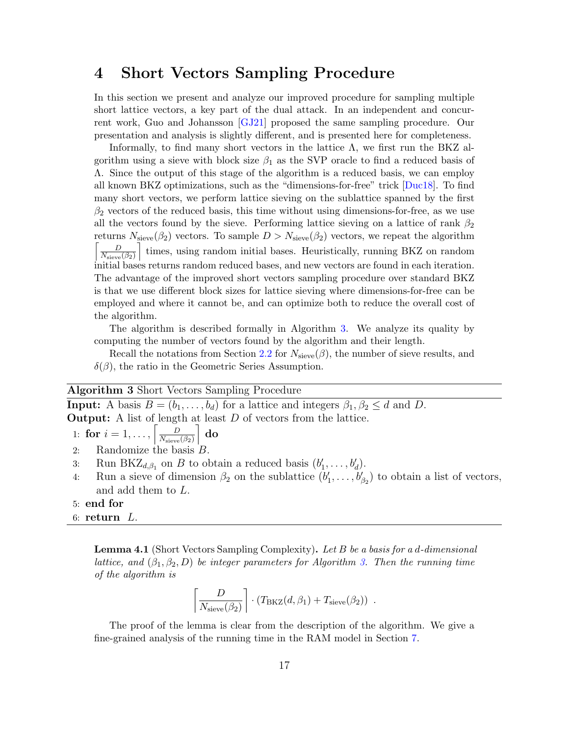## <span id="page-16-0"></span>4 Short Vectors Sampling Procedure

In this section we present and analyze our improved procedure for sampling multiple short lattice vectors, a key part of the dual attack. In an independent and concurrent work, Guo and Johansson [\[GJ21\]](#page-49-6) proposed the same sampling procedure. Our presentation and analysis is slightly different, and is presented here for completeness.

Informally, to find many short vectors in the lattice  $\Lambda$ , we first run the BKZ algorithm using a sieve with block size  $\beta_1$  as the SVP oracle to find a reduced basis of Λ. Since the output of this stage of the algorithm is a reduced basis, we can employ all known BKZ optimizations, such as the "dimensions-for-free" trick [\[Duc18\]](#page-49-5). To find many short vectors, we perform lattice sieving on the sublattice spanned by the first  $\beta_2$  vectors of the reduced basis, this time without using dimensions-for-free, as we use all the vectors found by the sieve. Performing lattice sieving on a lattice of rank  $\beta_2$ returns  $N_{\text{sieve}}(\beta_2)$  vectors. To sample  $D > N_{\text{sieve}}(\beta_2)$  vectors, we repeat the algorithm  $\begin{bmatrix} \quad & D \end{bmatrix}$  $N_{\rm sieve}(\beta_2)$ m times, using random initial bases. Heuristically, running BKZ on random initial bases returns random reduced bases, and new vectors are found in each iteration. The advantage of the improved short vectors sampling procedure over standard BKZ is that we use different block sizes for lattice sieving where dimensions-for-free can be employed and where it cannot be, and can optimize both to reduce the overall cost of the algorithm.

The algorithm is described formally in Algorithm [3.](#page-16-1) We analyze its quality by computing the number of vectors found by the algorithm and their length.

Recall the notations from Section [2.2](#page-7-3) for  $N_{\text{sieve}}(\beta)$ , the number of sieve results, and  $\delta(\beta)$ , the ratio in the Geometric Series Assumption.

#### <span id="page-16-1"></span>Algorithm 3 Short Vectors Sampling Procedure

**Input:** A basis  $B = (b_1, \ldots, b_d)$  for a lattice and integers  $\beta_1, \beta_2 \leq d$  and D. **Output:** A list of length at least  $D$  of vectors from the lattice.

1: **for** 
$$
i = 1, ..., \left[ \frac{D}{N_{\text{sieve}}(\beta_2)} \right] \text{ do}
$$

- 2: Randomize the basis  $B$ .
- 3: Run BKZ<sub>d, $\beta_1$ </sub> on *B* to obtain a reduced basis  $(b'_1, \ldots, b'_d)$ .
- 4: Run a sieve of dimension  $\beta_2$  on the sublattice  $(b'_1, \ldots, b'_{\beta_2})$  to obtain a list of vectors, and add them to L.
- 5: end for
- 6: return  $L$ .

<span id="page-16-3"></span>Lemma 4.1 (Short Vectors Sampling Complexity). Let B be a basis for a d-dimensional lattice, and  $(\beta_1, \beta_2, D)$  be integer parameters for Algorithm [3.](#page-16-1) Then the running time of the algorithm is

<span id="page-16-2"></span>
$$
\left\lceil \frac{D}{N_{\text{sieve}}(\beta_2)} \right\rceil \cdot (T_{\text{BKZ}}(d, \beta_1) + T_{\text{sieve}}(\beta_2)) \enspace .
$$

The proof of the lemma is clear from the description of the algorithm. We give a fine-grained analysis of the running time in the RAM model in Section [7.](#page-35-1)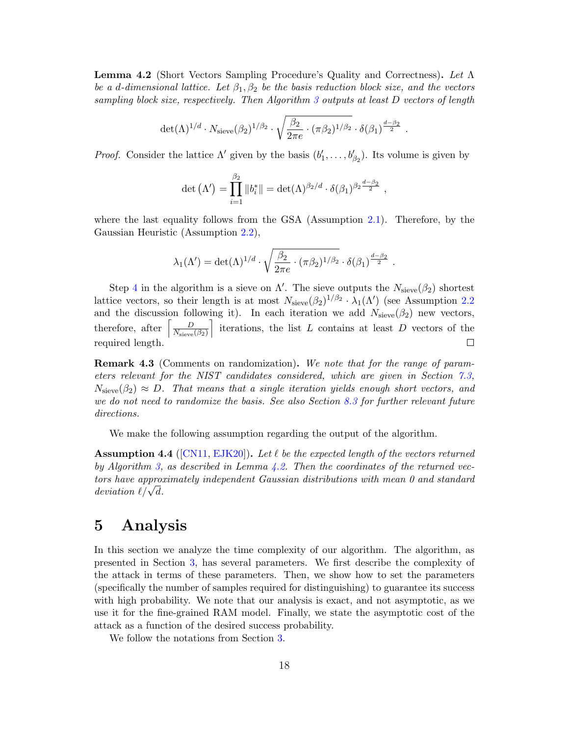<span id="page-17-1"></span>Lemma 4.2 (Short Vectors Sampling Procedure's Quality and Correctness). Let Λ be a d-dimensional lattice. Let  $\beta_1, \beta_2$  be the basis reduction block size, and the vectors sampling block size, respectively. Then Algorithm [3](#page-16-1) outputs at least D vectors of length

$$
\det(\Lambda)^{1/d} \cdot N_{\text{seve}}(\beta_2)^{1/\beta_2} \cdot \sqrt{\frac{\beta_2}{2\pi e} \cdot (\pi \beta_2)^{1/\beta_2}} \cdot \delta(\beta_1)^{\frac{d-\beta_2}{2}}.
$$

*Proof.* Consider the lattice  $\Lambda'$  given by the basis  $(b'_1, \ldots, b'_{\beta_2})$ . Its volume is given by

$$
\det\left(\Lambda'\right) = \prod_{i=1}^{\beta_2} \left\|b_i^*\right\| = \det(\Lambda)^{\beta_2/d} \cdot \delta(\beta_1)^{\beta_2 \frac{d-\beta_2}{2}},
$$

where the last equality follows from the GSA (Assumption [2.1\)](#page-7-1). Therefore, by the Gaussian Heuristic (Assumption [2.2\)](#page-8-0),

$$
\lambda_1(\Lambda') = \det(\Lambda)^{1/d} \cdot \sqrt{\frac{\beta_2}{2\pi e} \cdot (\pi \beta_2)^{1/\beta_2}} \cdot \delta(\beta_1)^{\frac{d-\beta_2}{2}}.
$$

Step [4](#page-16-2) in the algorithm is a sieve on  $\Lambda'$ . The sieve outputs the  $N_{\text{sieve}}(\beta_2)$  shortest lattice vectors, so their length is at most  $N_{\text{sieve}}(\beta_2)^{1/\beta_2} \cdot \lambda_1(\Lambda')$  (see Assumption [2.2](#page-8-0)) and the discussion following it). In each iteration we add  $N_{\text{sieve}}(\beta_2)$  new vectors, iterations, the list  $L$  contains at least  $D$  vectors of the  $\overline{D}$ therefore, after  $N_{\mathrm{seve}}(\beta_2)$ required length.  $\Box$ 

Remark 4.3 (Comments on randomization). We note that for the range of parameters relevant for the NIST candidates considered, which are given in Section [7.3,](#page-38-0)  $N_{\text{sieve}}(\beta_2) \approx D$ . That means that a single iteration yields enough short vectors, and we do not need to randomize the basis. See also Section [8.3](#page-42-0) for further relevant future directions.

We make the following assumption regarding the output of the algorithm.

<span id="page-17-2"></span>**Assumption 4.4** ([\[CN11,](#page-48-6) [EJK20\]](#page-49-7)). Let  $\ell$  be the expected length of the vectors returned by Algorithm [3,](#page-16-1) as described in Lemma [4.2.](#page-17-1) Then the coordinates of the returned vectors have approximately independent Gaussian distributions with mean 0 and standard *tors nave approx*<br>deviation  $\ell/\sqrt{d}$ .

# <span id="page-17-0"></span>5 Analysis

In this section we analyze the time complexity of our algorithm. The algorithm, as presented in Section [3,](#page-10-0) has several parameters. We first describe the complexity of the attack in terms of these parameters. Then, we show how to set the parameters (specifically the number of samples required for distinguishing) to guarantee its success with high probability. We note that our analysis is exact, and not asymptotic, as we use it for the fine-grained RAM model. Finally, we state the asymptotic cost of the attack as a function of the desired success probability.

We follow the notations from Section [3.](#page-10-0)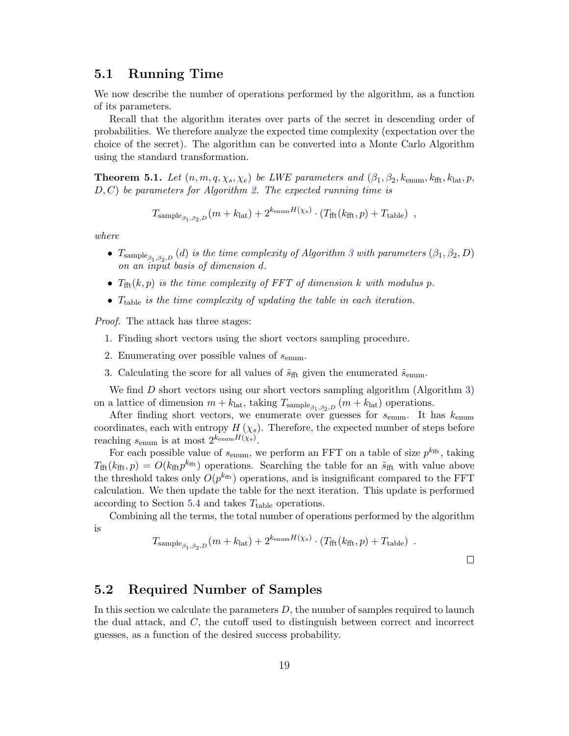#### 5.1 Running Time

We now describe the number of operations performed by the algorithm, as a function of its parameters.

Recall that the algorithm iterates over parts of the secret in descending order of probabilities. We therefore analyze the expected time complexity (expectation over the choice of the secret). The algorithm can be converted into a Monte Carlo Algorithm using the standard transformation.

<span id="page-18-1"></span>**Theorem 5.1.** Let  $(n, m, q, \chi_s, \chi_e)$  be LWE parameters and  $(\beta_1, \beta_2, k_{\text{enum}}, k_{\text{fft}}, k_{\text{lat}}, p,$  $D, C$ ) be parameters for Algorithm [2.](#page-14-0) The expected running time is

$$
T_{\text{sample}_{\beta_1, \beta_2, D}}(m + k_{\text{lat}}) + 2^{k_{\text{enum}}H(\chi_s)} \cdot (T_{\text{fft}}(k_{\text{fft}}, p) + T_{\text{table}}) ,
$$

where

- $T_{\text{sample}_{\beta_1,\beta_2,D}}(d)$  is the time complexity of Algorithm [3](#page-16-1) with parameters  $(\beta_1,\beta_2,D)$ on an input basis of dimension  $d$ .
- $T_{\text{fft}}(k, p)$  is the time complexity of FFT of dimension k with modulus p.
- $T_{table}$  is the time complexity of updating the table in each iteration.

Proof. The attack has three stages:

- 1. Finding short vectors using the short vectors sampling procedure.
- 2. Enumerating over possible values of  $s_{\text{enum}}$ .
- 3. Calculating the score for all values of  $\tilde{s}_{\text{fft}}$  given the enumerated  $\tilde{s}_{\text{enum}}$ .

We find  $D$  short vectors using our short vectors sampling algorithm (Algorithm [3\)](#page-16-1) on a lattice of dimension  $m + k_{\text{lat}}$ , taking  $T_{\text{sample}_{\beta_1, \beta_2, D}} (m + k_{\text{lat}})$  operations.

After finding short vectors, we enumerate over guesses for  $s_{\text{enum}}$ . It has  $k_{\text{enum}}$ coordinates, each with entropy  $H(\chi_s)$ . Therefore, the expected number of steps before reaching  $s_{\text{enum}}$  is at most  $2^{k_{\text{enum}}}H(\chi_s)$ .

For each possible value of  $s_{\text{enum}}$ , we perform an FFT on a table of size  $p^{k_{\text{fft}}}$ , taking  $T_{\text{fft}}(k_{\text{fft}}, p) = O(k_{\text{fft}} p^{k_{\text{fft}}} )$  operations. Searching the table for an  $\tilde{s}_{\text{fft}}$  with value above the threshold takes only  $O(p^{k_{\text{fft}}})$  operations, and is insignificant compared to the FFT calculation. We then update the table for the next iteration. This update is performed according to Section  $5.4$  and takes  $T_{\text{table}}$  operations.

Combining all the terms, the total number of operations performed by the algorithm is

$$
T_{\text{sample}_{\beta_1, \beta_2, D}}(m + k_{\text{lat}}) + 2^{k_{\text{enum}}H(\chi_s)} \cdot (T_{\text{fft}}(k_{\text{fft}}, p) + T_{\text{table}}) \ .
$$

 $\Box$ 

## <span id="page-18-0"></span>5.2 Required Number of Samples

In this section we calculate the parameters  $D$ , the number of samples required to launch the dual attack, and C, the cutoff used to distinguish between correct and incorrect guesses, as a function of the desired success probability.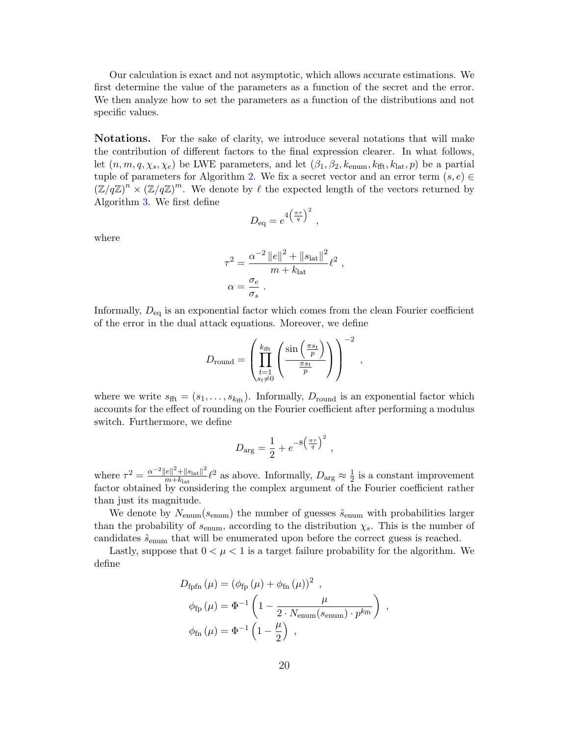Our calculation is exact and not asymptotic, which allows accurate estimations. We first determine the value of the parameters as a function of the secret and the error. We then analyze how to set the parameters as a function of the distributions and not specific values.

Notations. For the sake of clarity, we introduce several notations that will make the contribution of different factors to the final expression clearer. In what follows, let  $(n, m, q, \chi_s, \chi_e)$  be LWE parameters, and let  $(\beta_1, \beta_2, k_{\text{enum}}, k_{\text{fft}}, k_{\text{lat}}, p)$  be a partial tuple of parameters for Algorithm [2.](#page-14-0) We fix a secret vector and an error term  $(s, e) \in$  $(\mathbb{Z}/q\mathbb{Z})^n \times (\mathbb{Z}/q\mathbb{Z})^m$ . We denote by  $\ell$  the expected length of the vectors returned by Algorithm [3.](#page-16-1) We first define

$$
D_{\text{eq}} = e^{4\left(\frac{\pi\tau}{q}\right)^2} ,
$$

where

$$
\tau^2 = \frac{\alpha^{-2} ||e||^2 + ||s_{\text{lat}}||^2}{m + k_{\text{lat}}} \ell^2 ,
$$
  

$$
\alpha = \frac{\sigma_e}{\sigma_s} .
$$

Informally,  $D_{eq}$  is an exponential factor which comes from the clean Fourier coefficient of the error in the dual attack equations. Moreover, we define

$$
D_{\text{round}} = \left( \prod_{\substack{t=1 \\ s_t \neq 0}}^{k_{\text{fft}}} \left( \frac{\sin \left( \frac{\pi s_t}{p} \right)}{\frac{\pi s_t}{p}} \right) \right)^{-2},
$$

where we write  $s_{\text{fft}} = (s_1, \ldots, s_{k_{\text{fft}}})$ . Informally,  $D_{\text{round}}$  is an exponential factor which accounts for the effect of rounding on the Fourier coefficient after performing a modulus switch. Furthermore, we define

$$
D_{\text{arg}} = \frac{1}{2} + e^{-8\left(\frac{\pi\tau}{q}\right)^2} ,
$$

where  $\tau^2 = \frac{\alpha^{-2} ||e||^2 + ||s_{\text{lat}}||^2}{m+k}$  $\frac{|e||^2 + ||s_{\text{lat}}||^2}{m + k_{\text{lat}}} \ell^2$  as above. Informally,  $D_{\text{arg}} \approx \frac{1}{2}$  $\frac{1}{2}$  is a constant improvement factor obtained by considering the complex argument of the Fourier coefficient rather than just its magnitude.

We denote by  $N_{\text{enum}}(s_{\text{enum}})$  the number of guesses  $\tilde{s}_{\text{enum}}$  with probabilities larger than the probability of  $s_{\text{enum}}$ , according to the distribution  $\chi_s$ . This is the number of candidates  $\tilde{s}_{\text{enum}}$  that will be enumerated upon before the correct guess is reached.

Lastly, suppose that  $0 < \mu < 1$  is a target failure probability for the algorithm. We define

$$
D_{\text{fpfn}} (\mu) = (\phi_{\text{fp}} (\mu) + \phi_{\text{fn}} (\mu))^2 ,
$$
  
\n
$$
\phi_{\text{fp}} (\mu) = \Phi^{-1} \left( 1 - \frac{\mu}{2 \cdot N_{\text{enum}} (s_{\text{enum}}) \cdot p^{k_{\text{fft}}}} \right) ,
$$
  
\n
$$
\phi_{\text{fn}} (\mu) = \Phi^{-1} \left( 1 - \frac{\mu}{2} \right) ,
$$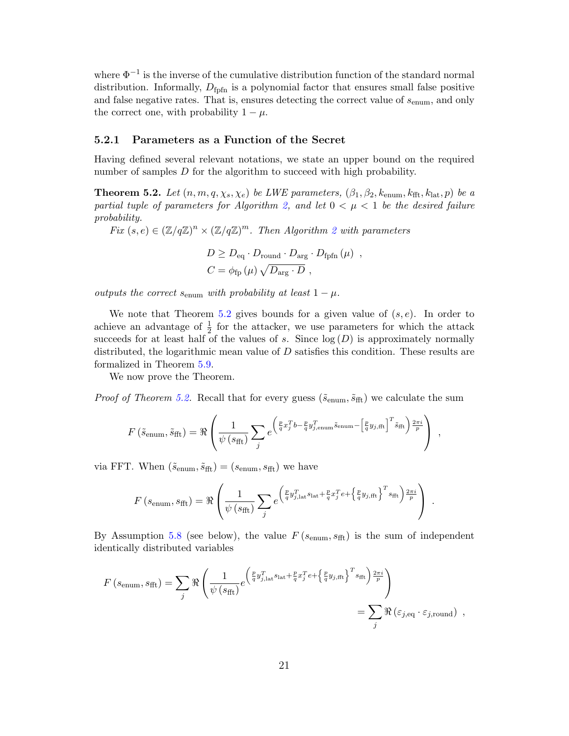where  $\Phi^{-1}$  is the inverse of the cumulative distribution function of the standard normal distribution. Informally,  $D_{\text{foff}}$  is a polynomial factor that ensures small false positive and false negative rates. That is, ensures detecting the correct value of  $s_{\text{enum}}$ , and only the correct one, with probability  $1 - \mu$ .

#### 5.2.1 Parameters as a Function of the Secret

Having defined several relevant notations, we state an upper bound on the required number of samples D for the algorithm to succeed with high probability.

<span id="page-20-0"></span>**Theorem 5.2.** Let  $(n, m, q, \chi_s, \chi_e)$  be LWE parameters,  $(\beta_1, \beta_2, k_{\text{enum}}, k_{\text{fft}}, k_{\text{lat}}, p)$  be a partial tuple of parameters for Algorithm [2,](#page-14-0) and let  $0 < \mu < 1$  be the desired failure probability.

Fix  $(s, e) \in (\mathbb{Z}/q\mathbb{Z})^n \times (\mathbb{Z}/q\mathbb{Z})^m$ . Then Algorithm [2](#page-14-0) with parameters

$$
D \geq D_{\text{eq}} \cdot D_{\text{round}} \cdot D_{\text{arg}} \cdot D_{\text{fpfn}} (\mu) ,
$$
  

$$
C = \phi_{\text{fp}} (\mu) \sqrt{D_{\text{arg}} \cdot D} ,
$$

outputs the correct  $s_{\text{enum}}$  with probability at least  $1 - \mu$ .

We note that Theorem [5.2](#page-20-0) gives bounds for a given value of  $(s, e)$ . In order to achieve an advantage of  $\frac{1}{2}$  for the attacker, we use parameters for which the attack succeeds for at least half of the values of s. Since  $log(D)$  is approximately normally distributed, the logarithmic mean value of  $D$  satisfies this condition. These results are formalized in Theorem [5.9.](#page-25-0)

We now prove the Theorem.

*Proof of Theorem [5.2.](#page-20-0)* Recall that for every guess  $(\tilde{s}_{enum}, \tilde{s}_{fft})$  we calculate the sum

$$
F\left(\tilde{s}_{\text{enum}}, \tilde{s}_{\text{fft}}\right) = \Re \left( \frac{1}{\psi\left(s_{\text{fft}}\right)} \sum_{j} e^{\left(\frac{p}{q} x_j^T b - \frac{p}{q} y_{j,\text{enum}}^T \tilde{s}_{\text{enum}} - \left[\frac{p}{q} y_{j,\text{fft}}\right]^T \tilde{s}_{\text{fft}}\right) \frac{2\pi i}{p}} \right) ,
$$

via FFT. When  $(\tilde{s}_{enum}, \tilde{s}_{fft}) = (s_{enum}, s_{fft})$  we have

$$
F\left(s_{\text{enum}}, s_{\text{fft}}\right) = \Re \left( \frac{1}{\psi\left(s_{\text{fft}}\right)} \sum_{j} e^{\left(\frac{p}{q} y_{j,\text{lat}}^T s_{\text{lat}} + \frac{p}{q} x_j^T e + \left\{\frac{p}{q} y_{j,\text{fft}}\right\}^T s_{\text{fft}}\right) \frac{2\pi i}{p}} \right) .
$$

By Assumption [5.8](#page-22-0) (see below), the value  $F(s_{\text{enum}}, s_{\text{fft}})$  is the sum of independent identically distributed variables

$$
F\left(s_{\text{enum}}, s_{\text{fft}}\right) = \sum_{j} \Re \left( \frac{1}{\psi\left(s_{\text{fft}}\right)} e^{\left(\frac{p}{q} y_{j,\text{lat}}^T s_{\text{lat}} + \frac{p}{q} x_j^T e + \left\{\frac{p}{q} y_{j,\text{fft}}\right\}^T s_{\text{fft}}\right) \frac{2\pi i}{p}} \right) = \sum_{j} \Re \left(\varepsilon_{j,\text{eq}} \cdot \varepsilon_{j,\text{round}}\right) ,
$$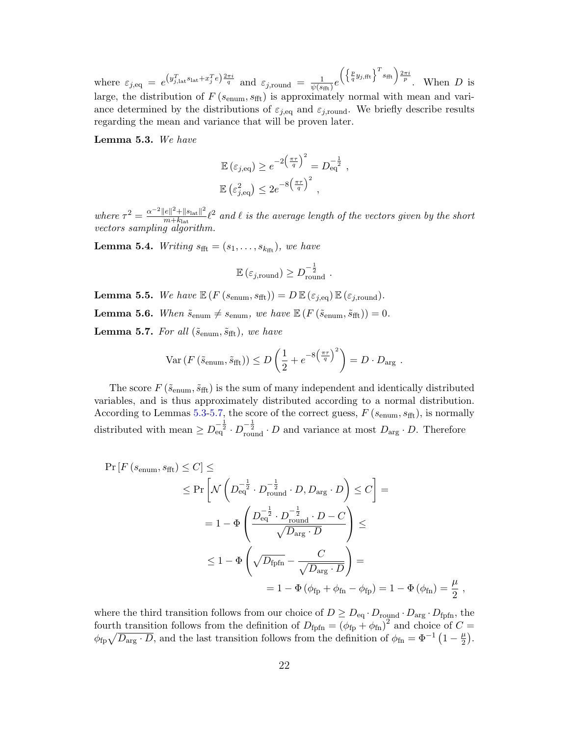where  $\varepsilon_{j,\text{eq}} = e^{\left(y_{j,\text{lat}}^T\text{s}_{\text{lat}} + x_j^T e\right)\frac{2\pi i}{q}}$  and  $\varepsilon_{j,\text{round}} = \frac{1}{\psi(s)}$  $\frac{1}{\psi(s_\mathrm{fft})}e$  $\left(\left\{\frac{p}{q}y_{j, \text{fft}}\right\}^T s_{\text{fft}}\right) \frac{2\pi i}{p}$ . When D is large, the distribution of  $F(s_{\text{enum}}, s_{\text{fft}})$  is approximately normal with mean and variance determined by the distributions of  $\varepsilon_{j,\text{eq}}$  and  $\varepsilon_{j,\text{round}}$ . We briefly describe results regarding the mean and variance that will be proven later.

<span id="page-21-1"></span>Lemma 5.3. We have

$$
\mathbb{E}(\varepsilon_{j,\text{eq}}) \ge e^{-2\left(\frac{\pi\tau}{q}\right)^2} = D_{\text{eq}}^{-\frac{1}{2}},
$$
  

$$
\mathbb{E}(\varepsilon_{j,\text{eq}}^2) \le 2e^{-8\left(\frac{\pi\tau}{q}\right)^2},
$$

where  $\tau^2 = \frac{\alpha^{-2} ||e||^2 + ||s_{\text{lat}}||^2}{m+k}$  $\frac{|e||^2 + ||s_{\text{lat}}||^2}{m + k_{\text{lat}}}$  (2 and  $\ell$  is the average length of the vectors given by the short vectors sampling algorithm.

<span id="page-21-0"></span>**Lemma 5.4.** Writing  $s_{\text{fft}} = (s_1, \ldots, s_{k_{\text{fft}}})$ , we have

$$
\mathbb{E}\left(\varepsilon_{j,\text{round}}\right) \geq D_{\text{round}}^{-\frac{1}{2}}.
$$

<span id="page-21-4"></span>**Lemma 5.5.** We have  $\mathbb{E} (F (s_{enum}, s_{fft})) = D \mathbb{E} (\varepsilon_{j,eq}) \mathbb{E} (\varepsilon_{j,round}).$ 

<span id="page-21-3"></span>**Lemma 5.6.** When  $\tilde{s}_{\text{enum}} \neq s_{\text{enum}}$ , we have  $\mathbb{E} (F(\tilde{s}_{\text{enum}}, \tilde{s}_{\text{fft}})) = 0$ .

<span id="page-21-2"></span>**Lemma 5.7.** For all  $(\tilde{s}_{enum}, \tilde{s}_{fft})$ , we have

$$
\text{Var}\left(F\left(\tilde{s}_{\text{enum}}, \tilde{s}_{\text{fft}}\right)\right) \le D\left(\frac{1}{2} + e^{-8\left(\frac{\pi\tau}{q}\right)^2}\right) = D \cdot D_{\text{arg}}.
$$

The score  $F(\tilde{s}_{enum}, \tilde{s}_{fft})$  is the sum of many independent and identically distributed variables, and is thus approximately distributed according to a normal distribution. According to Lemmas [5.3-](#page-21-1)[5.7,](#page-21-2) the score of the correct guess,  $F(s_{\text{enum}}, s_{\text{fft}})$ , is normally distributed with mean  $\geq D_{\text{eq}}^{-\frac{1}{2}} \cdot D_{\text{round}}^{-\frac{1}{2}} \cdot D$  and variance at most  $D_{\text{arg}} \cdot D$ . Therefore

$$
\Pr\left[F\left(s_{\text{enum}}, s_{\text{fft}}\right) \le C\right] \le
$$
\n
$$
\le \Pr\left[\mathcal{N}\left(D_{\text{eq}}^{-\frac{1}{2}} \cdot D_{\text{round}}^{-\frac{1}{2}} \cdot D, D_{\text{arg}} \cdot D\right) \le C\right] =
$$
\n
$$
= 1 - \Phi\left(\frac{D_{\text{eq}}^{-\frac{1}{2}} \cdot D_{\text{round}}^{-\frac{1}{2}} \cdot D - C}{\sqrt{D_{\text{arg}} \cdot D}}\right) \le
$$
\n
$$
\le 1 - \Phi\left(\sqrt{D_{\text{fpfn}}} - \frac{C}{\sqrt{D_{\text{arg}} \cdot D}}\right) =
$$
\n
$$
= 1 - \Phi\left(\phi_{\text{fp}} + \phi_{\text{fn}} - \phi_{\text{fp}}\right) = 1 - \Phi\left(\phi_{\text{fn}}\right) = \frac{\mu}{2},
$$

where the third transition follows from our choice of  $D \geq D_{\text{eq}} \cdot D_{\text{round}} \cdot D_{\text{arg}} \cdot D_{\text{fpfn}}$ , the fourth transition follows from the definition of  $D_{\text{fpfn}} = (\phi_{\text{fp}} + \phi_{\text{fn}})^2$  and choice of  $C =$  $\phi_{\text{fp}}\sqrt{D_{\text{arg}}\cdot D}$ , and the last transition follows from the definition of  $\phi_{\text{fn}} = \Phi^{-1}(1-\frac{\mu}{2})$  $\frac{\mu}{2}$ .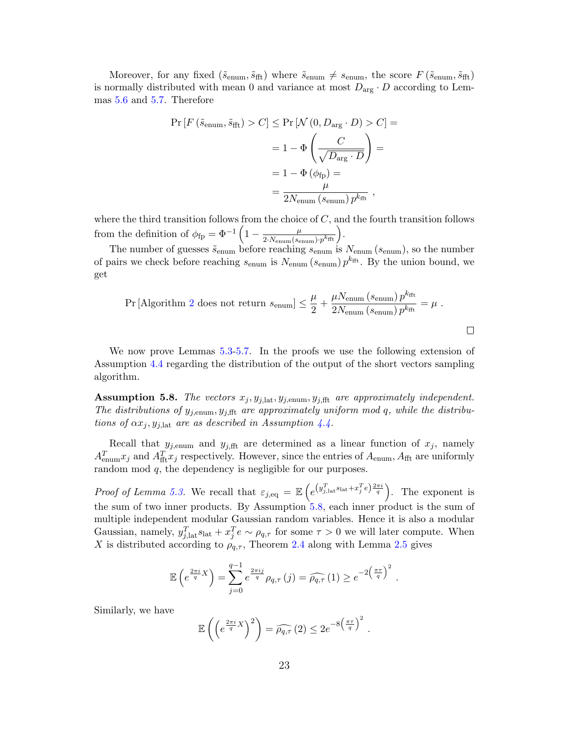Moreover, for any fixed  $(\tilde{s}_{enum}, \tilde{s}_{fft})$  where  $\tilde{s}_{enum} \neq s_{enum}$ , the score  $F(\tilde{s}_{enum}, \tilde{s}_{fft})$ is normally distributed with mean 0 and variance at most  $D_{\text{arg}} \cdot D$  according to Lemmas [5.6](#page-21-3) and [5.7.](#page-21-2) Therefore

$$
\Pr\left[F\left(\tilde{s}_{\text{enum}}, \tilde{s}_{\text{fft}}\right) > C\right] \le \Pr\left[\mathcal{N}\left(0, D_{\text{arg}} \cdot D\right) > C\right] = \\
= 1 - \Phi\left(\frac{C}{\sqrt{D_{\text{arg}} \cdot D}}\right) = \\
= 1 - \Phi\left(\phi_{\text{fp}}\right) = \\
= \frac{\mu}{2N_{\text{enum}}\left(s_{\text{enum}}\right)p^{k_{\text{fft}}}}\,,
$$

where the third transition follows from the choice of  $C$ , and the fourth transition follows from the definition of  $\phi_{fp} = \Phi^{-1} \left( 1 - \frac{\mu}{2 N} \right)$  $\frac{\mu}{2\cdot N_{\text{enum}}(s_{\text{enum}})\cdot p^{k_{\text{fft}}}}\bigg).$ 

The number of guesses  $\tilde{s}_{\text{enum}}$  before reaching  $s_{\text{enum}}$  is  $N_{\text{enum}}(s_{\text{enum}})$ , so the number of pairs we check before reaching  $s_{\text{enum}}$  is  $N_{\text{enum}}(s_{\text{enum}}) p^{k_{\text{fft}}}$ . By the union bound, we get

$$
\Pr\left[\text{Algorithm 2 does not return } s_{\text{enum}}\right] \le \frac{\mu}{2} + \frac{\mu N_{\text{enum}}\left(s_{\text{enum}}\right) p^{k_{\text{fft}}}}{2 N_{\text{enum}}\left(s_{\text{enum}}\right) p^{k_{\text{fft}}}} = \mu.
$$

We now prove Lemmas [5.3](#page-21-1)[-5.7.](#page-21-2) In the proofs we use the following extension of Assumption [4.4](#page-17-2) regarding the distribution of the output of the short vectors sampling algorithm.

<span id="page-22-0"></span>**Assumption 5.8.** The vectors  $x_j, y_{j,lat}, y_{j,enum}, y_{j,fft}$  are approximately independent. The distributions of  $y_{j, \text{enum}}, y_{j, \text{fft}}$  are approximately uniform mod q, while the distributions of  $\alpha x_i, y_{i, \text{lat}}$  are as described in Assumption [4.4.](#page-17-2)

Recall that  $y_{j, \text{enum}}$  and  $y_{j, \text{fft}}$  are determined as a linear function of  $x_j$ , namely  $A_{\text{enum}}^T x_j$  and  $A_{\text{fft}}^T x_j$  respectively. However, since the entries of  $A_{\text{enum}}$ ,  $A_{\text{fft}}$  are uniformly random mod q, the dependency is negligible for our purposes.

*Proof of Lemma [5.3.](#page-21-1)* We recall that  $\varepsilon_{j,eq} = \mathbb{E}\left(e^{(y_{j,\text{lat}}^T s_{\text{lat}} + x_j^T e)^{\frac{2\pi i}{q}}}\right)$ . The exponent is the sum of two inner products. By Assumption [5.8,](#page-22-0) each inner product is the sum of multiple independent modular Gaussian random variables. Hence it is also a modular Gaussian, namely,  $y_{j,\text{lat}}^T s_{\text{lat}} + x_j^T e \sim \rho_{q,\tau}$  for some  $\tau > 0$  we will later compute. When X is distributed according to  $\rho_{q,\tau}$ , Theorem [2.4](#page-9-0) along with Lemma [2.5](#page-9-1) gives

$$
\mathbb{E}\left(e^{\frac{2\pi i}{q}X}\right) = \sum_{j=0}^{q-1} e^{\frac{2\pi i j}{q}} \rho_{q,\tau}(j) = \widehat{\rho_{q,\tau}}(1) \geq e^{-2\left(\frac{\pi \tau}{q}\right)^2}.
$$

Similarly, we have

$$
\mathbb{E}\left(\left(e^{\frac{2\pi i}{q}X}\right)^2\right) = \widehat{\rho_{q,\tau}}(2) \leq 2e^{-8\left(\frac{\pi\tau}{q}\right)^2}.
$$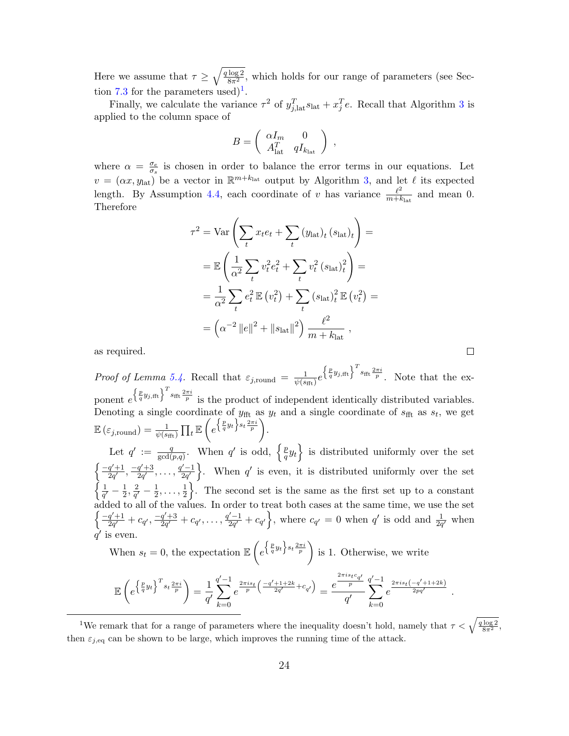Here we assume that  $\tau \geq \sqrt{\frac{q \log 2}{8\pi^2}}$ , which holds for our range of parameters (see Sec-tion [7.3](#page-38-0) for the parameters used)<sup>[1](#page-23-0)</sup>.

Finally, we calculate the variance  $\tau^2$  of  $y_{j,lat}^T s_{lat} + x_j^T e$ . Recall that Algorithm [3](#page-16-1) is applied to the column space of

$$
B = \left( \begin{array}{cc} \alpha I_m & 0 \\ A_{\rm lat}^T & q I_{k_{\rm lat}} \end{array} \right) ,
$$

where  $\alpha = \frac{\sigma_e}{\sigma_e}$  $\frac{\sigma_e}{\sigma_s}$  is chosen in order to balance the error terms in our equations. Let  $v = (\alpha x, y_{\text{lat}})$  be a vector in  $\mathbb{R}^{m+k_{\text{lat}}}$  output by Algorithm [3,](#page-16-1) and let  $\ell$  its expected length. By Assumption [4.4,](#page-17-2) each coordinate of v has variance  $\frac{\ell^2}{m+k}$  $\frac{\ell^2}{m+k_{\text{lat}}}$  and mean 0. Therefore

$$
\tau^2 = \text{Var}\left(\sum_t x_t e_t + \sum_t (y_{\text{lat}})_t (s_{\text{lat}})_t\right) =
$$
  
\n
$$
= \mathbb{E}\left(\frac{1}{\alpha^2} \sum_t v_t^2 e_t^2 + \sum_t v_t^2 (s_{\text{lat}})_t^2\right) =
$$
  
\n
$$
= \frac{1}{\alpha^2} \sum_t e_t^2 \mathbb{E}(v_t^2) + \sum_t (s_{\text{lat}})_t^2 \mathbb{E}(v_t^2) =
$$
  
\n
$$
= \left(\alpha^{-2} \|e\|^2 + \|s_{\text{lat}}\|^2\right) \frac{\ell^2}{m + k_{\text{lat}}},
$$

 $\Box$ 

as required.

Proof of Lemma [5.4.](#page-21-0) Recall that  $\varepsilon_{j, \text{round}} = \frac{1}{\psi(s)}$  $\frac{1}{\psi(s_{\text{fft}})}e^{\left\{\frac{p}{q}y_{j,\text{fft}}\right\}^T s_{\text{fft}}\frac{2\pi i}{p}}$ . Note that the exponent  $e^{\left\{\frac{p}{q}y_{j,\text{fft}}\right\}^T s_{\text{fft}} \frac{2\pi i}{p}}$  is the product of independent identically distributed variables. Denoting a single coordinate of  $y_{\text{fft}}$  as  $y_t$  and a single coordinate of  $s_{\text{fft}}$  as  $s_t$ , we get  $\mathbb{E}\left(\varepsilon_{j,\mathrm{round}}\right)=\frac{1}{\psi(s_\mathrm{fft})}\prod_{t}\mathbb{E}\left(e^{\left\{\frac{p}{q}y_t\right\} s_t\frac{2\pi i}{p}}\right).$ Let  $q' := \frac{q}{\gcd(\ell)}$  $\frac{q}{\gcd(p,q)}$ . When q' is odd,  $\left\{\frac{p}{q}\right\}$  $\left\{\frac{p}{q}y_t\right\}$  is distributed uniformly over the set  $\int -q'+1$  $\frac{q'+1}{2q'}$ ,  $\frac{-q'+3}{2q'}$  $\frac{q'+3}{2q'}$ , ...,  $\frac{q'-1}{2q'}$  $\left\{\frac{y-1}{2q'}\right\}$ . When q' is even, it is distributed uniformly over the set  $\int$   $\frac{1}{2}$  $\frac{1}{q'}-\frac{1}{2}$  $\frac{1}{2}, \frac{2}{q'}$  $\frac{2}{q'}-\frac{1}{2}$  $\frac{1}{2}, \ldots, \frac{1}{2}$  $\frac{1}{2}$ . The second set is the same as the first set up to a constant added to all of the values. In order to treat both cases at the same time, we use the set  $\int \frac{-q'+1}{-q+1}$  $\frac{q'+1}{2q'} + c_{q'}$ ,  $\frac{-q'+3}{2q'}$  $\frac{q'+3}{2q'}+c_{q'},\ldots,\frac{q'-1}{2q'}$  $\left(\frac{c'-1}{2q'}+c_{q'}\right)$ , where  $c_{q'}=0$  when q' is odd and  $\frac{1}{2q'}$  when

 $\tilde{q'}$  is even. When  $s_t = 0$ , the expectation  $\mathbb{E}\left(e^{\left\{\frac{p}{q}y_t\right\} s_t \frac{2\pi i}{p}}\right)$  is 1. Otherwise, we write

$$
\mathbb{E}\left(e^{\left\{\frac{p}{q}y_t\right\}^T s_t \frac{2\pi i}{p}}\right) = \frac{1}{q'}\sum_{k=0}^{q'-1} e^{\frac{2\pi i s_t}{p} \left(\frac{-q'+1+2k}{2q'} + c_{q'}\right)} = \frac{e^{\frac{2\pi i s_t c_{q'}}{p}}}{q'}\sum_{k=0}^{q'-1} e^{\frac{2\pi i s_t (-q'+1+2k)}{2pq'}}.
$$

<span id="page-23-0"></span><sup>1</sup>We remark that for a range of parameters where the inequality doesn't hold, namely that  $\tau < \sqrt{\frac{q \log 2}{8\pi^2}}$ , then  $\varepsilon_{j,\text{eq}}$  can be shown to be large, which improves the running time of the attack.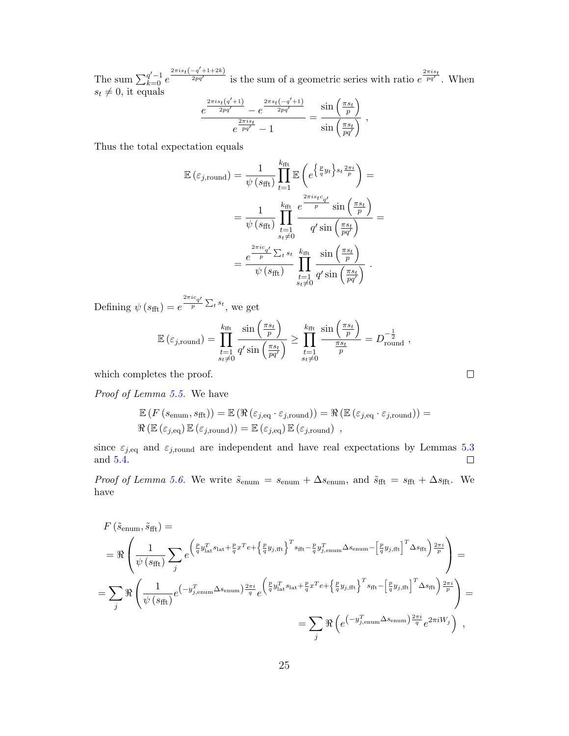The sum  $\sum_{k=0}^{q'-1} e^{-k}$  $\frac{2\pi i s_t(-q'+1+2k)}{2pq'}$  is the sum of a geometric series with ratio  $e^{\frac{2\pi i s_t}{pq'}}$ . When  $s_t \neq 0$ , it equals

$$
\frac{e^{\frac{2\pi i s_t(q'+1)}{2pq'}}-e^{\frac{2\pi s_t(-q'+1)}{2pq'}}}{e^{\frac{2\pi i s_t}{pq'}}-1}=\frac{\sin\left(\frac{\pi s_t}{p}\right)}{\sin\left(\frac{\pi s_t}{pq'}\right)}\;,
$$

Thus the total expectation equals

$$
\mathbb{E}(\varepsilon_{j,\text{round}}) = \frac{1}{\psi(s_{\text{fft}})} \prod_{t=1}^{k_{\text{fft}}} \mathbb{E}\left(e^{\left\{\frac{p}{q}y_t\right\} s_t \frac{2\pi i s_t}{p}}\right) =
$$
\n
$$
= \frac{1}{\psi(s_{\text{fft}})} \prod_{\substack{t=1 \ s_t \neq 0}}^{k_{\text{fft}}} \frac{e^{\frac{2\pi i s_t c_{q'}}{p}}}{q' \sin\left(\frac{\pi s_t}{pq'}\right)} =
$$
\n
$$
= \frac{e^{\frac{2\pi i c_{q'}}{p}} \sum_{t} s_t}{\psi(s_{\text{fft}})} \prod_{\substack{t=1 \ s_t \neq 0}}^{k_{\text{fft}}} \frac{\sin\left(\frac{\pi s_t}{p}\right)}{q' \sin\left(\frac{\pi s_t}{pq'}\right)}.
$$

Defining  $\psi(s_{\text{fft}}) = e$  $^{2\pi i c}q'$  $\frac{q'}{p} \sum_{t} s_t$ , we get

$$
\mathbb{E}\left(\varepsilon_{j,\text{round}}\right) = \prod_{\substack{t=1\\s_t\neq 0}}^{k_{\text{fft}}}\frac{\sin\left(\frac{\pi s_t}{p}\right)}{q'\sin\left(\frac{\pi s_t}{pq'}\right)} \ge \prod_{\substack{t=1\\s_t\neq 0}}^{k_{\text{fft}}}\frac{\sin\left(\frac{\pi s_t}{p}\right)}{\frac{\pi s_t}{p}} = D_{\text{round}}^{-\frac{1}{2}},
$$

which completes the proof.

Proof of Lemma [5.5.](#page-21-4) We have

$$
\mathbb{E}\left(F\left(s_{\text{enum}}, s_{\text{fft}}\right)\right) = \mathbb{E}\left(\Re\left(\varepsilon_{j,\text{eq}} \cdot \varepsilon_{j,\text{round}}\right)\right) = \Re\left(\mathbb{E}\left(\varepsilon_{j,\text{eq}} \cdot \varepsilon_{j,\text{round}}\right)\right) = \Re\left(\mathbb{E}\left(\varepsilon_{j,\text{eq}} \cdot \varepsilon_{j,\text{round}}\right)\right) = \Re\left(\mathbb{E}\left(\varepsilon_{j,\text{eq}}\right)\mathbb{E}\left(\varepsilon_{j,\text{round}}\right)\right) = \mathbb{E}\left(\varepsilon_{j,\text{round}}\right) \,,
$$

since  $\varepsilon_{j,\text{eq}}$  and  $\varepsilon_{j,\text{round}}$  are independent and have real expectations by Lemmas [5.3](#page-21-1) and [5.4.](#page-21-0)  $\Box$ 

*Proof of Lemma [5.6.](#page-21-3)* We write  $\tilde{s}_{\text{enum}} = s_{\text{enum}} + \Delta s_{\text{enum}}$ , and  $\tilde{s}_{\text{fft}} = s_{\text{fft}} + \Delta s_{\text{fft}}$ . We have

$$
F(\tilde{s}_{\text{enum}}, \tilde{s}_{\text{fft}}) =
$$
\n
$$
= \Re \left( \frac{1}{\psi (s_{\text{fft}})} \sum_{j} e^{\left( \frac{p}{q} y_{\text{lat}}^T s_{\text{lat}} + \frac{p}{q} x^T e + \left\{ \frac{p}{q} y_{j,\text{fft}} \right\}^T s_{\text{fft}} - \frac{p}{q} y_{j,\text{enum}}^T \Delta s_{\text{enum}} - \left[ \frac{p}{q} y_{j,\text{fft}} \right]^T \Delta s_{\text{fft}} \right) \frac{2\pi i}{p}} \right) =
$$
\n
$$
= \sum_{j} \Re \left( \frac{1}{\psi (s_{\text{fft}})} e^{\left( -y_{j,\text{enum}}^T \Delta s_{\text{enum}} \right) \frac{2\pi i}{q}} e^{\left( \frac{p}{q} y_{\text{lat}}^T s_{\text{lat}} + \frac{p}{q} x^T e + \left\{ \frac{p}{q} y_{j,\text{fft}} \right\}^T s_{\text{fft}} - \left[ \frac{p}{q} y_{j,\text{fft}} \right]^T \Delta s_{\text{fft}} \right) \frac{2\pi i}{p}} \right) =
$$
\n
$$
= \sum_{j} \Re \left( e^{\left( -y_{j,\text{enum}}^T \Delta s_{\text{enum}} \Delta s_{\text{enum}} \right) \frac{2\pi i}{q}} e^{2\pi i W_j} \right),
$$

 $\Box$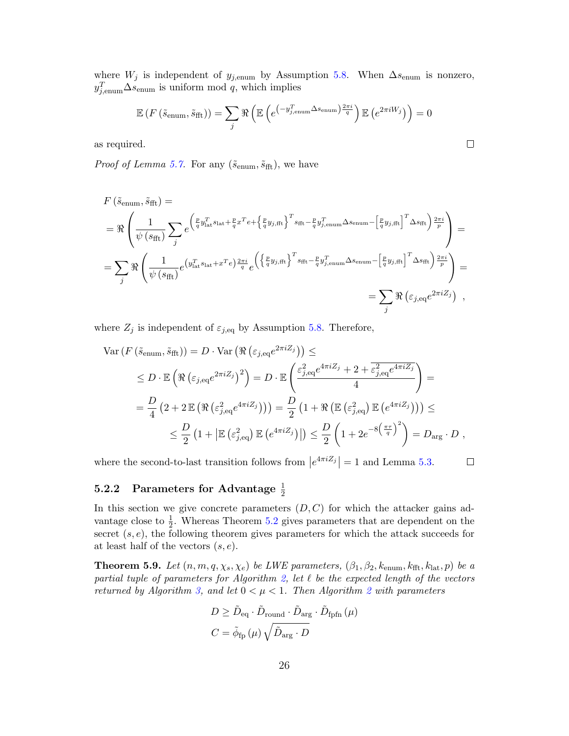where  $W_j$  is independent of  $y_{j, \text{enum}}$  by Assumption [5.8.](#page-22-0) When  $\Delta s_{\text{enum}}$  is nonzero,  $y_{j, \text{enum}}^T \Delta s_{\text{enum}}$  is uniform mod q, which implies

$$
\mathbb{E}\left(F\left(\tilde{s}_{\text{enum}}, \tilde{s}_{\text{fft}}\right)\right) = \sum_{j} \Re\left(\mathbb{E}\left(e^{\left(-y_{j,\text{enum}}^T \Delta s_{\text{enum}}\right) \frac{2\pi i}{q}}\right) \mathbb{E}\left(e^{2\pi i W_j}\right)\right) = 0
$$

as required.

*Proof of Lemma [5.7.](#page-21-2)* For any  $(\tilde{s}_{enum}, \tilde{s}_{fft})$ , we have

$$
F(\tilde{s}_{\text{enum}}, \tilde{s}_{\text{fft}}) =
$$
\n
$$
= \Re \left( \frac{1}{\psi (s_{\text{fft}})} \sum_{j} e^{\left( \frac{p}{q} y_{\text{lat}}^T s_{\text{lat}} + \frac{p}{q} x^T e + \left\{ \frac{p}{q} y_{j,\text{fft}} \right\}^T s_{\text{fft}} - \frac{p}{q} y_{j,\text{enum}}^T \Delta s_{\text{enum}} - \left[ \frac{p}{q} y_{j,\text{fft}} \right]^T \Delta s_{\text{fft}} \right) \frac{2\pi i}{p}} \right) =
$$
\n
$$
= \sum_{j} \Re \left( \frac{1}{\psi (s_{\text{fft}})} e^{\left( y_{\text{lat}}^T s_{\text{lat}} + x^T e \right) \frac{2\pi i}{q}} e^{\left( \left\{ \frac{p}{q} y_{j,\text{fft}} \right\}^T s_{\text{fft}} - \frac{p}{q} y_{j,\text{enum}}^T \Delta s_{\text{enum}} - \left[ \frac{p}{q} y_{j,\text{fft}} \right]^T \Delta s_{\text{fft}} \right) \frac{2\pi i}{p}} \right) =
$$
\n
$$
= \sum_{j} \Re \left( \varepsilon_{j,\text{eq}} e^{2\pi i Z_j} \right) ,
$$

where  $Z_j$  is independent of  $\varepsilon_{j,\text{eq}}$  by Assumption [5.8.](#page-22-0) Therefore,

$$
\begin{split} \text{Var}\left(F\left(\tilde{s}_{\text{enum}}, \tilde{s}_{\text{fft}}\right)\right) &= D \cdot \text{Var}\left(\Re\left(\varepsilon_{j,\text{eq}}e^{2\pi i Z_j}\right)\right) \leq \\ &\leq D \cdot \mathbb{E}\left(\Re\left(\varepsilon_{j,\text{eq}}e^{2\pi i Z_j}\right)^2\right) = D \cdot \mathbb{E}\left(\frac{\varepsilon_{j,\text{eq}}^2 e^{4\pi i Z_j} + 2 + \overline{\varepsilon_{j,\text{eq}}^2 e^{4\pi i Z_j}}}{4}\right) = \\ &= \frac{D}{4}\left(2 + 2\mathbb{E}\left(\Re\left(\varepsilon_{j,\text{eq}}^2e^{4\pi i Z_j}\right)\right)\right) = \frac{D}{2}\left(1 + \Re\left(\mathbb{E}\left(\varepsilon_{j,\text{eq}}^2\right)\mathbb{E}\left(e^{4\pi i Z_j}\right)\right)\right) \leq \\ &\leq \frac{D}{2}\left(1 + \left|\mathbb{E}\left(\varepsilon_{j,\text{eq}}^2\right)\mathbb{E}\left(e^{4\pi i Z_j}\right)\right|\right) \leq \frac{D}{2}\left(1 + 2e^{-8\left(\frac{\pi \tau}{q}\right)^2}\right) = D_{\text{arg}} \cdot D \;, \end{split}
$$

where the second-to-last transition follows from  $\left|e^{4\pi i Z_j}\right| = 1$  and Lemma [5.3.](#page-21-1)  $\Box$ 

# 5.2.2 Parameters for Advantage  $\frac{1}{2}$

In this section we give concrete parameters  $(D, C)$  for which the attacker gains advantage close to  $\frac{1}{2}$ . Whereas Theorem [5.2](#page-20-0) gives parameters that are dependent on the secret  $(s, e)$ , the following theorem gives parameters for which the attack succeeds for at least half of the vectors  $(s, e)$ .

<span id="page-25-0"></span>**Theorem 5.9.** Let  $(n, m, q, \chi_s, \chi_e)$  be LWE parameters,  $(\beta_1, \beta_2, k_{\text{enum}}, k_{\text{fft}}, k_{\text{lat}}, p)$  be a partial tuple of parameters for Algorithm [2,](#page-14-0) let  $\ell$  be the expected length of the vectors returned by Algorithm [3,](#page-16-1) and let  $0 < \mu < 1$ . Then Algorithm [2](#page-14-0) with parameters

$$
D \geq \tilde{D}_{\text{eq}} \cdot \tilde{D}_{\text{round}} \cdot \tilde{D}_{\text{arg}} \cdot \tilde{D}_{\text{fpfn}} (\mu)
$$

$$
C = \tilde{\phi}_{\text{fp}} (\mu) \sqrt{\tilde{D}_{\text{arg}} \cdot D}
$$

$$
\qquad \qquad \Box
$$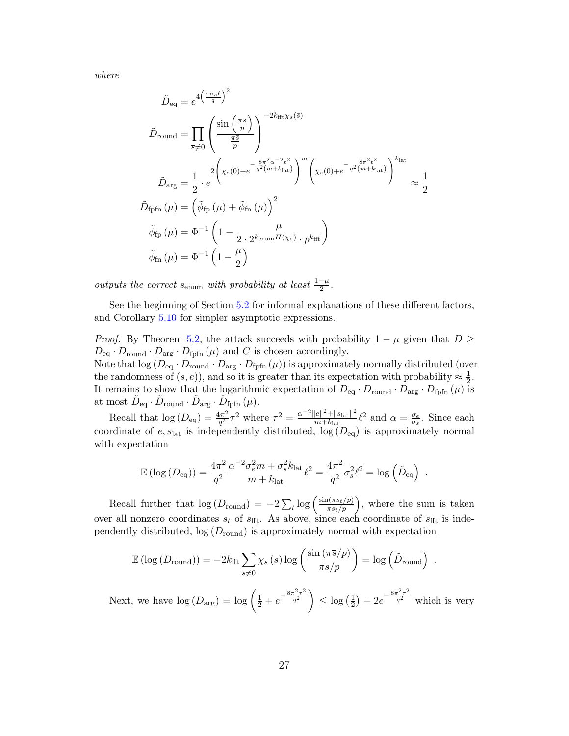where

$$
\tilde{D}_{\text{equ}} = e^{4\left(\frac{\pi\sigma_s\ell}{q}\right)^2}
$$
\n
$$
\tilde{D}_{\text{round}} = \prod_{\bar{s}\neq 0} \left(\frac{\sin\left(\frac{\pi\bar{s}}{p}\right)}{\frac{\pi\bar{s}}{p}}\right)^{-2k_{\text{fft}}\chi_s(\bar{s})}
$$
\n
$$
\tilde{D}_{\text{arg}} = \frac{1}{2} \cdot e^{2\left(\chi_e(0) + e^{-\frac{8\pi^2\alpha^{-2}\ell^2}{q^2(m+k_{\text{lat}})}}\right)^m \left(\chi_s(0) + e^{-\frac{8\pi^2\ell^2}{q^2(m+k_{\text{lat}})}}\right)^{k_{\text{lat}}}}
$$
\n
$$
\tilde{D}_{\text{fpfn}}(\mu) = \left(\tilde{\phi}_{\text{fp}}(\mu) + \tilde{\phi}_{\text{fn}}(\mu)\right)^2
$$
\n
$$
\tilde{\phi}_{\text{fp}}(\mu) = \Phi^{-1}\left(1 - \frac{\mu}{2 \cdot 2^{k_{\text{enum}}H(\chi_s)} \cdot p^{k_{\text{fft}}}}\right)
$$
\n
$$
\tilde{\phi}_{\text{fn}}(\mu) = \Phi^{-1}\left(1 - \frac{\mu}{2}\right)
$$

outputs the correct  $s_{\text{enum}}$  with probability at least  $\frac{1-\mu}{2}$ .

See the beginning of Section [5.2](#page-18-0) for informal explanations of these different factors, and Corollary [5.10](#page-28-0) for simpler asymptotic expressions.

*Proof.* By Theorem [5.2,](#page-20-0) the attack succeeds with probability  $1 - \mu$  given that  $D \geq$  $D_{\text{eq}} \cdot D_{\text{round}} \cdot D_{\text{arg}} \cdot D_{\text{fpfn}}(\mu)$  and C is chosen accordingly. Note that  $log (D_{eq} \cdot D_{round} \cdot D_{arg} \cdot D_{fpfn} (\mu))$  is approximately normally distributed (over the randomness of  $(s, e)$ , and so it is greater than its expectation with probability  $\approx \frac{1}{2}$  $\frac{1}{2}$ . It remains to show that the logarithmic expectation of  $D_{\text{eq}} \cdot D_{\text{round}} \cdot D_{\text{arg}} \cdot D_{\text{fpfn}} (\mu)$  is at most  $\tilde{D}_{\text{eq}} \cdot \tilde{D}_{\text{round}} \cdot \tilde{D}_{\text{arg}} \cdot \tilde{D}_{\text{fpfn}}(\mu)$ .

Recall that  $log(D_{eq}) = \frac{4\pi^2}{a^2}$  $\frac{4\pi^2}{q^2}\tau^2$  where  $\tau^2 = \frac{\alpha^{-2}||e||^2 + ||s_{\text{lat}}||^2}{m+k_{\text{lat}}}$  $\frac{\|e\|^2 + \|s_{\text{lat}}\|^2}{m + k_{\text{lat}}}$  (2 and  $\alpha = \frac{\sigma_e}{\sigma_s}$  $\frac{\sigma_e}{\sigma_s}$ . Since each coordinate of  $e$ ,  $s<sub>lat</sub>$  is independently distributed,  $log(D<sub>eq</sub>)$  is approximately normal with expectation

$$
\mathbb{E} (\log (D_{\text{eq}})) = \frac{4\pi^2}{q^2} \frac{\alpha^{-2} \sigma_e^2 m + \sigma_s^2 k_{\text{lat}}}{m + k_{\text{lat}}} \ell^2 = \frac{4\pi^2}{q^2} \sigma_s^2 \ell^2 = \log \left( \tilde{D}_{\text{eq}} \right) .
$$

Recall further that  $\log(D_{\text{round}}) = -2\sum_{t} \log\left(\frac{\sin(\pi s_t/p)}{\pi s_t/p}\right)$ , where the sum is taken over all nonzero coordinates  $s_t$  of  $s_{\text{fft}}$ . As above, since each coordinate of  $s_{\text{fft}}$  is independently distributed,  $log(D_{round})$  is approximately normal with expectation

$$
\mathbb{E} (\log (D_{\text{round}})) = -2k_{\text{fft}} \sum_{\overline{s} \neq 0} \chi_s (\overline{s}) \log \left( \frac{\sin (\pi \overline{s}/p)}{\pi \overline{s}/p} \right) = \log \left( \tilde{D}_{\text{round}} \right) .
$$

Next, we have  $\log(D_{\text{arg}}) = \log \left(\frac{1}{2} + e^{-\frac{8\pi^2 \tau^2}{q^2}}\right)$  $\frac{\pi^2 \tau^2}{q^2}$   $\Big\} \leq \log \left( \frac{1}{2} \right)$  $(\frac{1}{2})+2e^{-\frac{8\pi^2\tau^2}{q^2}}$  $\overline{q^2}$  which is very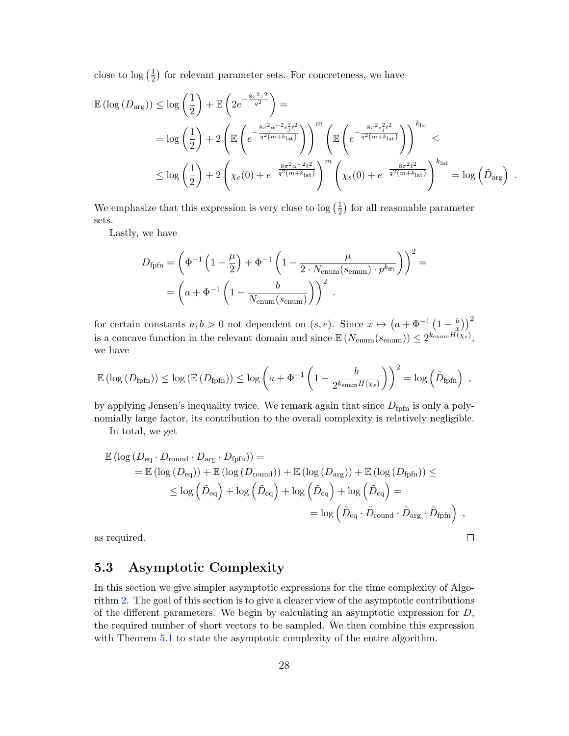close to  $\log\left(\frac{1}{2}\right)$  $\frac{1}{2}$ ) for relevant parameter sets. For concreteness, we have

$$
\mathbb{E} \left( \log \left( D_{\text{arg}} \right) \right) \leq \log \left( \frac{1}{2} \right) + \mathbb{E} \left( 2e^{-\frac{8\pi^2 \sigma^2}{q^2}} \right) =
$$
\n
$$
= \log \left( \frac{1}{2} \right) + 2 \left( \mathbb{E} \left( e^{-\frac{8\pi^2 \alpha^{-2} e_j^2 \ell^2}{q^2 (m + k_{\text{lat}})}} \right) \right)^m \left( \mathbb{E} \left( e^{-\frac{8\pi^2 s_j^2 \ell^2}{q^2 (m + k_{\text{lat}})}} \right) \right)^{k_{\text{lat}}} \leq
$$
\n
$$
\leq \log \left( \frac{1}{2} \right) + 2 \left( \chi_e(0) + e^{-\frac{8\pi^2 \alpha^{-2} \ell^2}{q^2 (m + k_{\text{lat}})}} \right)^m \left( \chi_s(0) + e^{-\frac{8\pi^2 \ell^2}{q^2 (m + k_{\text{lat}})}} \right)^{k_{\text{lat}}} = \log \left( \tilde{D}_{\text{arg}} \right) .
$$

We emphasize that this expression is very close to  $\log(\frac{1}{2})$  $\frac{1}{2}$ ) for all reasonable parameter sets.

Lastly, we have

$$
D_{\text{fpfn}} = \left(\Phi^{-1}\left(1 - \frac{\mu}{2}\right) + \Phi^{-1}\left(1 - \frac{\mu}{2 \cdot N_{\text{enum}}(s_{\text{enum}}) \cdot p^{k_{\text{fft}}}}\right)\right)^2 =
$$

$$
= \left(a + \Phi^{-1}\left(1 - \frac{b}{N_{\text{enum}}(s_{\text{enum}})}\right)\right)^2.
$$

for certain constants  $a, b > 0$  not dependent on  $(s, e)$ . Since  $x \mapsto (a + \Phi^{-1}) \left(1 - \frac{b}{x}\right)$  $(\frac{b}{x})\big)^2$ is a concave function in the relevant domain and since  $\mathbb{E}(N_{\text{enum}}(s_{\text{enum}})) \leq 2^{k_{\text{enum}}H(\chi_s)},$ we have

$$
\mathbb{E} \left( \log \left( D_{\text{fpfn}} \right) \right) \leq \log \left( \mathbb{E} \left( D_{\text{fpfn}} \right) \right) \leq \log \left( a + \Phi^{-1} \left( 1 - \frac{b}{2^{k_{\text{enum}} H(\chi_s)}} \right) \right)^2 = \log \left( \tilde{D}_{\text{fpfn}} \right) ,
$$

by applying Jensen's inequality twice. We remark again that since  $D_{\text{fpfn}}$  is only a polynomially large factor, its contribution to the overall complexity is relatively negligible.

In total, we get

$$
\mathbb{E} (\log (D_{\text{eq}} \cdot D_{\text{round}} \cdot D_{\text{arg}} \cdot D_{\text{fpfn}})) =
$$
\n
$$
= \mathbb{E} (\log (D_{\text{eq}})) + \mathbb{E} (\log (D_{\text{round}})) + \mathbb{E} (\log (D_{\text{arg}})) + \mathbb{E} (\log (D_{\text{fpfn}})) \le
$$
\n
$$
\le \log \left(\tilde{D}_{\text{eq}}\right) + \log \left(\tilde{D}_{\text{eq}}\right) + \log \left(\tilde{D}_{\text{eq}}\right) + \log \left(\tilde{D}_{\text{eq}}\right) =
$$
\n
$$
= \log \left(\tilde{D}_{\text{eq}} \cdot \tilde{D}_{\text{round}} \cdot \tilde{D}_{\text{arg}} \cdot \tilde{D}_{\text{fpfn}}\right),
$$
\nrequired.

as required.

## 5.3 Asymptotic Complexity

In this section we give simpler asymptotic expressions for the time complexity of Algorithm [2.](#page-14-0) The goal of this section is to give a clearer view of the asymptotic contributions of the different parameters. We begin by calculating an asymptotic expression for  $D$ , the required number of short vectors to be sampled. We then combine this expression with Theorem [5.1](#page-18-1) to state the asymptotic complexity of the entire algorithm.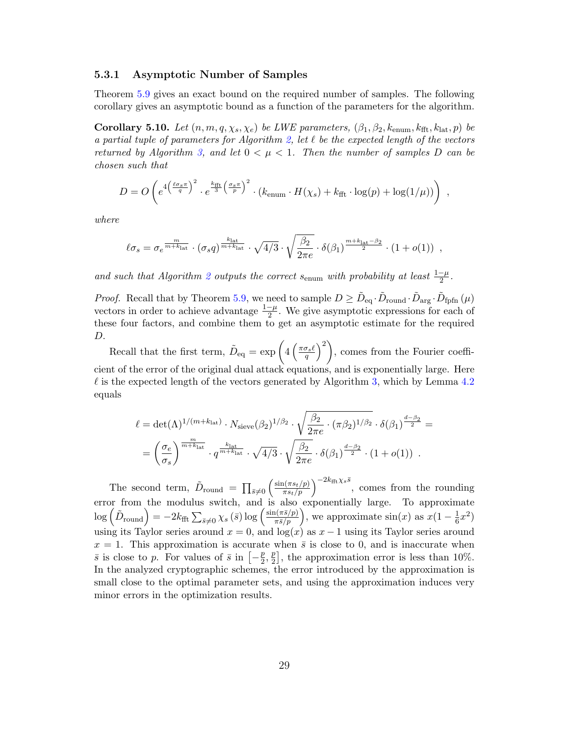#### 5.3.1 Asymptotic Number of Samples

Theorem [5.9](#page-25-0) gives an exact bound on the required number of samples. The following corollary gives an asymptotic bound as a function of the parameters for the algorithm.

<span id="page-28-0"></span>Corollary 5.10. Let  $(n, m, q, \chi_s, \chi_e)$  be LWE parameters,  $(\beta_1, \beta_2, k_{\text{enum}}, k_{\text{fft}}, k_{\text{lat}}, p)$  be a partial tuple of parameters for Algorithm [2,](#page-14-0) let  $\ell$  be the expected length of the vectors returned by Algorithm [3,](#page-16-1) and let  $0 < \mu < 1$ . Then the number of samples D can be chosen such that

$$
D = O\left(e^{4\left(\frac{\ell \sigma_s \pi}{q}\right)^2} \cdot e^{\frac{k_{\text{fft}}}{3}\left(\frac{\sigma_s \pi}{p}\right)^2} \cdot (k_{\text{enum}} \cdot H(\chi_s) + k_{\text{fft}} \cdot \log(p) + \log(1/\mu))\right) ,
$$

where

$$
\ell \sigma_s = \sigma_e^{\frac{m}{m+k_{\rm lat}}} \cdot \left( \sigma_s q \right)^{\frac{k_{\rm lat}}{m+k_{\rm lat}}} \cdot \sqrt{4/3} \cdot \sqrt{\frac{\beta_2}{2 \pi e}} \cdot \delta(\beta_1)^{\frac{m+k_{\rm lat}-\beta_2}{2}} \cdot \left( 1 + o(1) \right) ,
$$

and such that Algorithm [2](#page-14-0) outputs the correct s<sub>enum</sub> with probability at least  $\frac{1-\mu}{2}$ .

*Proof.* Recall that by Theorem [5.9,](#page-25-0) we need to sample  $D \geq \tilde{D}_{eq} \cdot \tilde{D}_{round} \cdot \tilde{D}_{arg} \cdot \tilde{D}_{fpfn}(\mu)$ vectors in order to achieve advantage  $\frac{1-\mu}{2}$ . We give asymptotic expressions for each of these four factors, and combine them to get an asymptotic estimate for the required D.

Recall that the first term,  $\tilde{D}_{\text{eq}} = \exp\left(4\left(\frac{\pi \sigma_s \ell}{q}\right)^2\right)$ , comes from the Fourier coefficient of the error of the original dual attack equations, and is exponentially large. Here  $\ell$  is the expected length of the vectors generated by Algorithm [3,](#page-16-1) which by Lemma [4.2](#page-17-1) equals

$$
\ell = \det(\Lambda)^{1/(m+k_{\text{lat}})} \cdot N_{\text{sieve}}(\beta_2)^{1/\beta_2} \cdot \sqrt{\frac{\beta_2}{2\pi e} \cdot (\pi \beta_2)^{1/\beta_2}} \cdot \delta(\beta_1)^{\frac{d-\beta_2}{2}} =
$$
  
= 
$$
\left(\frac{\sigma_e}{\sigma_s}\right)^{\frac{m}{m+k_{\text{lat}}}} \cdot q^{\frac{k_{\text{lat}}}{m+k_{\text{lat}}}} \cdot \sqrt{4/3} \cdot \sqrt{\frac{\beta_2}{2\pi e}} \cdot \delta(\beta_1)^{\frac{d-\beta_2}{2}} \cdot (1+o(1)) .
$$

The second term,  $\tilde{D}_{\text{round}} = \prod_{\bar{s}\neq 0} \left( \frac{\sin(\pi s_t/p)}{\pi s_t/p} \right)^{-2k_{\text{fft}}\chi_s \bar{s}}$ , comes from the rounding error from the modulus switch, and is also exponentially large. To approximate  $\log\left(\tilde{D}_{\rm round}\right)=-2k_{\rm fft}\sum_{\bar{s}\neq 0}\chi_s\left(\bar{s}\right)\log\left(\frac{\sin(\pi\bar{s}/p)}{\pi\bar{s}/p}\right)$  $\frac{\ln(\pi \bar{s}/p)}{\pi \bar{s}/p}$ , we approximate  $\sin(x)$  as  $x(1-\frac{1}{6})$  $\frac{1}{6}x^2$ using its Taylor series around  $x = 0$ , and  $log(x)$  as  $x - 1$  using its Taylor series around  $x = 1$ . This approximation is accurate when  $\bar{s}$  is close to 0, and is inaccurate when  $\bar{s}$  is close to p. For values of  $\bar{s}$  in  $\left[-\frac{p}{2}\right]$  $\frac{p}{2}, \frac{p}{2}$  $\frac{p}{2}$ , the approximation error is less than 10%. In the analyzed cryptographic schemes, the error introduced by the approximation is small close to the optimal parameter sets, and using the approximation induces very minor errors in the optimization results.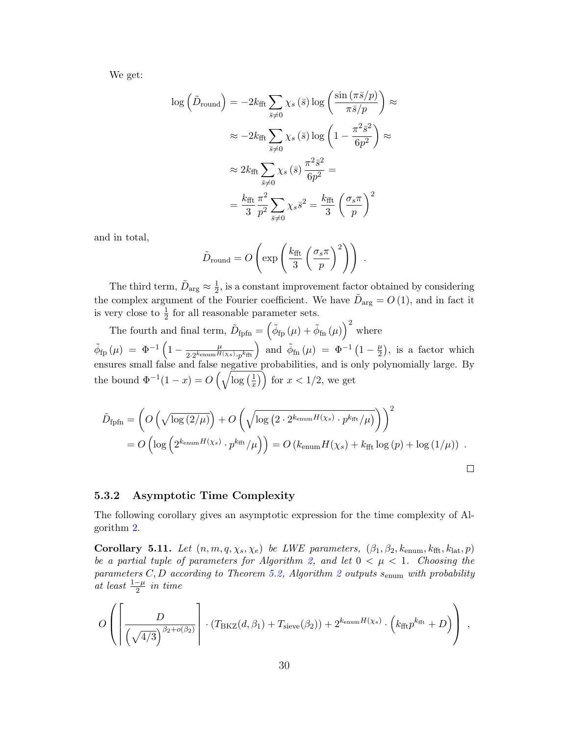We get:

$$
\log\left(\tilde{D}_{\text{round}}\right) = -2k_{\text{fft}} \sum_{\bar{s}\neq 0} \chi_s\left(\bar{s}\right) \log\left(\frac{\sin\left(\pi \bar{s}/p\right)}{\pi \bar{s}/p}\right) \approx
$$

$$
\approx -2k_{\text{fft}} \sum_{\bar{s}\neq 0} \chi_s\left(\bar{s}\right) \log\left(1 - \frac{\pi^2 \bar{s}^2}{6p^2}\right) \approx
$$

$$
\approx 2k_{\text{fft}} \sum_{\bar{s}\neq 0} \chi_s\left(\bar{s}\right) \frac{\pi^2 \bar{s}^2}{6p^2} =
$$

$$
= \frac{k_{\text{fft}}}{3} \frac{\pi^2}{p^2} \sum_{\bar{s}\neq 0} \chi_s \bar{s}^2 = \frac{k_{\text{fft}}}{3} \left(\frac{\sigma_s \pi}{p}\right)^2
$$

and in total,

$$
\tilde{D}_{\text{round}} = O\left(\exp\left(\frac{k_{\text{fft}}}{3}\left(\frac{\sigma_s \pi}{p}\right)^2\right)\right) \; .
$$

The third term,  $\tilde{D}_{\text{arg}} \approx \frac{1}{2}$  $\frac{1}{2}$ , is a constant improvement factor obtained by considering the complex argument of the Fourier coefficient. We have  $\tilde{D}_{\text{arg}} = O(1)$ , and in fact it is very close to  $\frac{1}{2}$  for all reasonable parameter sets.

The fourth and final term,  $\tilde{D}_{\text{fpfn}} = (\tilde{\phi}_{\text{fp}}(\mu) + \tilde{\phi}_{\text{fn}}(\mu))^{2}$  where  $\tilde{\phi}_{\text{fp}}\left(\mu\right) \;=\; \Phi^{-1}\left(1-\frac{\mu}{2.2k_{\text{enum}}H}\right)$  $\frac{\mu}{2 \cdot 2^{k_{\text{enum}} H(x_s)} \cdot p^{k_{\text{fft}}}}$  and  $\tilde{\phi}_{\text{fn}}(\mu) = \Phi^{-1}(1 - \frac{\mu}{2})$  $(\frac{\mu}{2})$ , is a factor which ensures small false and false negative probabilities, and is only polynomially large. By the bound  $\Phi^{-1}(1-x) = O\left(\sqrt{\log\left(\frac{1}{x}\right)}\right)$  $\left(\frac{1}{x}\right)$  for  $x < 1/2$ , we get

$$
\tilde{D}_{\text{fpfn}} = \left( O\left(\sqrt{\log(2/\mu)}\right) + O\left(\sqrt{\log\left(2 \cdot 2^{k_{\text{enum}}H(\chi_s)} \cdot p^{k_{\text{fft}}}/\mu\right)}\right) \right)^2
$$
\n
$$
= O\left(\log\left(2^{k_{\text{enum}}H(\chi_s)} \cdot p^{k_{\text{fft}}}/\mu\right)\right) = O\left(k_{\text{enum}}H(\chi_s) + k_{\text{fft}}\log\left(p\right) + \log\left(1/\mu\right)\right) .
$$

#### 5.3.2 Asymptotic Time Complexity

The following corollary gives an asymptotic expression for the time complexity of Algorithm [2.](#page-14-0)

<span id="page-29-0"></span>Corollary 5.11. Let  $(n, m, q, \chi_s, \chi_e)$  be LWE parameters,  $(\beta_1, \beta_2, k_{\text{enum}}, k_{\text{fft}}, k_{\text{lat}}, p)$ be a partial tuple of parameters for Algorithm [2,](#page-14-0) and let  $0 < \mu < 1$ . Choosing the parameters C, D according to Theorem [5.2,](#page-20-0) Algorithm [2](#page-14-0) outputs s<sub>enum</sub> with probability at least  $\frac{1-\mu}{2}$  in time

$$
O\left(\left[\frac{D}{\left(\sqrt{4/3}\right)^{\beta_2+o(\beta_2)}}\right] \cdot (T_{\text{BKZ}}(d,\beta_1) + T_{\text{sieve}}(\beta_2)) + 2^{k_{\text{enum}}H(\chi_s)} \cdot \left(k_{\text{fft}}p^{k_{\text{fft}}} + D\right)\right),
$$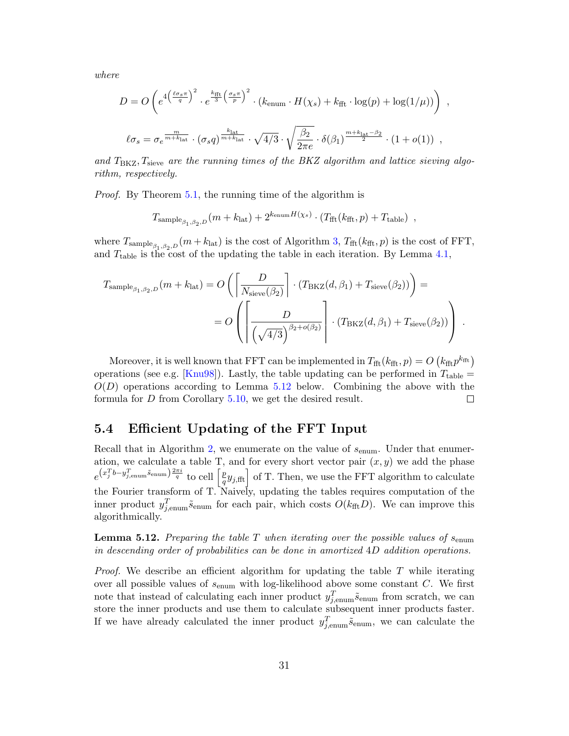where

$$
D = O\left(e^{4\left(\frac{\ell\sigma_s\pi}{q}\right)^2} \cdot e^{\frac{k_{\text{fft}}}{3}\left(\frac{\sigma_s\pi}{p}\right)^2} \cdot (k_{\text{enum}} \cdot H(\chi_s) + k_{\text{fft}} \cdot \log(p) + \log(1/\mu))\right) ,
$$
  

$$
\ell\sigma_s = \sigma_e^{\frac{m}{m+k_{\text{lat}}}} \cdot (\sigma_s q)^{\frac{k_{\text{lat}}}{m+k_{\text{lat}}}} \cdot \sqrt{4/3} \cdot \sqrt{\frac{\beta_2}{2\pi e}} \cdot \delta(\beta_1)^{\frac{m+k_{\text{lat}}-\beta_2}{2}} \cdot (1+o(1)) ,
$$

and  $T_{\text{BKZ}}$ ,  $T_{\text{sieve}}$  are the running times of the BKZ algorithm and lattice sieving algorithm, respectively.

Proof. By Theorem [5.1,](#page-18-1) the running time of the algorithm is

$$
T_{\text{sample}_{\beta_1, \beta_2, D}}(m + k_{\text{lat}}) + 2^{k_{\text{enum}}H(\chi_s)} \cdot (T_{\text{fft}}(k_{\text{fft}}, p) + T_{\text{table}}) ,
$$

where  $T_{\text{sample}_{\beta_1,\beta_2,D}}(m + k_{\text{lat}})$  is the cost of Algorithm [3,](#page-16-1)  $T_{\text{fft}}(k_{\text{fft}}, p)$  is the cost of FFT, and  $T_{\text{table}}$  is the cost of the updating the table in each iteration. By Lemma [4.1,](#page-16-3)

$$
T_{\text{sample}_{\beta_1, \beta_2, D}}(m + k_{\text{lat}}) = O\left(\left[\frac{D}{N_{\text{sieve}}(\beta_2)}\right] \cdot (T_{\text{BKZ}}(d, \beta_1) + T_{\text{sieve}}(\beta_2))\right) =
$$
  
= 
$$
O\left(\left[\frac{D}{\left(\sqrt{4/3}\right)^{\beta_2 + o(\beta_2)}}\right] \cdot (T_{\text{BKZ}}(d, \beta_1) + T_{\text{sieve}}(\beta_2))\right).
$$

Moreover, it is well known that FFT can be implemented in  $T_{\text{fft}}(k_{\text{fft}}, p) = O\left(k_{\text{fft}}p^{k_{\text{fft}}}\right)$ operations (see e.g. [\[Knu98\]](#page-51-8)). Lastly, the table updating can be performed in  $T_{\text{table}} =$  $O(D)$  operations according to Lemma [5.12](#page-30-1) below. Combining the above with the formula for D from Corollary [5.10,](#page-28-0) we get the desired result.  $\Box$ 

## <span id="page-30-0"></span>5.4 Efficient Updating of the FFT Input

Recall that in Algorithm [2,](#page-14-0) we enumerate on the value of  $s_{\text{enum}}$ . Under that enumeration, we calculate a table T, and for every short vector pair  $(x, y)$  we add the phase  $e^{(x_j^T b - y_{j,\text{enum}}^T \tilde{s}_{\text{enum}})} \overset{2\pi i}{\rightarrow}$  to cell  $\left[\frac{p}{q}\right]$  $\left\lfloor \frac{p}{q} y_{j, \text{fft}} \right\rfloor$  of T. Then, we use the FFT algorithm to calculate the Fourier transform of T. Naively, updating the tables requires computation of the inner product  $y_{j, \text{enum}}^T \tilde{s}_{\text{enum}}$  for each pair, which costs  $O(k_{\text{fft}} D)$ . We can improve this algorithmically.

<span id="page-30-1"></span>**Lemma 5.12.** Preparing the table T when iterating over the possible values of  $s_{\text{enum}}$ in descending order of probabilities can be done in amortized 4D addition operations.

*Proof.* We describe an efficient algorithm for updating the table  $T$  while iterating over all possible values of  $s_{\text{enum}}$  with log-likelihood above some constant  $C$ . We first note that instead of calculating each inner product  $y_{j, \text{enum}}^T \tilde{s}_{\text{enum}}$  from scratch, we can store the inner products and use them to calculate subsequent inner products faster. If we have already calculated the inner product  $y_{j, \text{enum}}^T \tilde{s}_{\text{enum}}$ , we can calculate the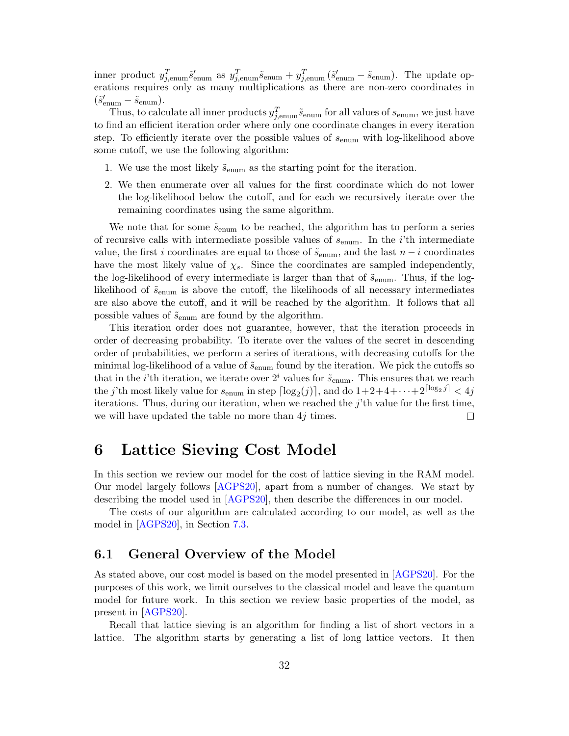inner product  $y_{j, \text{enum}}^T \tilde{s}_{\text{enum}}^{\prime}$  as  $y_{j, \text{enum}}^T \tilde{s}_{\text{enum}} + y_{j, \text{enum}}^T (\tilde{s}_{\text{enum}}^{\prime} - \tilde{s}_{\text{enum}})$ . The update operations requires only as many multiplications as there are non-zero coordinates in  $(\tilde{s}_{\text{enum}}' - \tilde{s}_{\text{enum}}).$ 

Thus, to calculate all inner products  $y_{j, \text{enum}}^T \tilde{s}_{\text{enum}}$  for all values of  $s_{\text{enum}}$ , we just have to find an efficient iteration order where only one coordinate changes in every iteration step. To efficiently iterate over the possible values of  $s_{\text{enum}}$  with log-likelihood above some cutoff, we use the following algorithm:

- 1. We use the most likely  $\tilde{s}_{\text{enum}}$  as the starting point for the iteration.
- 2. We then enumerate over all values for the first coordinate which do not lower the log-likelihood below the cutoff, and for each we recursively iterate over the remaining coordinates using the same algorithm.

We note that for some  $\tilde{s}_{\text{enum}}$  to be reached, the algorithm has to perform a series of recursive calls with intermediate possible values of  $s_{\text{enum}}$ . In the *i*'th intermediate value, the first i coordinates are equal to those of  $\tilde{s}_{\text{enum}}$ , and the last  $n-i$  coordinates have the most likely value of  $\chi_s$ . Since the coordinates are sampled independently, the log-likelihood of every intermediate is larger than that of  $\tilde{s}_{\text{enum}}$ . Thus, if the loglikelihood of  $\tilde{s}_{enum}$  is above the cutoff, the likelihoods of all necessary intermediates are also above the cutoff, and it will be reached by the algorithm. It follows that all possible values of  $\tilde{s}_{enum}$  are found by the algorithm.

This iteration order does not guarantee, however, that the iteration proceeds in order of decreasing probability. To iterate over the values of the secret in descending order of probabilities, we perform a series of iterations, with decreasing cutoffs for the minimal log-likelihood of a value of  $\tilde{s}_{enum}$  found by the iteration. We pick the cutoffs so that in the *i*'th iteration, we iterate over  $2^i$  values for  $\tilde{s}_{\text{enum}}$ . This ensures that we reach the *j*'th most likely value for  $s_{\text{enum}}$  in step  $\lceil \log_2(j) \rceil$ , and do  $1+2+4+\cdots+2^{\lceil \log_2 j \rceil} < 4j$ iterations. Thus, during our iteration, when we reached the  $j$ 'th value for the first time, we will have updated the table no more than  $4j$  times. П

# <span id="page-31-0"></span>6 Lattice Sieving Cost Model

In this section we review our model for the cost of lattice sieving in the RAM model. Our model largely follows [\[AGPS20\]](#page-45-6), apart from a number of changes. We start by describing the model used in [\[AGPS20\]](#page-45-6), then describe the differences in our model.

The costs of our algorithm are calculated according to our model, as well as the model in [\[AGPS20\]](#page-45-6), in Section [7.3.](#page-38-0)

#### <span id="page-31-1"></span>6.1 General Overview of the Model

As stated above, our cost model is based on the model presented in [\[AGPS20\]](#page-45-6). For the purposes of this work, we limit ourselves to the classical model and leave the quantum model for future work. In this section we review basic properties of the model, as present in [\[AGPS20\]](#page-45-6).

Recall that lattice sieving is an algorithm for finding a list of short vectors in a lattice. The algorithm starts by generating a list of long lattice vectors. It then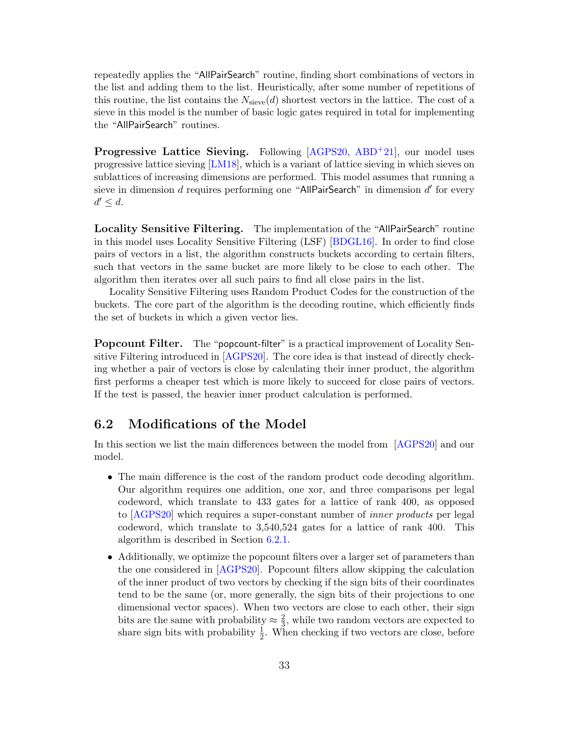repeatedly applies the "AllPairSearch" routine, finding short combinations of vectors in the list and adding them to the list. Heuristically, after some number of repetitions of this routine, the list contains the  $N_{\rm sieve}(d)$  shortest vectors in the lattice. The cost of a sieve in this model is the number of basic logic gates required in total for implementing the "AllPairSearch" routines.

<span id="page-32-0"></span>Progressive Lattice Sieving. Following [\[AGPS20,](#page-45-6) [ABD](#page-44-4)<sup>+</sup>21], our model uses progressive lattice sieving [\[LM18\]](#page-51-7), which is a variant of lattice sieving in which sieves on sublattices of increasing dimensions are performed. This model assumes that running a sieve in dimension  $d$  requires performing one "AllPairSearch" in dimension  $d'$  for every  $d' \leq d$ .

<span id="page-32-3"></span>Locality Sensitive Filtering. The implementation of the "AllPairSearch" routine in this model uses Locality Sensitive Filtering (LSF) [\[BDGL16\]](#page-46-7). In order to find close pairs of vectors in a list, the algorithm constructs buckets according to certain filters, such that vectors in the same bucket are more likely to be close to each other. The algorithm then iterates over all such pairs to find all close pairs in the list.

Locality Sensitive Filtering uses Random Product Codes for the construction of the buckets. The core part of the algorithm is the decoding routine, which efficiently finds the set of buckets in which a given vector lies.

<span id="page-32-2"></span>Popcount Filter. The "popcount-filter" is a practical improvement of Locality Sensitive Filtering introduced in [\[AGPS20\]](#page-45-6). The core idea is that instead of directly checking whether a pair of vectors is close by calculating their inner product, the algorithm first performs a cheaper test which is more likely to succeed for close pairs of vectors. If the test is passed, the heavier inner product calculation is performed.

## <span id="page-32-1"></span>6.2 Modifications of the Model

In this section we list the main differences between the model from [\[AGPS20\]](#page-45-6) and our model.

- The main difference is the cost of the random product code decoding algorithm. Our algorithm requires one addition, one xor, and three comparisons per legal codeword, which translate to 433 gates for a lattice of rank 400, as opposed to [\[AGPS20\]](#page-45-6) which requires a super-constant number of inner products per legal codeword, which translate to 3,540,524 gates for a lattice of rank 400. This algorithm is described in Section [6.2.1.](#page-33-0)
- Additionally, we optimize the popcount filters over a larger set of parameters than the one considered in [\[AGPS20\]](#page-45-6). Popcount filters allow skipping the calculation of the inner product of two vectors by checking if the sign bits of their coordinates tend to be the same (or, more generally, the sign bits of their projections to one dimensional vector spaces). When two vectors are close to each other, their sign bits are the same with probability  $\approx \frac{2}{3}$  $\frac{2}{3}$ , while two random vectors are expected to share sign bits with probability  $\frac{1}{2}$ . When checking if two vectors are close, before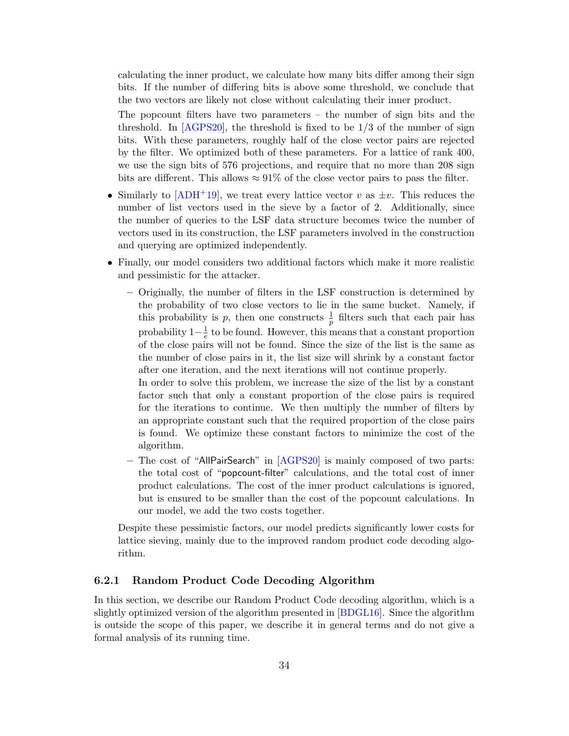calculating the inner product, we calculate how many bits differ among their sign bits. If the number of differing bits is above some threshold, we conclude that the two vectors are likely not close without calculating their inner product.

The popcount filters have two parameters  $-$  the number of sign bits and the threshold. In  $[AGPS20]$ , the threshold is fixed to be  $1/3$  of the number of sign bits. With these parameters, roughly half of the close vector pairs are rejected by the filter. We optimized both of these parameters. For a lattice of rank 400, we use the sign bits of 576 projections, and require that no more than 208 sign bits are different. This allows  $\approx 91\%$  of the close vector pairs to pass the filter.

- Similarly to  $[ADH^+19]$  $[ADH^+19]$ , we treat every lattice vector v as  $\pm v$ . This reduces the number of list vectors used in the sieve by a factor of 2. Additionally, since the number of queries to the LSF data structure becomes twice the number of vectors used in its construction, the LSF parameters involved in the construction and querying are optimized independently.
- Finally, our model considers two additional factors which make it more realistic and pessimistic for the attacker.
	- Originally, the number of filters in the LSF construction is determined by the probability of two close vectors to lie in the same bucket. Namely, if this probability is p, then one constructs  $\frac{1}{p}$  filters such that each pair has probability  $1-\frac{1}{e}$  $\frac{1}{e}$  to be found. However, this means that a constant proportion of the close pairs will not be found. Since the size of the list is the same as the number of close pairs in it, the list size will shrink by a constant factor after one iteration, and the next iterations will not continue properly.

In order to solve this problem, we increase the size of the list by a constant factor such that only a constant proportion of the close pairs is required for the iterations to continue. We then multiply the number of filters by an appropriate constant such that the required proportion of the close pairs is found. We optimize these constant factors to minimize the cost of the algorithm.

– The cost of "AllPairSearch" in [\[AGPS20\]](#page-45-6) is mainly composed of two parts: the total cost of "popcount-filter" calculations, and the total cost of inner product calculations. The cost of the inner product calculations is ignored, but is ensured to be smaller than the cost of the popcount calculations. In our model, we add the two costs together.

Despite these pessimistic factors, our model predicts significantly lower costs for lattice sieving, mainly due to the improved random product code decoding algorithm.

#### <span id="page-33-0"></span>6.2.1 Random Product Code Decoding Algorithm

In this section, we describe our Random Product Code decoding algorithm, which is a slightly optimized version of the algorithm presented in [\[BDGL16\]](#page-46-7). Since the algorithm is outside the scope of this paper, we describe it in general terms and do not give a formal analysis of its running time.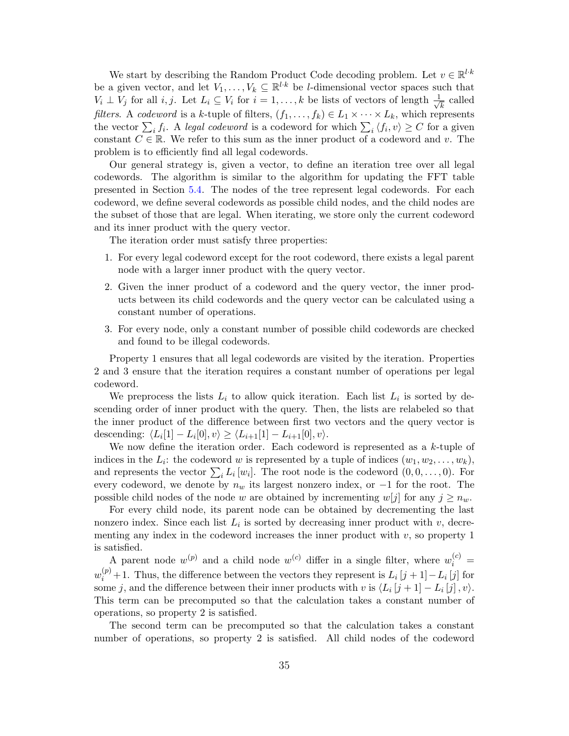We start by describing the Random Product Code decoding problem. Let  $v \in \mathbb{R}^{l \cdot k}$ be a given vector, and let  $V_1, \ldots, V_k \subseteq \mathbb{R}^{l \cdot k}$  be *l*-dimensional vector spaces such that  $V_i \perp V_j$  for all  $i, j$ . Let  $L_i \subseteq V_i$  for  $i = 1, \ldots, k$  be lists of vectors of length  $\frac{1}{\sqrt{k}}$  $\frac{1}{k}$  called *filters.* A *codeword* is a k-tuple of filters,  $(f_1, \ldots, f_k) \in L_1 \times \cdots \times L_k$ , which represents the vector  $\sum_i f_i$ . A legal codeword is a codeword for which  $\sum_i \langle f_i, v \rangle \ge C$  for a given constant  $C \in \mathbb{R}$ . We refer to this sum as the inner product of a codeword and v. The problem is to efficiently find all legal codewords.

Our general strategy is, given a vector, to define an iteration tree over all legal codewords. The algorithm is similar to the algorithm for updating the FFT table presented in Section [5.4.](#page-30-0) The nodes of the tree represent legal codewords. For each codeword, we define several codewords as possible child nodes, and the child nodes are the subset of those that are legal. When iterating, we store only the current codeword and its inner product with the query vector.

The iteration order must satisfy three properties:

- 1. For every legal codeword except for the root codeword, there exists a legal parent node with a larger inner product with the query vector.
- 2. Given the inner product of a codeword and the query vector, the inner products between its child codewords and the query vector can be calculated using a constant number of operations.
- 3. For every node, only a constant number of possible child codewords are checked and found to be illegal codewords.

Property 1 ensures that all legal codewords are visited by the iteration. Properties 2 and 3 ensure that the iteration requires a constant number of operations per legal codeword.

We preprocess the lists  $L_i$  to allow quick iteration. Each list  $L_i$  is sorted by descending order of inner product with the query. Then, the lists are relabeled so that the inner product of the difference between first two vectors and the query vector is descending:  $\langle L_i[1] - L_i[0], v \rangle \ge \langle L_{i+1}[1] - L_{i+1}[0], v \rangle$ .

We now define the iteration order. Each codeword is represented as a  $k$ -tuple of indices in the  $L_i$ : the codeword w is represented by a tuple of indices  $(w_1, w_2, \ldots, w_k)$ , and represents the vector  $\sum_i L_i[w_i]$ . The root node is the codeword  $(0, 0, \ldots, 0)$ . For every codeword, we denote by  $n_w$  its largest nonzero index, or  $-1$  for the root. The possible child nodes of the node w are obtained by incrementing  $w[j]$  for any  $j \geq n_w$ .

For every child node, its parent node can be obtained by decrementing the last nonzero index. Since each list  $L_i$  is sorted by decreasing inner product with  $v$ , decrementing any index in the codeword increases the inner product with  $v$ , so property 1 is satisfied.

A parent node  $w^{(p)}$  and a child node  $w^{(c)}$  differ in a single filter, where  $w_i^{(c)} =$  $w_i^{(p)} + 1$ . Thus, the difference between the vectors they represent is  $L_i[j+1]-L_i[j]$  for some j, and the difference between their inner products with v is  $\langle L_i[j+1] - L_i[j], v \rangle$ . This term can be precomputed so that the calculation takes a constant number of operations, so property 2 is satisfied.

The second term can be precomputed so that the calculation takes a constant number of operations, so property 2 is satisfied. All child nodes of the codeword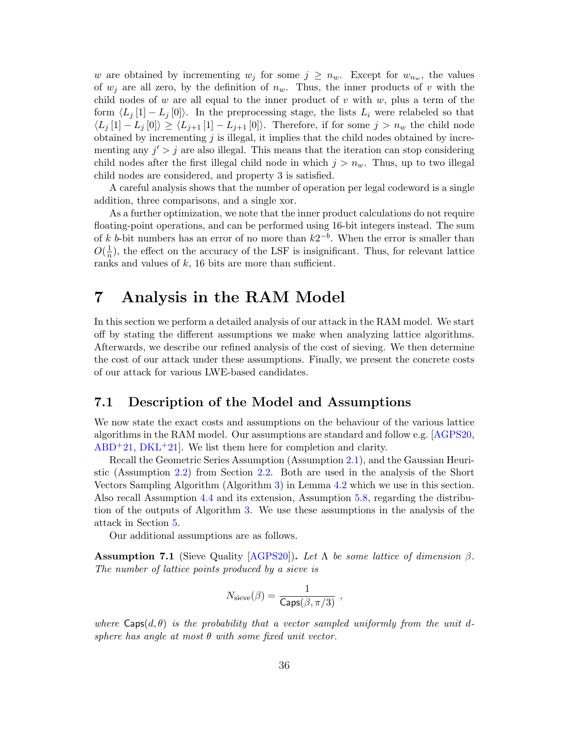w are obtained by incrementing  $w_j$  for some  $j \geq n_w$ . Except for  $w_{n_w}$ , the values of  $w_i$  are all zero, by the definition of  $n_w$ . Thus, the inner products of v with the child nodes of  $w$  are all equal to the inner product of  $v$  with  $w$ , plus a term of the form  $\langle L_j [1] - L_j [0] \rangle$ . In the preprocessing stage, the lists  $L_i$  were relabeled so that  $\langle L_j[1] - L_j[0] \rangle \geq \langle L_{j+1}[1] - L_{j+1}[0] \rangle$ . Therefore, if for some  $j > n_w$  the child node obtained by incrementing  $j$  is illegal, it implies that the child nodes obtained by incrementing any  $j' > j$  are also illegal. This means that the iteration can stop considering child nodes after the first illegal child node in which  $j > n_w$ . Thus, up to two illegal child nodes are considered, and property 3 is satisfied.

A careful analysis shows that the number of operation per legal codeword is a single addition, three comparisons, and a single xor.

As a further optimization, we note that the inner product calculations do not require floating-point operations, and can be performed using 16-bit integers instead. The sum of k b-bit numbers has an error of no more than  $k2^{-b}$ . When the error is smaller than  $O(\frac{1}{n})$  $\frac{1}{n}$ , the effect on the accuracy of the LSF is insignificant. Thus, for relevant lattice ranks and values of  $k$ , 16 bits are more than sufficient.

# <span id="page-35-1"></span>7 Analysis in the RAM Model

In this section we perform a detailed analysis of our attack in the RAM model. We start off by stating the different assumptions we make when analyzing lattice algorithms. Afterwards, we describe our refined analysis of the cost of sieving. We then determine the cost of our attack under these assumptions. Finally, we present the concrete costs of our attack for various LWE-based candidates.

## <span id="page-35-0"></span>7.1 Description of the Model and Assumptions

We now state the exact costs and assumptions on the behaviour of the various lattice algorithms in the RAM model. Our assumptions are standard and follow e.g. [\[AGPS20,](#page-45-6)  $ABD+21$  $ABD+21$ ,  $DKL+21$  $DKL+21$ . We list them here for completion and clarity.

Recall the Geometric Series Assumption (Assumption [2.1\)](#page-7-1), and the Gaussian Heuristic (Assumption [2.2\)](#page-8-0) from Section [2.2.](#page-7-3) Both are used in the analysis of the Short Vectors Sampling Algorithm (Algorithm [3\)](#page-16-1) in Lemma [4.2](#page-17-1) which we use in this section. Also recall Assumption [4.4](#page-17-2) and its extension, Assumption [5.8,](#page-22-0) regarding the distribution of the outputs of Algorithm [3.](#page-16-1) We use these assumptions in the analysis of the attack in Section [5.](#page-17-0)

Our additional assumptions are as follows.

<span id="page-35-2"></span>**Assumption 7.1** (Sieve Quality [\[AGPS20\]](#page-45-6)). Let  $\Lambda$  be some lattice of dimension  $\beta$ . The number of lattice points produced by a sieve is

$$
N_{\rm sieve}(\beta) = \frac{1}{\mathsf{Caps}(\beta,\pi/3)} \ ,
$$

where  $\textsf{Caps}(d, \theta)$  is the probability that a vector sampled uniformly from the unit dsphere has angle at most  $\theta$  with some fixed unit vector.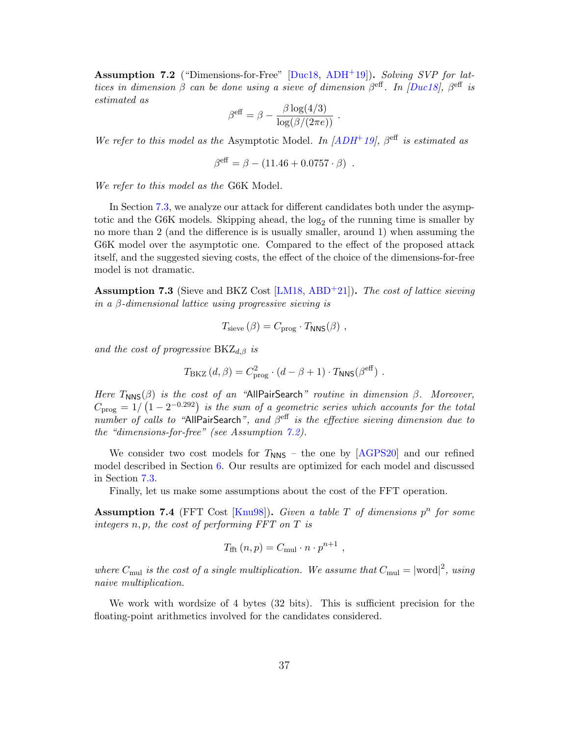<span id="page-36-0"></span>**Assumption 7.2** ("Dimensions-for-Free"  $[Due18, ADH+19]$  $[Due18, ADH+19]$  $[Due18, ADH+19]$ ). Solving SVP for lattices in dimension  $\beta$  can be done using a sieve of dimension  $\beta^{\text{eff}}$ . In [\[Duc18\]](#page-49-5),  $\beta^{\text{eff}}$  is estimated as

$$
\beta^{\text{eff}} = \beta - \frac{\beta \log(4/3)}{\log(\beta/(2\pi e))}
$$

We refer to this model as the Asymptotic Model. In  $[ADH^+19]$  $[ADH^+19]$ ,  $\beta^{\text{eff}}$  is estimated as

$$
\beta^{\text{eff}} = \beta - (11.46 + 0.0757 \cdot \beta) .
$$

We refer to this model as the G6K Model.

In Section [7.3,](#page-38-0) we analyze our attack for different candidates both under the asymptotic and the G6K models. Skipping ahead, the  $log_2$  of the running time is smaller by no more than 2 (and the difference is is usually smaller, around 1) when assuming the G6K model over the asymptotic one. Compared to the effect of the proposed attack itself, and the suggested sieving costs, the effect of the choice of the dimensions-for-free model is not dramatic.

<span id="page-36-1"></span>**Assumption 7.3** (Sieve and BKZ Cost [\[LM18,](#page-51-7) [ABD](#page-44-4)<sup>+21]</sup>). The cost of lattice sieving in a β-dimensional lattice using progressive sieving is

$$
T_{\text{sieve}}(\beta) = C_{\text{prog}} \cdot T_{\text{NNS}}(\beta) ,
$$

and the cost of progressive  $BKZ_{d,\beta}$  is

$$
T_{\text{BKZ}}(d,\beta) = C_{\text{prog}}^2 \cdot (d - \beta + 1) \cdot T_{\text{NNS}}(\beta^{\text{eff}}).
$$

Here  $T<sub>NNS</sub>(\beta)$  is the cost of an "AllPairSearch" routine in dimension  $\beta$ . Moreover,  $C_{\text{prog}} = 1/\left(1-2^{-0.292}\right)$  is the sum of a geometric series which accounts for the total number of calls to "AllPairSearch", and  $\beta^{\text{eff}}$  is the effective sieving dimension due to the "dimensions-for-free" (see Assumption [7.2\)](#page-36-0).

We consider two cost models for  $T_{NNS}$  – the one by [\[AGPS20\]](#page-45-6) and our refined model described in Section [6.](#page-31-0) Our results are optimized for each model and discussed in Section [7.3.](#page-38-0)

Finally, let us make some assumptions about the cost of the FFT operation.

<span id="page-36-2"></span>**Assumption 7.4** (FFT Cost [\[Knu98\]](#page-51-8)). Given a table T of dimensions  $p^n$  for some integers  $n, p$ , the cost of performing FFT on  $T$  is

$$
T_{\text{fft}}(n, p) = C_{\text{mul}} \cdot n \cdot p^{n+1} ,
$$

where  $C_{\text{mul}}$  is the cost of a single multiplication. We assume that  $C_{\text{mul}} = |\text{word}|^2$ , using naive multiplication.

We work with wordsize of 4 bytes (32 bits). This is sufficient precision for the floating-point arithmetics involved for the candidates considered.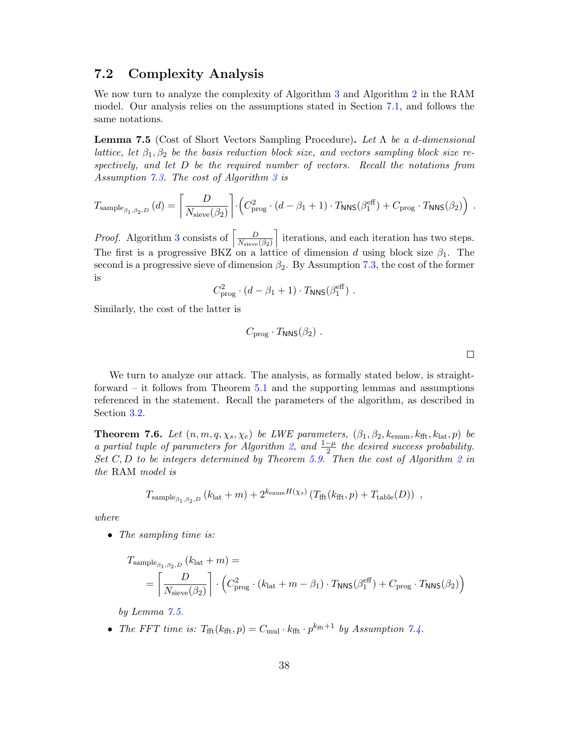#### 7.2 Complexity Analysis

We now turn to analyze the complexity of Algorithm [3](#page-16-1) and Algorithm [2](#page-14-0) in the RAM model. Our analysis relies on the assumptions stated in Section [7.1,](#page-35-0) and follows the same notations.

<span id="page-37-0"></span>**Lemma 7.5** (Cost of Short Vectors Sampling Procedure). Let  $\Lambda$  be a d-dimensional lattice, let  $\beta_1, \beta_2$  be the basis reduction block size, and vectors sampling block size respectively, and let D be the required number of vectors. Recall the notations from Assumption [7.3.](#page-36-1) The cost of Algorithm [3](#page-16-1) is

$$
T_{\text{sample}_{\beta_1, \beta_2, D}}(d) = \left[ \frac{D}{N_{\text{sieve}}(\beta_2)} \right] \cdot \left( C_{\text{prog}}^2 \cdot (d - \beta_1 + 1) \cdot T_{\text{NNS}}(\beta_1^{\text{eff}}) + C_{\text{prog}} \cdot T_{\text{NNS}}(\beta_2) \right)
$$

*Proof.* Algorithm [3](#page-16-1) consists of  $\left[\frac{D}{N}\right]$  $N_{\text{sieve}}(\beta_2)$ I iterations, and each iteration has two steps. The first is a progressive BKZ on a lattice of dimension d using block size  $\beta_1$ . The second is a progressive sieve of dimension  $\beta_2$ . By Assumption [7.3,](#page-36-1) the cost of the former is

$$
C_{\text{prog}}^2 \cdot (d - \beta_1 + 1) \cdot T_{\text{NNS}}(\beta_1^{\text{eff}}).
$$

Similarly, the cost of the latter is

$$
C_{\rm prog} \cdot T_{\rm NNS}(\beta_2) \ .
$$

.

 $\Box$ 

We turn to analyze our attack. The analysis, as formally stated below, is straightforward – it follows from Theorem [5.1](#page-18-1) and the supporting lemmas and assumptions referenced in the statement. Recall the parameters of the algorithm, as described in Section [3.2.](#page-13-0)

**Theorem 7.6.** Let  $(n, m, q, \chi_s, \chi_e)$  be LWE parameters,  $(\beta_1, \beta_2, k_{\text{enum}}, k_{\text{fft}}, k_{\text{lat}}, p)$  be a partial tuple of parameters for Algorithm [2,](#page-14-0) and  $\frac{1-\mu}{2}$  the desired success probability. Set  $C, D$  to be integers determined by Theorem [5.9.](#page-25-0) Then the cost of Algorithm [2](#page-14-0) in the RAM model is

$$
T_{\text{sample}_{\beta_1, \beta_2, D}}\left(k_{\text{lat}} + m\right) + 2^{k_{\text{enum}}H(\chi_s)}\left(T_{\text{fft}}(k_{\text{fft}}, p) + T_{\text{table}}(D)\right) ,
$$

where

• The sampling time is:

$$
\begin{aligned} T_{\text{sample}_{\beta_1,\beta_2,D}}\left(k_{\text{lat}}+m\right) &= \\ &= \left\lceil \frac{D}{N_{\text{sieve}}(\beta_2)} \right\rceil \cdot \left( C_{\text{prog}}^2 \cdot \left(k_{\text{lat}}+m-\beta_1\right) \cdot T_{\text{NNS}}(\beta_1^{\text{eff}}) + C_{\text{prog}} \cdot T_{\text{NNS}}(\beta_2) \right) \end{aligned}
$$

by Lemma [7.5.](#page-37-0)

• The FFT time is:  $T_{\text{fft}}(k_{\text{fft}}, p) = C_{\text{mul}} \cdot k_{\text{fft}} \cdot p^{k_{\text{fft}}+1}$  by Assumption [7.4.](#page-36-2)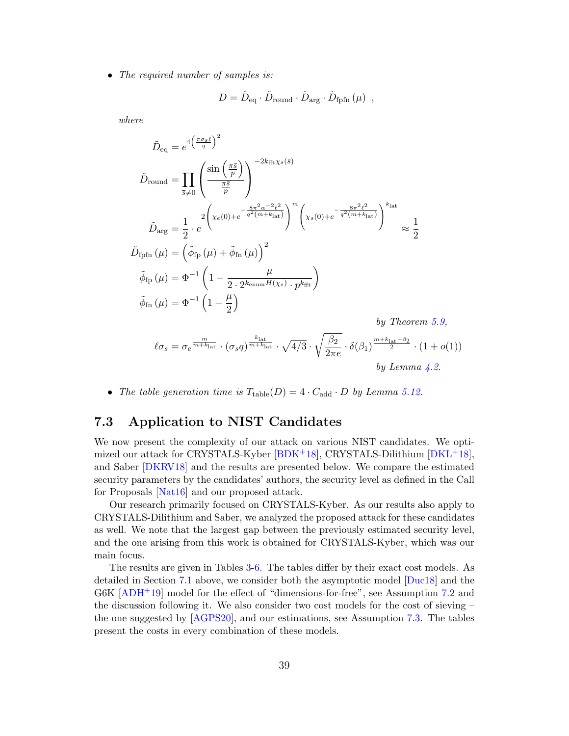• The required number of samples is:

$$
D = \tilde{D}_{\text{eq}} \cdot \tilde{D}_{\text{round}} \cdot \tilde{D}_{\text{arg}} \cdot \tilde{D}_{\text{fpfn}} \left(\mu\right) ,
$$

where

$$
\tilde{D}_{\text{equ}} = e^{4\left(\frac{\pi \sigma_s \ell}{q}\right)^2}
$$
\n
$$
\tilde{D}_{\text{round}} = \prod_{\overline{s} \neq 0} \left( \frac{\sin\left(\frac{\pi \overline{s}}{p}\right)}{\frac{\pi \overline{s}}{p}} \right)^{-2k_{\text{fft}}\chi_s(\overline{s})}
$$
\n
$$
\tilde{D}_{\text{arg}} = \frac{1}{2} \cdot e^{2\left(\chi_e(0) + e^{-\frac{8\pi^2 \alpha^{-2} \ell^2}{q^2(m+k_{\text{lat}})}}\right)^m \left(\chi_s(0) + e^{-\frac{8\pi^2 \ell^2}{q^2(m+k_{\text{lat}})}}\right)^{k_{\text{lat}}}}
$$
\n
$$
\tilde{D}_{\text{fpfn}}(\mu) = \left(\tilde{\phi}_{\text{fp}}(\mu) + \tilde{\phi}_{\text{fn}}(\mu)\right)^2
$$
\n
$$
\tilde{\phi}_{\text{fp}}(\mu) = \Phi^{-1} \left(1 - \frac{\mu}{2 \cdot 2^{k_{\text{enum}}H(\chi_s)} \cdot p^{k_{\text{fft}}}}\right)
$$
\n
$$
\tilde{\phi}_{\text{fn}}(\mu) = \Phi^{-1} \left(1 - \frac{\mu}{2}\right)
$$
\n*by Theorem*

$$
\ell \sigma_s = \sigma_e^{\frac{m}{m+k_{\text{lat}}}} \cdot (\sigma_s q)^{\frac{k_{\text{lat}}}{m+k_{\text{lat}}}} \cdot \sqrt{4/3} \cdot \sqrt{\frac{\beta_2}{2\pi e}} \cdot \delta(\beta_1)^{\frac{m+k_{\text{lat}}-\beta_2}{2}} \cdot (1+o(1))
$$
  
by Lemma 4.2.

 $5.9,$ 

• The table generation time is  $T_{table}(D) = 4 \cdot C_{add} \cdot D$  by Lemma [5.12.](#page-30-1)

## <span id="page-38-0"></span>7.3 Application to NIST Candidates

We now present the complexity of our attack on various NIST candidates. We optimized our attack for CRYSTALS-Kyber [\[BDK](#page-46-4)+18], CRYSTALS-Dilithium [\[DKL](#page-48-1)+18], and Saber [\[DKRV18\]](#page-48-3) and the results are presented below. We compare the estimated security parameters by the candidates' authors, the security level as defined in the Call for Proposals [\[Nat16\]](#page-51-0) and our proposed attack.

Our research primarily focused on CRYSTALS-Kyber. As our results also apply to CRYSTALS-Dilithium and Saber, we analyzed the proposed attack for these candidates as well. We note that the largest gap between the previously estimated security level, and the one arising from this work is obtained for CRYSTALS-Kyber, which was our main focus.

The results are given in Tables [3-](#page-39-0)[6.](#page-40-0) The tables differ by their exact cost models. As detailed in Section [7.1](#page-35-0) above, we consider both the asymptotic model [\[Duc18\]](#page-49-5) and the  $G6K$   $[ADH<sup>+</sup>19]$  $[ADH<sup>+</sup>19]$  model for the effect of "dimensions-for-free", see Assumption [7.2](#page-36-0) and the discussion following it. We also consider two cost models for the cost of sieving – the one suggested by [\[AGPS20\]](#page-45-6), and our estimations, see Assumption [7.3.](#page-36-1) The tables present the costs in every combination of these models.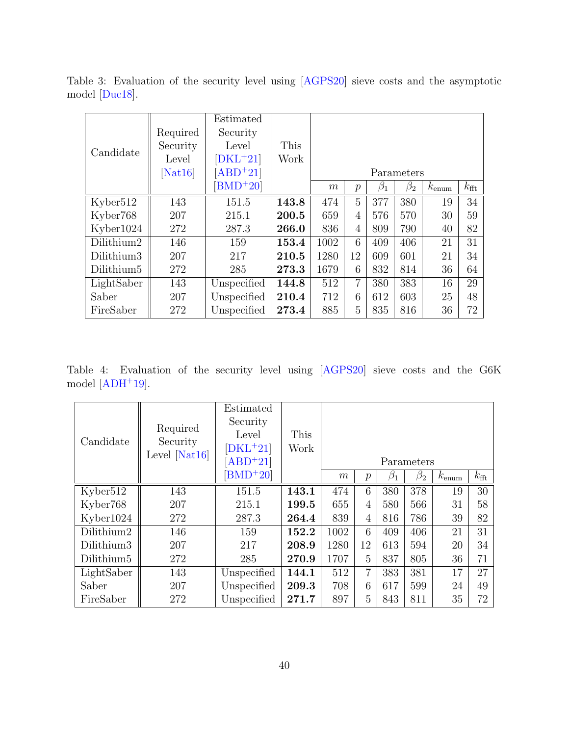| Candidate              | Required<br>Security<br>Level | Estimated<br>Security<br>Level<br>$[DKL+21]$ | This<br>Work |      |                |           |                         |                   |                  |
|------------------------|-------------------------------|----------------------------------------------|--------------|------|----------------|-----------|-------------------------|-------------------|------------------|
|                        | [ <b>N</b> at16]              | $[ABD+21]$<br>$[BMD+20]$                     |              | m    | $\mathcal{p}$  | $\beta_1$ | Parameters<br>$\beta_2$ | $k_{\text{enum}}$ | $k_{\text{fft}}$ |
| Kyber512               | 143                           | 151.5                                        | 143.8        | 474  | 5              | 377       | 380                     | 19                | 34               |
| Kyber768               | 207                           | 215.1                                        | 200.5        | 659  | 4              | 576       | 570                     | 30                | 59               |
| Kyber1024              | 272                           | 287.3                                        | 266.0        | 836  | 4              | 809       | 790                     | 40                | 82               |
| Dilithium2             | 146                           | 159                                          | 153.4        | 1002 | 6              | 409       | 406                     | 21                | 31               |
| Dilithium3             | 207                           | 217                                          | 210.5        | 1280 | 12             | 609       | 601                     | 21                | 34               |
| Dilithium <sub>5</sub> | 272                           | 285                                          | 273.3        | 1679 | 6              | 832       | 814                     | 36                | 64               |
| LightSaber             | 143                           | Unspecified                                  | 144.8        | 512  | $\overline{7}$ | 380       | 383                     | 16                | 29               |
| Saber                  | 207                           | Unspecified                                  | 210.4        | 712  | 6              | 612       | 603                     | 25                | 48               |
| FireSaber              | 272                           | Unspecified                                  | 273.4        | 885  | 5              | 835       | 816                     | 36                | 72               |

<span id="page-39-0"></span>Table 3: Evaluation of the security level using [\[AGPS20\]](#page-45-6) sieve costs and the asymptotic model [\[Duc18\]](#page-49-5).

<span id="page-39-1"></span>Table 4: Evaluation of the security level using [\[AGPS20\]](#page-45-6) sieve costs and the G6K model  $[ADH+19]$  $[ADH+19]$ .

| Candidate              | Required<br>Security | Estimated<br>Security<br>Level | This  |            |                |           |           |                   |                |  |  |
|------------------------|----------------------|--------------------------------|-------|------------|----------------|-----------|-----------|-------------------|----------------|--|--|
|                        | Level $[Nat16]$      | $[DKL+21]$<br>$[ABD+21]$       | Work  | Parameters |                |           |           |                   |                |  |  |
|                        |                      | $[BMD+20]$                     |       | m          | $\mathcal{p}$  | $\beta_1$ | $\beta_2$ | $k_{\text{enum}}$ | $k_{\rm{fft}}$ |  |  |
| Kyber <sub>512</sub>   | 143                  | 151.5                          | 143.1 | 474        | 6              | 380       | 378       | 19                | 30             |  |  |
| Kyber768               | 207                  | 215.1                          | 199.5 | 655        | $\overline{4}$ | 580       | 566       | 31                | 58             |  |  |
| Kyber1024              | 272                  | 287.3                          | 264.4 | 839        | $\overline{4}$ | 816       | 786       | 39                | 82             |  |  |
| Dilithium2             | 146                  | 159                            | 152.2 | 1002       | 6              | 409       | 406       | 21                | 31             |  |  |
| Dilithium3             | 207                  | 217                            | 208.9 | 1280       | 12             | 613       | 594       | 20                | 34             |  |  |
| Dilithium <sub>5</sub> | 272                  | 285                            | 270.9 | 1707       | 5              | 837       | 805       | 36                | 71             |  |  |
| LightSaber             | 143                  | Unspecified                    | 144.1 | 512        | 7              | 383       | 381       | 17                | 27             |  |  |
| Saber                  | 207                  | Unspecified                    | 209.3 | 708        | 6              | 617       | 599       | 24                | 49             |  |  |
| FireSaber              | 272                  | Unspecified                    | 271.7 | 897        | 5              | 843       | 811       | 35                | 72             |  |  |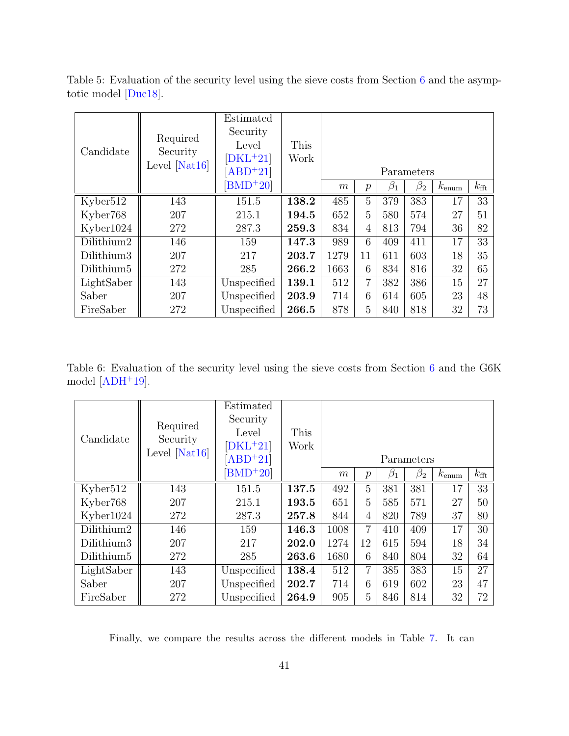| Candidate              | Required<br>Security<br>Level $[Nat16]$ | Estimated<br>Security<br>Level<br>$[DKL+21]$<br>$[ABD+21]$ | This<br>Work | Parameters |                |           |           |                   |                |
|------------------------|-----------------------------------------|------------------------------------------------------------|--------------|------------|----------------|-----------|-----------|-------------------|----------------|
|                        |                                         | $BMD+20$                                                   |              | m          | $\overline{p}$ | $\beta_1$ | $\beta_2$ | $k_{\text{enum}}$ | $k_{\rm{fft}}$ |
| Kyber512               | 143                                     | 151.5                                                      | 138.2        | 485        | 5              | 379       | 383       | 17                | 33             |
| Kyber <sub>768</sub>   | 207                                     | 215.1                                                      | 194.5        | 652        | 5              | 580       | 574       | 27                | 51             |
| Kyber1024              | 272                                     | 287.3                                                      | 259.3        | 834        | 4              | 813       | 794       | 36                | 82             |
| Dilithium2             | 146                                     | 159                                                        | 147.3        | 989        | 6              | 409       | 411       | 17                | 33             |
| Dilithium3             | 207                                     | 217                                                        | 203.7        | 1279       | 11             | 611       | 603       | 18                | 35             |
| Dilithium <sub>5</sub> | 272                                     | 285                                                        | 266.2        | 1663       | 6              | 834       | 816       | 32                | 65             |
| LightSaber             | 143                                     | Unspecified                                                | 139.1        | 512        | 7              | 382       | 386       | 15                | 27             |
| Saber                  | 207                                     | Unspecified                                                | 203.9        | 714        | 6              | 614       | 605       | 23                | 48             |
| FireSaber              | 272                                     | Unspecified                                                | 266.5        | 878        | 5              | 840       | 818       | 32                | 73             |

<span id="page-40-1"></span>Table 5: Evaluation of the security level using the sieve costs from Section [6](#page-31-0) and the asymptotic model [\[Duc18\]](#page-49-5).

<span id="page-40-0"></span>Table 6: Evaluation of the security level using the sieve costs from Section [6](#page-31-0) and the G6K model  $[ADH+19]$  $[ADH+19]$ .

|                        |                 | Estimated   |       |            |                  |           |           |                |                  |  |
|------------------------|-----------------|-------------|-------|------------|------------------|-----------|-----------|----------------|------------------|--|
|                        | Required        | Security    |       |            |                  |           |           |                |                  |  |
| Candidate              | Security        | Level       | This  |            |                  |           |           |                |                  |  |
|                        |                 | $[DKL+21]$  | Work  |            |                  |           |           |                |                  |  |
|                        | Level $[Nat16]$ | $ABD+21$    |       | Parameters |                  |           |           |                |                  |  |
|                        |                 | $[BMD+20]$  |       | m          | $\boldsymbol{p}$ | $\beta_1$ | $\beta_2$ | $k_{\rm enum}$ | $k_{\text{fft}}$ |  |
| Kyber512               | 143             | 151.5       | 137.5 | 492        | $\overline{5}$   | 381       | 381       | 17             | 33               |  |
| Kyber768               | 207             | 215.1       | 193.5 | 651        | 5                | 585       | 571       | 27             | 50               |  |
| Kyber1024              | 272             | 287.3       | 257.8 | 844        | $\overline{4}$   | 820       | 789       | 37             | 80               |  |
| Dilithium2             | 146             | 159         | 146.3 | 1008       | 7                | 410       | 409       | 17             | 30               |  |
| Dilithium3             | 207             | 217         | 202.0 | 1274       | 12               | 615       | 594       | 18             | 34               |  |
| Dilithium <sub>5</sub> | 272             | 285         | 263.6 | 1680       | 6                | 840       | 804       | 32             | 64               |  |
| LightSaber             | 143             | Unspecified | 138.4 | 512        | $\overline{7}$   | 385       | 383       | 15             | 27               |  |
| Saber                  | 207             | Unspecified | 202.7 | 714        | 6                | 619       | 602       | 23             | 47               |  |
| FireSaber              | 272             | Unspecified | 264.9 | 905        | 5                | 846       | 814       | 32             | 72               |  |

Finally, we compare the results across the different models in Table [7.](#page-41-1) It can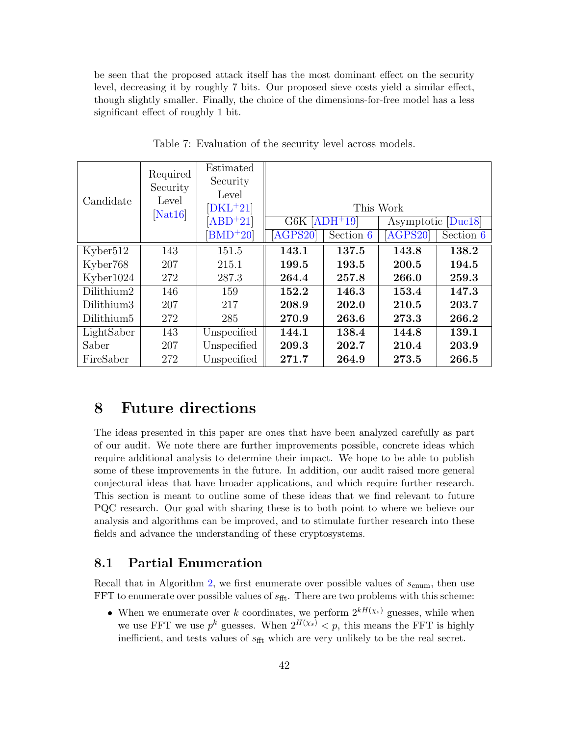be seen that the proposed attack itself has the most dominant effect on the security level, decreasing it by roughly 7 bits. Our proposed sieve costs yield a similar effect, though slightly smaller. Finally, the choice of the dimensions-for-free model has a less significant effect of roughly 1 bit.

| Candidate              | Required<br>Security<br>Level | Estimated<br>Security<br>Level<br>$[DKL+21]$ |                  |           | This Work          |           |
|------------------------|-------------------------------|----------------------------------------------|------------------|-----------|--------------------|-----------|
|                        | $[{\rm Nat16}]$               | $[ABD+21]$                                   | $G6K$ $[ADH+19]$ |           | Asymptotic [Duc18] |           |
|                        |                               | $BMD+20$                                     | AGPS20           | Section 6 | [AGPS20]           | Section 6 |
| Kyber512               | 143                           | 151.5                                        | 143.1            | 137.5     | 143.8              | 138.2     |
| Kyber768               | 207                           | 215.1                                        | 199.5            | 193.5     | 200.5              | 194.5     |
| Kyber1024              | 272                           | 287.3                                        | 264.4            | 257.8     | 266.0              | 259.3     |
| Dilithium2             | 146                           | 159                                          | 152.2            | 146.3     | 153.4              | 147.3     |
| Dilithium3             | 207                           | 217                                          | 208.9            | 202.0     | 210.5              | 203.7     |
| Dilithium <sub>5</sub> | 272                           | 285                                          | 270.9            | 263.6     | 273.3              | 266.2     |
| LightSaber             | 143                           | Unspecified                                  | 144.1            | 138.4     | 144.8              | 139.1     |
| Saber                  | 207                           | Unspecified                                  | 209.3            | 202.7     | 210.4              | 203.9     |
| FireSaber              | 272                           | Unspecified                                  | 271.7            | 264.9     | 273.5              | 266.5     |

<span id="page-41-1"></span>Table 7: Evaluation of the security level across models.

## <span id="page-41-0"></span>8 Future directions

The ideas presented in this paper are ones that have been analyzed carefully as part of our audit. We note there are further improvements possible, concrete ideas which require additional analysis to determine their impact. We hope to be able to publish some of these improvements in the future. In addition, our audit raised more general conjectural ideas that have broader applications, and which require further research. This section is meant to outline some of these ideas that we find relevant to future PQC research. Our goal with sharing these is to both point to where we believe our analysis and algorithms can be improved, and to stimulate further research into these fields and advance the understanding of these cryptosystems.

#### 8.1 Partial Enumeration

Recall that in Algorithm [2,](#page-14-0) we first enumerate over possible values of  $s_{\text{enum}}$ , then use FFT to enumerate over possible values of  $s_{\text{fft}}$ . There are two problems with this scheme:

• When we enumerate over k coordinates, we perform  $2^{kH(\chi_s)}$  guesses, while when we use FFT we use  $p^k$  guesses. When  $2^{H(\chi_s)} < p$ , this means the FFT is highly inefficient, and tests values of  $s_{\text{fft}}$  which are very unlikely to be the real secret.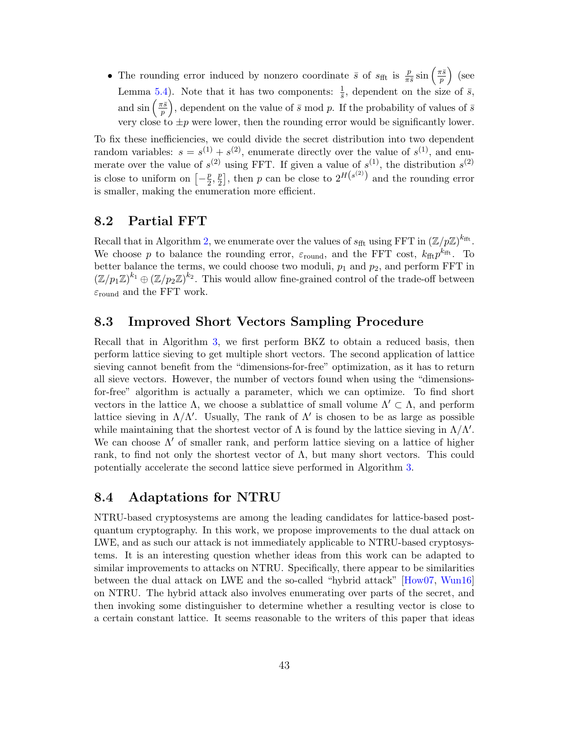• The rounding error induced by nonzero coordinate  $\bar{s}$  of  $s_{\text{fft}}$  is  $\frac{p}{\pi \bar{s}} \sin\left(\frac{\pi \bar{s}}{p}\right)$  $\frac{\overline{r}\bar{s}}{p}$  (see Lemma [5.4\)](#page-21-0). Note that it has two components:  $\frac{1}{\overline{s}}$ , dependent on the size of  $\overline{s}$ , and  $\sin\left(\frac{\pi\bar{s}}{n}\right)$  $\left(\frac{\pi \bar{s}}{p}\right)$ , dependent on the value of  $\bar{s}$  mod p. If the probability of values of  $\bar{s}$ very close to  $\pm p$  were lower, then the rounding error would be significantly lower.

To fix these inefficiencies, we could divide the secret distribution into two dependent random variables:  $s = s^{(1)} + s^{(2)}$ , enumerate directly over the value of  $s^{(1)}$ , and enumerate over the value of  $s^{(2)}$  using FFT. If given a value of  $s^{(1)}$ , the distribution  $s^{(2)}$ is close to uniform on  $\left[-\frac{p}{2}\right]$  $\frac{p}{2}, \frac{p}{2}$  $\frac{p}{2}$ , then p can be close to  $2^{H(s^{(2)})}$  and the rounding error is smaller, making the enumeration more efficient.

#### 8.2 Partial FFT

Recall that in Algorithm [2,](#page-14-0) we enumerate over the values of  $s_{\text{fft}}$  using FFT in  $(\mathbb{Z}/p\mathbb{Z})^{k_{\text{fft}}}$ . We choose p to balance the rounding error,  $\varepsilon_{\text{round}}$ , and the FFT cost,  $k_{\text{fft}} p^{k_{\text{fft}}}$ . To better balance the terms, we could choose two moduli,  $p_1$  and  $p_2$ , and perform FFT in  $(\mathbb{Z}/p_1\mathbb{Z})^{k_1} \oplus (\mathbb{Z}/p_2\mathbb{Z})^{k_2}$ . This would allow fine-grained control of the trade-off between  $\varepsilon_{\text{round}}$  and the FFT work.

## <span id="page-42-0"></span>8.3 Improved Short Vectors Sampling Procedure

Recall that in Algorithm [3,](#page-16-1) we first perform BKZ to obtain a reduced basis, then perform lattice sieving to get multiple short vectors. The second application of lattice sieving cannot benefit from the "dimensions-for-free" optimization, as it has to return all sieve vectors. However, the number of vectors found when using the "dimensionsfor-free" algorithm is actually a parameter, which we can optimize. To find short vectors in the lattice  $\Lambda$ , we choose a sublattice of small volume  $\Lambda' \subset \Lambda$ , and perform lattice sieving in  $\Lambda/\Lambda'$ . Usually, The rank of  $\Lambda'$  is chosen to be as large as possible while maintaining that the shortest vector of  $\Lambda$  is found by the lattice sieving in  $\Lambda/\Lambda'$ . We can choose  $\Lambda'$  of smaller rank, and perform lattice sieving on a lattice of higher rank, to find not only the shortest vector of  $\Lambda$ , but many short vectors. This could potentially accelerate the second lattice sieve performed in Algorithm [3.](#page-16-1)

## <span id="page-42-1"></span>8.4 Adaptations for NTRU

NTRU-based cryptosystems are among the leading candidates for lattice-based postquantum cryptography. In this work, we propose improvements to the dual attack on LWE, and as such our attack is not immediately applicable to NTRU-based cryptosystems. It is an interesting question whether ideas from this work can be adapted to similar improvements to attacks on NTRU. Specifically, there appear to be similarities between the dual attack on LWE and the so-called "hybrid attack" [\[How07,](#page-50-7) [Wun16\]](#page-53-0) on NTRU. The hybrid attack also involves enumerating over parts of the secret, and then invoking some distinguisher to determine whether a resulting vector is close to a certain constant lattice. It seems reasonable to the writers of this paper that ideas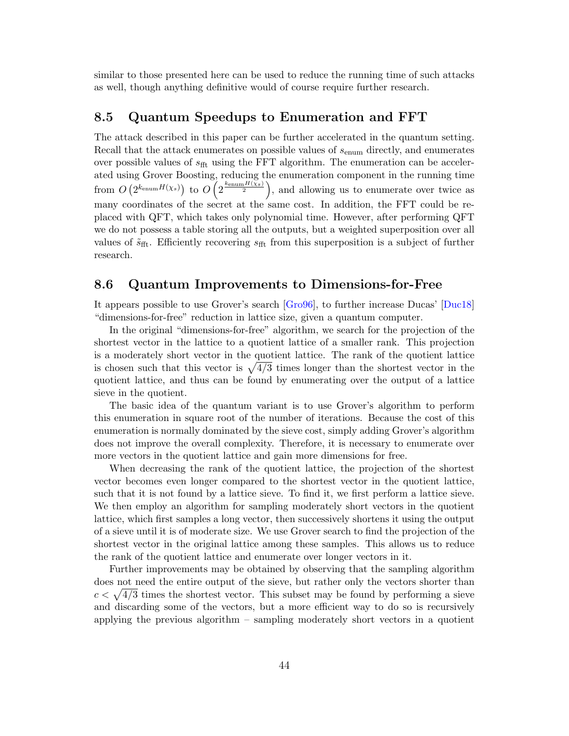similar to those presented here can be used to reduce the running time of such attacks as well, though anything definitive would of course require further research.

#### 8.5 Quantum Speedups to Enumeration and FFT

The attack described in this paper can be further accelerated in the quantum setting. Recall that the attack enumerates on possible values of  $s_{\text{enum}}$  directly, and enumerates over possible values of  $s_{\text{fft}}$  using the FFT algorithm. The enumeration can be accelerated using Grover Boosting, reducing the enumeration component in the running time from  $O(2^{k_{\text{enum}}H(\chi_s)})$  to  $O(2^{\frac{k_{\text{enum}}H(\chi_s)}{2}})$ , and allowing us to enumerate over twice as many coordinates of the secret at the same cost. In addition, the FFT could be replaced with QFT, which takes only polynomial time. However, after performing QFT we do not possess a table storing all the outputs, but a weighted superposition over all values of  $\tilde{s}_{\text{fft}}$ . Efficiently recovering  $s_{\text{fft}}$  from this superposition is a subject of further research.

## <span id="page-43-0"></span>8.6 Quantum Improvements to Dimensions-for-Free

It appears possible to use Grover's search [\[Gro96\]](#page-49-1), to further increase Ducas' [\[Duc18\]](#page-49-5) "dimensions-for-free" reduction in lattice size, given a quantum computer.

In the original "dimensions-for-free" algorithm, we search for the projection of the shortest vector in the lattice to a quotient lattice of a smaller rank. This projection is a moderately short vector in the quotient lattice. The rank of the quotient lattice is chosen such that this vector is  $\sqrt{4/3}$  times longer than the shortest vector in the quotient lattice, and thus can be found by enumerating over the output of a lattice sieve in the quotient.

The basic idea of the quantum variant is to use Grover's algorithm to perform this enumeration in square root of the number of iterations. Because the cost of this enumeration is normally dominated by the sieve cost, simply adding Grover's algorithm does not improve the overall complexity. Therefore, it is necessary to enumerate over more vectors in the quotient lattice and gain more dimensions for free.

When decreasing the rank of the quotient lattice, the projection of the shortest vector becomes even longer compared to the shortest vector in the quotient lattice, such that it is not found by a lattice sieve. To find it, we first perform a lattice sieve. We then employ an algorithm for sampling moderately short vectors in the quotient lattice, which first samples a long vector, then successively shortens it using the output of a sieve until it is of moderate size. We use Grover search to find the projection of the shortest vector in the original lattice among these samples. This allows us to reduce the rank of the quotient lattice and enumerate over longer vectors in it.

Further improvements may be obtained by observing that the sampling algorithm does not need the entire output of the sieve, but rather only the vectors shorter than  $c < \sqrt{4/3}$  times the shortest vector. This subset may be found by performing a sieve and discarding some of the vectors, but a more efficient way to do so is recursively applying the previous algorithm – sampling moderately short vectors in a quotient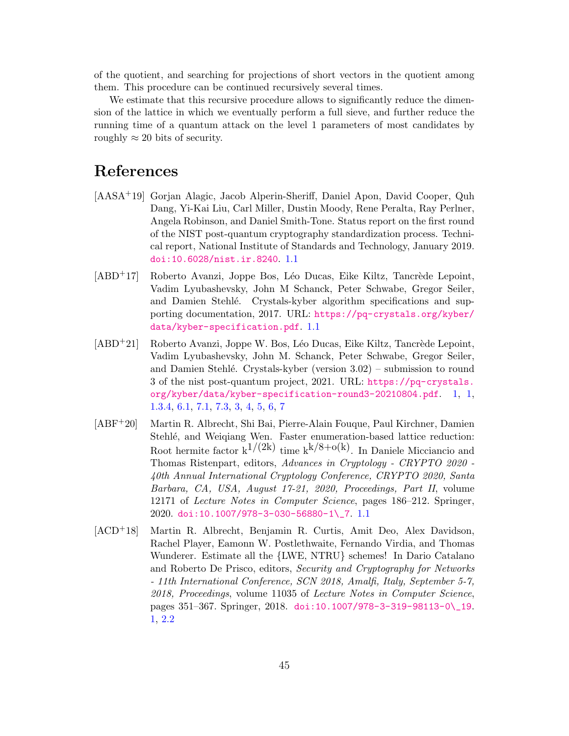of the quotient, and searching for projections of short vectors in the quotient among them. This procedure can be continued recursively several times.

We estimate that this recursive procedure allows to significantly reduce the dimension of the lattice in which we eventually perform a full sieve, and further reduce the running time of a quantum attack on the level 1 parameters of most candidates by roughly  $\approx 20$  bits of security.

# References

- <span id="page-44-0"></span>[AASA+19] Gorjan Alagic, Jacob Alperin-Sheriff, Daniel Apon, David Cooper, Quh Dang, Yi-Kai Liu, Carl Miller, Dustin Moody, Rene Peralta, Ray Perlner, Angela Robinson, and Daniel Smith-Tone. Status report on the first round of the NIST post-quantum cryptography standardization process. Technical report, National Institute of Standards and Technology, January 2019. [doi:10.6028/nist.ir.8240](https://doi.org/10.6028/nist.ir.8240). [1.1](#page-1-0)
- <span id="page-44-1"></span>[ABD<sup>+</sup>17] Roberto Avanzi, Joppe Bos, Léo Ducas, Eike Kiltz, Tancrède Lepoint, Vadim Lyubashevsky, John M Schanck, Peter Schwabe, Gregor Seiler, and Damien Stehlé. Crystals-kyber algorithm specifications and supporting documentation, 2017. URL: [https://pq-crystals.org/kyber/](https://pq-crystals.org/kyber/data/kyber-specification.pdf) [data/kyber-specification.pdf](https://pq-crystals.org/kyber/data/kyber-specification.pdf). [1.1](#page-1-0)
- <span id="page-44-4"></span> $[ABD+21]$  Roberto Avanzi, Joppe W. Bos, Léo Ducas, Eike Kiltz, Tancrède Lepoint, Vadim Lyubashevsky, John M. Schanck, Peter Schwabe, Gregor Seiler, and Damien Stehlé. Crystals-kyber (version  $3.02$ ) – submission to round 3 of the nist post-quantum project, 2021. URL: [https://pq-crystals.](https://pq-crystals.org/kyber/data/kyber-specification-round3-20210804.pdf) [org/kyber/data/kyber-specification-round3-20210804.pdf](https://pq-crystals.org/kyber/data/kyber-specification-round3-20210804.pdf). [1,](#page-2-0) [1,](#page-3-0) [1.3.4,](#page-5-1) [6.1,](#page-32-0) [7.1,](#page-35-0) [7.3,](#page-36-1) [3,](#page-39-0) [4,](#page-39-1) [5,](#page-40-1) [6,](#page-40-0) [7](#page-41-1)
- <span id="page-44-2"></span>[ABF+20] Martin R. Albrecht, Shi Bai, Pierre-Alain Fouque, Paul Kirchner, Damien Stehlé, and Weiqiang Wen. Faster enumeration-based lattice reduction: Root hermite factor  $k^{1/(2k)}$  time  $k^{k/8+o(k)}$ . In Daniele Micciancio and Thomas Ristenpart, editors, Advances in Cryptology - CRYPTO 2020 - 40th Annual International Cryptology Conference, CRYPTO 2020, Santa Barbara, CA, USA, August 17-21, 2020, Proceedings, Part II, volume 12171 of Lecture Notes in Computer Science, pages 186–212. Springer, 2020. [doi:10.1007/978-3-030-56880-1\\\_7](https://doi.org/10.1007/978-3-030-56880-1_7). [1.1](#page-1-0)
- <span id="page-44-3"></span>[ACD+18] Martin R. Albrecht, Benjamin R. Curtis, Amit Deo, Alex Davidson, Rachel Player, Eamonn W. Postlethwaite, Fernando Virdia, and Thomas Wunderer. Estimate all the {LWE, NTRU} schemes! In Dario Catalano and Roberto De Prisco, editors, Security and Cryptography for Networks - 11th International Conference, SCN 2018, Amalfi, Italy, September 5-7, 2018, Proceedings, volume 11035 of Lecture Notes in Computer Science, pages 351–367. Springer, 2018. [doi:10.1007/978-3-319-98113-0\\\_19](https://doi.org/10.1007/978-3-319-98113-0_19). [1,](#page-2-0) [2.2](#page-7-3)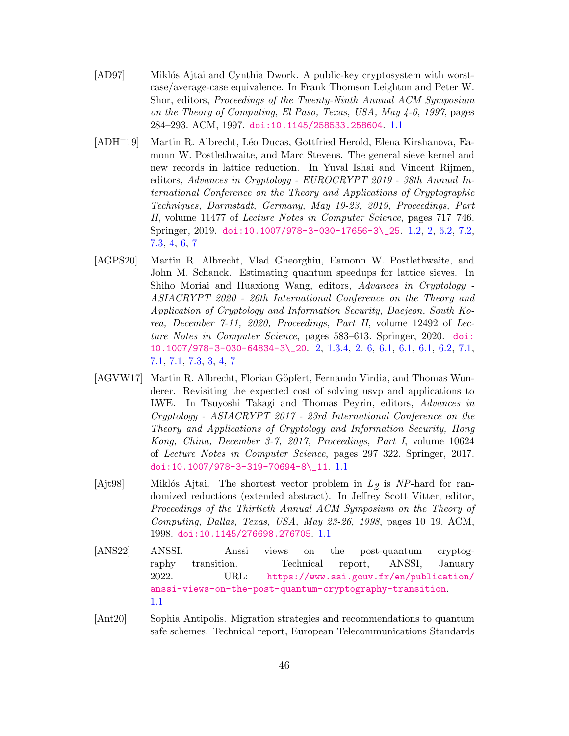- <span id="page-45-3"></span>[AD97] Miklós Ajtai and Cynthia Dwork. A public-key cryptosystem with worstcase/average-case equivalence. In Frank Thomson Leighton and Peter W. Shor, editors, Proceedings of the Twenty-Ninth Annual ACM Symposium on the Theory of Computing, El Paso, Texas, USA, May 4-6, 1997, pages 284–293. ACM, 1997. [doi:10.1145/258533.258604](https://doi.org/10.1145/258533.258604). [1.1](#page-1-0)
- <span id="page-45-5"></span>[ADH+19] Martin R. Albrecht, L´eo Ducas, Gottfried Herold, Elena Kirshanova, Eamonn W. Postlethwaite, and Marc Stevens. The general sieve kernel and new records in lattice reduction. In Yuval Ishai and Vincent Rijmen, editors, Advances in Cryptology - EUROCRYPT 2019 - 38th Annual International Conference on the Theory and Applications of Cryptographic Techniques, Darmstadt, Germany, May 19-23, 2019, Proceedings, Part II, volume 11477 of Lecture Notes in Computer Science, pages 717–746. Springer, 2019. [doi:10.1007/978-3-030-17656-3\\\_25](https://doi.org/10.1007/978-3-030-17656-3_25). [1.2,](#page-1-1) [2,](#page-6-0) [6.2,](#page-32-1) [7.2,](#page-36-0) [7.3,](#page-38-0) [4,](#page-39-1) [6,](#page-40-0) [7](#page-41-1)
- <span id="page-45-6"></span>[AGPS20] Martin R. Albrecht, Vlad Gheorghiu, Eamonn W. Postlethwaite, and John M. Schanck. Estimating quantum speedups for lattice sieves. In Shiho Moriai and Huaxiong Wang, editors, Advances in Cryptology - ASIACRYPT 2020 - 26th International Conference on the Theory and Application of Cryptology and Information Security, Daejeon, South Korea, December 7-11, 2020, Proceedings, Part II, volume 12492 of Lecture Notes in Computer Science, pages 583–613. Springer, 2020. [doi:](https://doi.org/10.1007/978-3-030-64834-3_20) [10.1007/978-3-030-64834-3\\\_20](https://doi.org/10.1007/978-3-030-64834-3_20). [2,](#page-2-1) [1.3.4,](#page-5-1) [2,](#page-6-0) [6,](#page-31-0) [6.1,](#page-31-1) [6.1,](#page-32-0) [6.1,](#page-32-2) [6.2,](#page-32-1) [7.1,](#page-35-0) [7.1,](#page-35-2) [7.1,](#page-36-1) [7.3,](#page-38-0) [3,](#page-39-0) [4,](#page-39-1) [7](#page-41-1)
- <span id="page-45-4"></span>[AGVW17] Martin R. Albrecht, Florian Göpfert, Fernando Virdia, and Thomas Wunderer. Revisiting the expected cost of solving usvp and applications to LWE. In Tsuyoshi Takagi and Thomas Peyrin, editors, Advances in Cryptology - ASIACRYPT 2017 - 23rd International Conference on the Theory and Applications of Cryptology and Information Security, Hong Kong, China, December 3-7, 2017, Proceedings, Part I, volume 10624 of Lecture Notes in Computer Science, pages 297–322. Springer, 2017. [doi:10.1007/978-3-319-70694-8\\\_11](https://doi.org/10.1007/978-3-319-70694-8_11). [1.1](#page-1-0)
- <span id="page-45-2"></span>[Ajt98] Miklós Ajtai. The shortest vector problem in  $L_2$  is NP-hard for randomized reductions (extended abstract). In Jeffrey Scott Vitter, editor, Proceedings of the Thirtieth Annual ACM Symposium on the Theory of Computing, Dallas, Texas, USA, May 23-26, 1998, pages 10–19. ACM, 1998. [doi:10.1145/276698.276705](https://doi.org/10.1145/276698.276705). [1.1](#page-1-0)
- <span id="page-45-0"></span>[ANS22] ANSSI. Anssi views on the post-quantum cryptography transition. Technical report, ANSSI, January 2022. URL: [https://www.ssi.gouv.fr/en/publication/](https://www.ssi.gouv.fr/en/publication/anssi-views-on-the-post-quantum-cryptography-transition) [anssi-views-on-the-post-quantum-cryptography-transition](https://www.ssi.gouv.fr/en/publication/anssi-views-on-the-post-quantum-cryptography-transition). [1.1](#page-1-0)
- <span id="page-45-1"></span>[Ant20] Sophia Antipolis. Migration strategies and recommendations to quantum safe schemes. Technical report, European Telecommunications Standards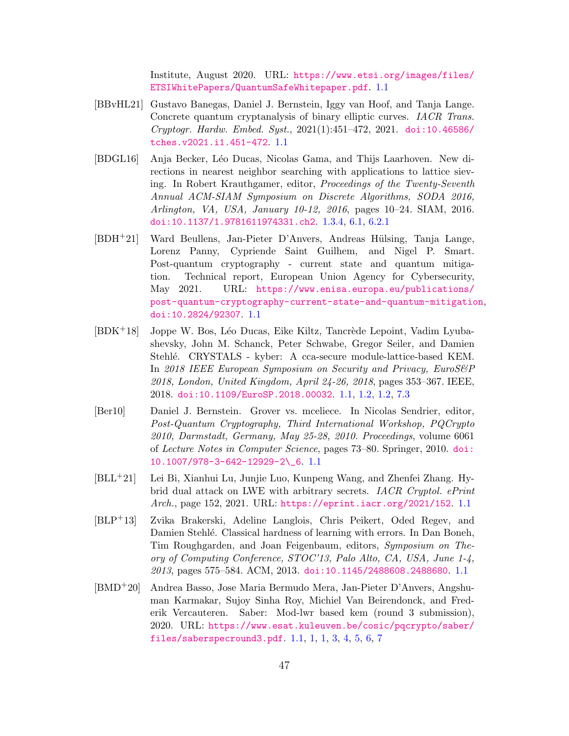Institute, August 2020. URL: [https://www.etsi.org/images/files/](https://www.etsi.org/images/files/ETSIWhitePapers/QuantumSafeWhitepaper.pdf) [ETSIWhitePapers/QuantumSafeWhitepaper.pdf](https://www.etsi.org/images/files/ETSIWhitePapers/QuantumSafeWhitepaper.pdf). [1.1](#page-1-0)

- <span id="page-46-0"></span>[BBvHL21] Gustavo Banegas, Daniel J. Bernstein, Iggy van Hoof, and Tanja Lange. Concrete quantum cryptanalysis of binary elliptic curves. IACR Trans. Cryptogr. Hardw. Embed. Syst., 2021(1):451–472, 2021. [doi:10.46586/](https://doi.org/10.46586/tches.v2021.i1.451-472) [tches.v2021.i1.451-472](https://doi.org/10.46586/tches.v2021.i1.451-472). [1.1](#page-1-0)
- <span id="page-46-7"></span>[BDGL16] Anja Becker, L´eo Ducas, Nicolas Gama, and Thijs Laarhoven. New directions in nearest neighbor searching with applications to lattice sieving. In Robert Krauthgamer, editor, Proceedings of the Twenty-Seventh Annual ACM-SIAM Symposium on Discrete Algorithms, SODA 2016, Arlington, VA, USA, January 10-12, 2016, pages 10–24. SIAM, 2016. [doi:10.1137/1.9781611974331.ch2](https://doi.org/10.1137/1.9781611974331.ch2). [1.3.4,](#page-5-1) [6.1,](#page-32-3) [6.2.1](#page-33-0)
- <span id="page-46-2"></span>[BDH<sup>+</sup>21] Ward Beullens, Jan-Pieter D'Anvers, Andreas Hülsing, Tanja Lange, Lorenz Panny, Cypriende Saint Guilhem, and Nigel P. Smart. Post-quantum cryptography - current state and quantum mitigation. Technical report, European Union Agency for Cybersecurity, May 2021. URL: [https://www.enisa.europa.eu/publications/](https://www.enisa.europa.eu/publications/post-quantum-cryptography-current-state-and-quantum-mitigation) [post-quantum-cryptography-current-state-and-quantum-mitigation](https://www.enisa.europa.eu/publications/post-quantum-cryptography-current-state-and-quantum-mitigation), [doi:10.2824/92307](https://doi.org/10.2824/92307). [1.1](#page-1-0)
- <span id="page-46-4"></span> $[BDK^+18]$  Joppe W. Bos, Léo Ducas, Eike Kiltz, Tancrède Lepoint, Vadim Lyubashevsky, John M. Schanck, Peter Schwabe, Gregor Seiler, and Damien Stehlé. CRYSTALS - kyber: A cca-secure module-lattice-based KEM. In 2018 IEEE European Symposium on Security and Privacy, EuroS&P 2018, London, United Kingdom, April 24-26, 2018, pages 353–367. IEEE, 2018. [doi:10.1109/EuroSP.2018.00032](https://doi.org/10.1109/EuroSP.2018.00032). [1.1,](#page-1-0) [1.2,](#page-1-1) [1.2,](#page-2-2) [7.3](#page-38-0)
- <span id="page-46-1"></span>[Ber10] Daniel J. Bernstein. Grover vs. mceliece. In Nicolas Sendrier, editor, Post-Quantum Cryptography, Third International Workshop, PQCrypto 2010, Darmstadt, Germany, May 25-28, 2010. Proceedings, volume 6061 of Lecture Notes in Computer Science, pages 73–80. Springer, 2010. [doi:](https://doi.org/10.1007/978-3-642-12929-2_6) [10.1007/978-3-642-12929-2\\\_6](https://doi.org/10.1007/978-3-642-12929-2_6). [1.1](#page-1-0)
- <span id="page-46-6"></span>[BLL+21] Lei Bi, Xianhui Lu, Junjie Luo, Kunpeng Wang, and Zhenfei Zhang. Hybrid dual attack on LWE with arbitrary secrets. IACR Cryptol. ePrint Arch., page 152, 2021. URL: <https://eprint.iacr.org/2021/152>. [1.1](#page-1-0)
- <span id="page-46-3"></span>[BLP+13] Zvika Brakerski, Adeline Langlois, Chris Peikert, Oded Regev, and Damien Stehlé. Classical hardness of learning with errors. In Dan Boneh, Tim Roughgarden, and Joan Feigenbaum, editors, Symposium on Theory of Computing Conference, STOC'13, Palo Alto, CA, USA, June 1-4, 2013, pages 575–584. ACM, 2013. [doi:10.1145/2488608.2488680](https://doi.org/10.1145/2488608.2488680). [1.1](#page-1-0)
- <span id="page-46-5"></span>[BMD+20] Andrea Basso, Jose Maria Bermudo Mera, Jan-Pieter D'Anvers, Angshuman Karmakar, Sujoy Sinha Roy, Michiel Van Beirendonck, and Frederik Vercauteren. Saber: Mod-lwr based kem (round 3 submission), 2020. URL: [https://www.esat.kuleuven.be/cosic/pqcrypto/saber/](https://www.esat.kuleuven.be/cosic/pqcrypto/saber/files/saberspecround3.pdf) [files/saberspecround3.pdf](https://www.esat.kuleuven.be/cosic/pqcrypto/saber/files/saberspecround3.pdf). [1.1,](#page-1-0) [1,](#page-2-0) [1,](#page-3-0) [3,](#page-39-0) [4,](#page-39-1) [5,](#page-40-1) [6,](#page-40-0) [7](#page-41-1)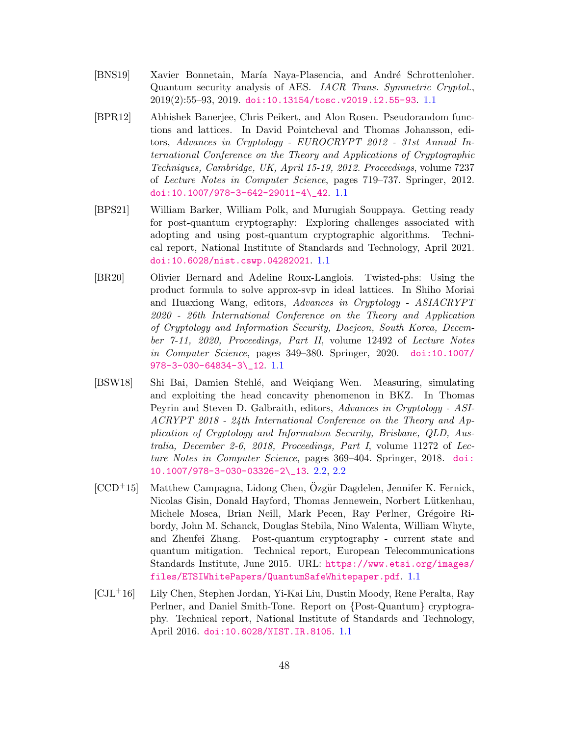- <span id="page-47-0"></span>[BNS19] Xavier Bonnetain, María Naya-Plasencia, and André Schrottenloher. Quantum security analysis of AES. IACR Trans. Symmetric Cryptol., 2019(2):55–93, 2019. [doi:10.13154/tosc.v2019.i2.55-93](https://doi.org/10.13154/tosc.v2019.i2.55-93). [1.1](#page-1-0)
- <span id="page-47-4"></span>[BPR12] Abhishek Banerjee, Chris Peikert, and Alon Rosen. Pseudorandom functions and lattices. In David Pointcheval and Thomas Johansson, editors, Advances in Cryptology - EUROCRYPT 2012 - 31st Annual International Conference on the Theory and Applications of Cryptographic Techniques, Cambridge, UK, April 15-19, 2012. Proceedings, volume 7237 of Lecture Notes in Computer Science, pages 719–737. Springer, 2012. [doi:10.1007/978-3-642-29011-4\\\_42](https://doi.org/10.1007/978-3-642-29011-4_42). [1.1](#page-1-0)
- <span id="page-47-1"></span>[BPS21] William Barker, William Polk, and Murugiah Souppaya. Getting ready for post-quantum cryptography: Exploring challenges associated with adopting and using post-quantum cryptographic algorithms. Technical report, National Institute of Standards and Technology, April 2021. [doi:10.6028/nist.cswp.04282021](https://doi.org/10.6028/nist.cswp.04282021). [1.1](#page-1-0)
- <span id="page-47-5"></span>[BR20] Olivier Bernard and Adeline Roux-Langlois. Twisted-phs: Using the product formula to solve approx-svp in ideal lattices. In Shiho Moriai and Huaxiong Wang, editors, Advances in Cryptology - ASIACRYPT 2020 - 26th International Conference on the Theory and Application of Cryptology and Information Security, Daejeon, South Korea, December 7-11, 2020, Proceedings, Part II, volume 12492 of Lecture Notes in Computer Science, pages 349–380. Springer, 2020. [doi:10.1007/](https://doi.org/10.1007/978-3-030-64834-3_12) [978-3-030-64834-3\\\_12](https://doi.org/10.1007/978-3-030-64834-3_12). [1.1](#page-1-0)
- <span id="page-47-6"></span>[BSW18] Shi Bai, Damien Stehl´e, and Weiqiang Wen. Measuring, simulating and exploiting the head concavity phenomenon in BKZ. In Thomas Peyrin and Steven D. Galbraith, editors, Advances in Cryptology - ASI-ACRYPT 2018 - 24th International Conference on the Theory and Application of Cryptology and Information Security, Brisbane, QLD, Australia, December 2-6, 2018, Proceedings, Part I, volume 11272 of Lecture Notes in Computer Science, pages 369–404. Springer, 2018. [doi:](https://doi.org/10.1007/978-3-030-03326-2_13) [10.1007/978-3-030-03326-2\\\_13](https://doi.org/10.1007/978-3-030-03326-2_13). [2.2,](#page-7-3) [2.2](#page-7-1)
- <span id="page-47-2"></span> $[CCD+15]$  Matthew Campagna, Lidong Chen, Özgür Dagdelen, Jennifer K. Fernick, Nicolas Gisin, Donald Hayford, Thomas Jennewein, Norbert Lütkenhau, Michele Mosca, Brian Neill, Mark Pecen, Ray Perlner, Grégoire Ribordy, John M. Schanck, Douglas Stebila, Nino Walenta, William Whyte, and Zhenfei Zhang. Post-quantum cryptography - current state and quantum mitigation. Technical report, European Telecommunications Standards Institute, June 2015. URL: [https://www.etsi.org/images/](https://www.etsi.org/images/files/ETSIWhitePapers/QuantumSafeWhitepaper.pdf) [files/ETSIWhitePapers/QuantumSafeWhitepaper.pdf](https://www.etsi.org/images/files/ETSIWhitePapers/QuantumSafeWhitepaper.pdf). [1.1](#page-1-0)
- <span id="page-47-3"></span>[CJL+16] Lily Chen, Stephen Jordan, Yi-Kai Liu, Dustin Moody, Rene Peralta, Ray Perlner, and Daniel Smith-Tone. Report on {Post-Quantum} cryptography. Technical report, National Institute of Standards and Technology, April 2016. [doi:10.6028/NIST.IR.8105](https://doi.org/10.6028/NIST.IR.8105). [1.1](#page-1-0)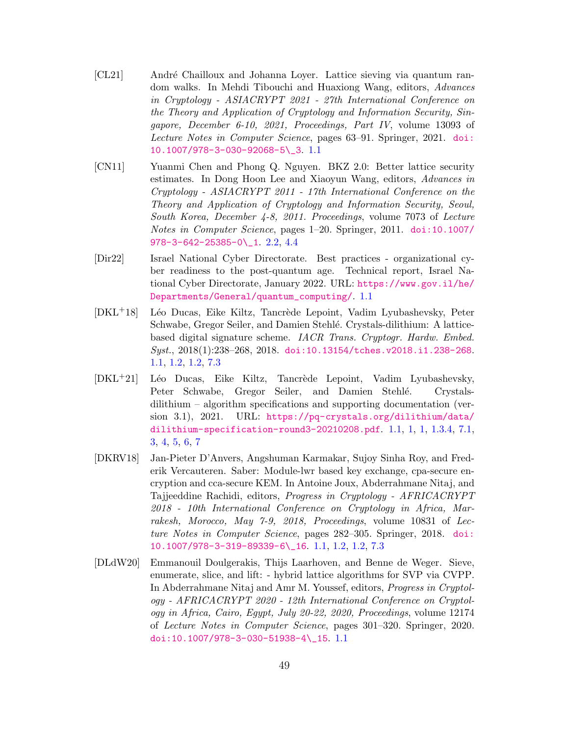- <span id="page-48-5"></span>[CL21] André Chailloux and Johanna Loyer. Lattice sieving via quantum random walks. In Mehdi Tibouchi and Huaxiong Wang, editors, Advances in Cryptology - ASIACRYPT 2021 - 27th International Conference on the Theory and Application of Cryptology and Information Security, Singapore, December 6-10, 2021, Proceedings, Part IV, volume 13093 of Lecture Notes in Computer Science, pages 63–91. Springer, 2021. [doi:](https://doi.org/10.1007/978-3-030-92068-5_3) [10.1007/978-3-030-92068-5\\\_3](https://doi.org/10.1007/978-3-030-92068-5_3). [1.1](#page-1-0)
- <span id="page-48-6"></span>[CN11] Yuanmi Chen and Phong Q. Nguyen. BKZ 2.0: Better lattice security estimates. In Dong Hoon Lee and Xiaoyun Wang, editors, Advances in Cryptology - ASIACRYPT 2011 - 17th International Conference on the Theory and Application of Cryptology and Information Security, Seoul, South Korea, December 4-8, 2011. Proceedings, volume 7073 of Lecture Notes in Computer Science, pages 1–20. Springer, 2011. [doi:10.1007/](https://doi.org/10.1007/978-3-642-25385-0_1) [978-3-642-25385-0\\\_1](https://doi.org/10.1007/978-3-642-25385-0_1). [2.2,](#page-7-1) [4.4](#page-17-2)
- <span id="page-48-0"></span>[Dir22] Israel National Cyber Directorate. Best practices - organizational cyber readiness to the post-quantum age. Technical report, Israel National Cyber Directorate, January 2022. URL: [https://www.gov.il/he/](https://www.gov.il/he/Departments/General/quantum_computing/) [Departments/General/quantum\\_computing/](https://www.gov.il/he/Departments/General/quantum_computing/). [1.1](#page-1-0)
- <span id="page-48-1"></span>[DKL<sup>+</sup>18] Léo Ducas, Eike Kiltz, Tancrède Lepoint, Vadim Lyubashevsky, Peter Schwabe, Gregor Seiler, and Damien Stehlé. Crystals-dilithium: A latticebased digital signature scheme. IACR Trans. Cryptogr. Hardw. Embed. Syst., 2018(1):238–268, 2018. [doi:10.13154/tches.v2018.i1.238-268](https://doi.org/10.13154/tches.v2018.i1.238-268). [1.1,](#page-1-0) [1.2,](#page-1-1) [1.2,](#page-2-2) [7.3](#page-38-0)
- <span id="page-48-2"></span>[DKL<sup>+</sup>21] Léo Ducas, Eike Kiltz, Tancrède Lepoint, Vadim Lyubashevsky, Peter Schwabe, Gregor Seiler, and Damien Stehlé. Crystalsdilithium – algorithm specifications and supporting documentation (version 3.1), 2021. URL: [https://pq-crystals.org/dilithium/data/](https://pq-crystals.org/dilithium/data/dilithium-specification-round3-20210208.pdf) [dilithium-specification-round3-20210208.pdf](https://pq-crystals.org/dilithium/data/dilithium-specification-round3-20210208.pdf). [1.1,](#page-1-0) [1,](#page-2-0) [1,](#page-3-0) [1.3.4,](#page-5-1) [7.1,](#page-35-0) [3,](#page-39-0) [4,](#page-39-1) [5,](#page-40-1) [6,](#page-40-0) [7](#page-41-1)
- <span id="page-48-3"></span>[DKRV18] Jan-Pieter D'Anvers, Angshuman Karmakar, Sujoy Sinha Roy, and Frederik Vercauteren. Saber: Module-lwr based key exchange, cpa-secure encryption and cca-secure KEM. In Antoine Joux, Abderrahmane Nitaj, and Tajjeeddine Rachidi, editors, Progress in Cryptology - AFRICACRYPT 2018 - 10th International Conference on Cryptology in Africa, Marrakesh, Morocco, May 7-9, 2018, Proceedings, volume 10831 of Lecture Notes in Computer Science, pages 282–305. Springer, 2018. [doi:](https://doi.org/10.1007/978-3-319-89339-6_16) [10.1007/978-3-319-89339-6\\\_16](https://doi.org/10.1007/978-3-319-89339-6_16). [1.1,](#page-1-0) [1.2,](#page-1-1) [1.2,](#page-2-2) [7.3](#page-38-0)
- <span id="page-48-4"></span>[DLdW20] Emmanouil Doulgerakis, Thijs Laarhoven, and Benne de Weger. Sieve, enumerate, slice, and lift: - hybrid lattice algorithms for SVP via CVPP. In Abderrahmane Nitaj and Amr M. Youssef, editors, Progress in Cryptology - AFRICACRYPT 2020 - 12th International Conference on Cryptology in Africa, Cairo, Egypt, July 20-22, 2020, Proceedings, volume 12174 of Lecture Notes in Computer Science, pages 301–320. Springer, 2020. [doi:10.1007/978-3-030-51938-4\\\_15](https://doi.org/10.1007/978-3-030-51938-4_15). [1.1](#page-1-0)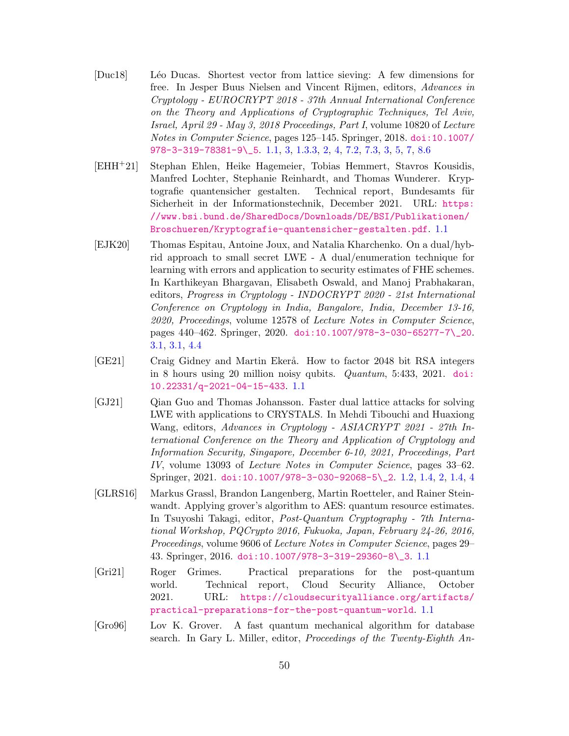- <span id="page-49-5"></span>[Duc18] L´eo Ducas. Shortest vector from lattice sieving: A few dimensions for free. In Jesper Buus Nielsen and Vincent Rijmen, editors, Advances in Cryptology - EUROCRYPT 2018 - 37th Annual International Conference on the Theory and Applications of Cryptographic Techniques, Tel Aviv, Israel, April 29 - May 3, 2018 Proceedings, Part I, volume 10820 of Lecture Notes in Computer Science, pages 125–145. Springer, 2018. [doi:10.1007/](https://doi.org/10.1007/978-3-319-78381-9_5) [978-3-319-78381-9\\\_5](https://doi.org/10.1007/978-3-319-78381-9_5). [1.1,](#page-1-0) [3,](#page-2-2) [1.3.3,](#page-5-2) [2,](#page-6-0) [4,](#page-16-0) [7.2,](#page-36-0) [7.3,](#page-38-0) [3,](#page-39-0) [5,](#page-40-1) [7,](#page-41-1) [8.6](#page-43-0)
- <span id="page-49-3"></span>[EHH+21] Stephan Ehlen, Heike Hagemeier, Tobias Hemmert, Stavros Kousidis, Manfred Lochter, Stephanie Reinhardt, and Thomas Wunderer. Kryptografie quantensicher gestalten. Technical report, Bundesamts für Sicherheit in der Informationstechnik, December 2021. URL: [https:](https://www.bsi.bund.de/SharedDocs/Downloads/DE/BSI/Publikationen/Broschueren/Kryptografie-quantensicher-gestalten.pdf) [//www.bsi.bund.de/SharedDocs/Downloads/DE/BSI/Publikationen/](https://www.bsi.bund.de/SharedDocs/Downloads/DE/BSI/Publikationen/Broschueren/Kryptografie-quantensicher-gestalten.pdf) [Broschueren/Kryptografie-quantensicher-gestalten.pdf](https://www.bsi.bund.de/SharedDocs/Downloads/DE/BSI/Publikationen/Broschueren/Kryptografie-quantensicher-gestalten.pdf). [1.1](#page-1-0)
- <span id="page-49-7"></span>[EJK20] Thomas Espitau, Antoine Joux, and Natalia Kharchenko. On a dual/hybrid approach to small secret LWE - A dual/enumeration technique for learning with errors and application to security estimates of FHE schemes. In Karthikeyan Bhargavan, Elisabeth Oswald, and Manoj Prabhakaran, editors, Progress in Cryptology - INDOCRYPT 2020 - 21st International Conference on Cryptology in India, Bangalore, India, December 13-16, 2020, Proceedings, volume 12578 of Lecture Notes in Computer Science, pages 440–462. Springer, 2020. [doi:10.1007/978-3-030-65277-7\\\_20](https://doi.org/10.1007/978-3-030-65277-7_20). [3.1,](#page-11-0) [3.1,](#page-11-2) [4.4](#page-17-2)
- <span id="page-49-0"></span>[GE21] Craig Gidney and Martin Ekerå. How to factor 2048 bit RSA integers in 8 hours using 20 million noisy qubits. Quantum, 5:433, 2021. [doi:](https://doi.org/10.22331/q-2021-04-15-433) [10.22331/q-2021-04-15-433](https://doi.org/10.22331/q-2021-04-15-433). [1.1](#page-1-0)
- <span id="page-49-6"></span>[GJ21] Qian Guo and Thomas Johansson. Faster dual lattice attacks for solving LWE with applications to CRYSTALS. In Mehdi Tibouchi and Huaxiong Wang, editors, Advances in Cryptology - ASIACRYPT 2021 - 27th International Conference on the Theory and Application of Cryptology and Information Security, Singapore, December 6-10, 2021, Proceedings, Part IV, volume 13093 of Lecture Notes in Computer Science, pages 33–62. Springer, 2021. [doi:10.1007/978-3-030-92068-5\\\_2](https://doi.org/10.1007/978-3-030-92068-5_2). [1.2,](#page-3-0) [1.4,](#page-5-0) [2,](#page-6-0) [1.4,](#page-6-0) [4](#page-16-0)
- <span id="page-49-2"></span>[GLRS16] Markus Grassl, Brandon Langenberg, Martin Roetteler, and Rainer Steinwandt. Applying grover's algorithm to AES: quantum resource estimates. In Tsuyoshi Takagi, editor, Post-Quantum Cryptography - 7th International Workshop, PQCrypto 2016, Fukuoka, Japan, February 24-26, 2016, Proceedings, volume 9606 of Lecture Notes in Computer Science, pages 29– 43. Springer, 2016. [doi:10.1007/978-3-319-29360-8\\\_3](https://doi.org/10.1007/978-3-319-29360-8_3). [1.1](#page-1-0)
- <span id="page-49-4"></span>[Gri21] Roger Grimes. Practical preparations for the post-quantum world. Technical report, Cloud Security Alliance, October 2021. URL: [https://cloudsecurityalliance.org/artifacts/](https://cloudsecurityalliance.org/artifacts/practical-preparations-for-the-post-quantum-world) [practical-preparations-for-the-post-quantum-world](https://cloudsecurityalliance.org/artifacts/practical-preparations-for-the-post-quantum-world). [1.1](#page-1-0)
- <span id="page-49-1"></span>[Gro96] Lov K. Grover. A fast quantum mechanical algorithm for database search. In Gary L. Miller, editor, Proceedings of the Twenty-Eighth An-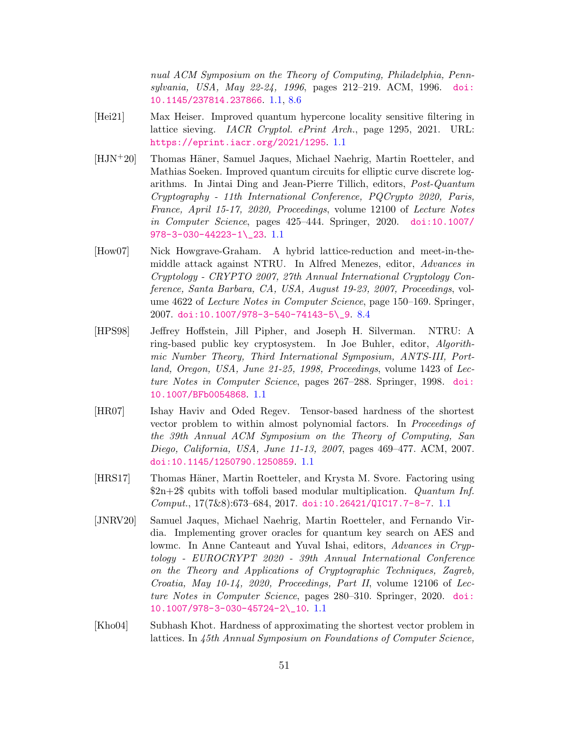nual ACM Symposium on the Theory of Computing, Philadelphia, Pennsylvania, USA, May 22-24, 1996, pages 212–219. ACM, 1996. [doi:](https://doi.org/10.1145/237814.237866) [10.1145/237814.237866](https://doi.org/10.1145/237814.237866). [1.1,](#page-1-0) [8.6](#page-43-0)

- <span id="page-50-6"></span>[Hei21] Max Heiser. Improved quantum hypercone locality sensitive filtering in lattice sieving. IACR Cryptol. ePrint Arch., page 1295, 2021. URL: <https://eprint.iacr.org/2021/1295>. [1.1](#page-1-0)
- <span id="page-50-1"></span>[HJN<sup>+</sup>20] Thomas Häner, Samuel Jaques, Michael Naehrig, Martin Roetteler, and Mathias Soeken. Improved quantum circuits for elliptic curve discrete logarithms. In Jintai Ding and Jean-Pierre Tillich, editors, Post-Quantum Cryptography - 11th International Conference, PQCrypto 2020, Paris, France, April 15-17, 2020, Proceedings, volume 12100 of Lecture Notes in Computer Science, pages 425–444. Springer, 2020. [doi:10.1007/](https://doi.org/10.1007/978-3-030-44223-1_23) [978-3-030-44223-1\\\_23](https://doi.org/10.1007/978-3-030-44223-1_23). [1.1](#page-1-0)
- <span id="page-50-7"></span>[How07] Nick Howgrave-Graham. A hybrid lattice-reduction and meet-in-themiddle attack against NTRU. In Alfred Menezes, editor, Advances in Cryptology - CRYPTO 2007, 27th Annual International Cryptology Conference, Santa Barbara, CA, USA, August 19-23, 2007, Proceedings, volume 4622 of Lecture Notes in Computer Science, page 150–169. Springer, 2007. [doi:10.1007/978-3-540-74143-5\\\_9](https://doi.org/10.1007/978-3-540-74143-5_9). [8.4](#page-42-1)
- <span id="page-50-5"></span>[HPS98] Jeffrey Hoffstein, Jill Pipher, and Joseph H. Silverman. NTRU: A ring-based public key cryptosystem. In Joe Buhler, editor, Algorithmic Number Theory, Third International Symposium, ANTS-III, Portland, Oregon, USA, June 21-25, 1998, Proceedings, volume 1423 of Lecture Notes in Computer Science, pages 267–288. Springer, 1998. [doi:](https://doi.org/10.1007/BFb0054868) [10.1007/BFb0054868](https://doi.org/10.1007/BFb0054868). [1.1](#page-1-0)
- <span id="page-50-4"></span>[HR07] Ishay Haviv and Oded Regev. Tensor-based hardness of the shortest vector problem to within almost polynomial factors. In Proceedings of the 39th Annual ACM Symposium on the Theory of Computing, San Diego, California, USA, June 11-13, 2007, pages 469–477. ACM, 2007. [doi:10.1145/1250790.1250859](https://doi.org/10.1145/1250790.1250859). [1.1](#page-1-0)
- <span id="page-50-0"></span>[HRS17] Thomas H¨aner, Martin Roetteler, and Krysta M. Svore. Factoring using  $2n+2\$  qubits with toffoli based modular multiplication. Quantum Inf. Comput., 17(7&8):673–684, 2017. [doi:10.26421/QIC17.7-8-7](https://doi.org/10.26421/QIC17.7-8-7). [1.1](#page-1-0)
- <span id="page-50-2"></span>[JNRV20] Samuel Jaques, Michael Naehrig, Martin Roetteler, and Fernando Virdia. Implementing grover oracles for quantum key search on AES and lowmc. In Anne Canteaut and Yuval Ishai, editors, Advances in Cryptology - EUROCRYPT 2020 - 39th Annual International Conference on the Theory and Applications of Cryptographic Techniques, Zagreb, Croatia, May 10-14, 2020, Proceedings, Part II, volume 12106 of Lecture Notes in Computer Science, pages 280–310. Springer, 2020. [doi:](https://doi.org/10.1007/978-3-030-45724-2_10) [10.1007/978-3-030-45724-2\\\_10](https://doi.org/10.1007/978-3-030-45724-2_10). [1.1](#page-1-0)
- <span id="page-50-3"></span>[Kho04] Subhash Khot. Hardness of approximating the shortest vector problem in lattices. In 45th Annual Symposium on Foundations of Computer Science,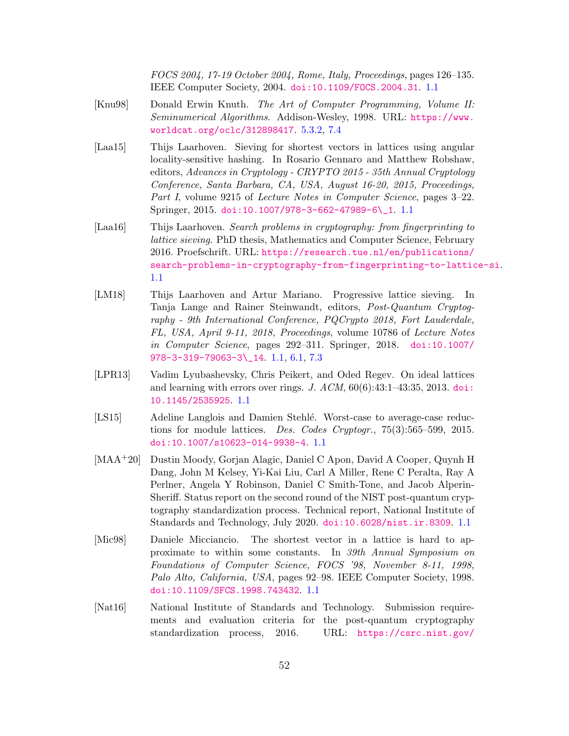FOCS 2004, 17-19 October 2004, Rome, Italy, Proceedings, pages 126–135. IEEE Computer Society, 2004. [doi:10.1109/FOCS.2004.31](https://doi.org/10.1109/FOCS.2004.31). [1.1](#page-1-0)

- <span id="page-51-8"></span>[Knu98] Donald Erwin Knuth. The Art of Computer Programming, Volume II: Seminumerical Algorithms. Addison-Wesley, 1998. URL: [https://www.](https://www.worldcat.org/oclc/312898417) [worldcat.org/oclc/312898417](https://www.worldcat.org/oclc/312898417). [5.3.2,](#page-29-0) [7.4](#page-36-2)
- <span id="page-51-5"></span>[Laa15] Thijs Laarhoven. Sieving for shortest vectors in lattices using angular locality-sensitive hashing. In Rosario Gennaro and Matthew Robshaw, editors, Advances in Cryptology - CRYPTO 2015 - 35th Annual Cryptology Conference, Santa Barbara, CA, USA, August 16-20, 2015, Proceedings, Part I, volume 9215 of *Lecture Notes in Computer Science*, pages 3–22. Springer, 2015. [doi:10.1007/978-3-662-47989-6\\\_1](https://doi.org/10.1007/978-3-662-47989-6_1). [1.1](#page-1-0)
- <span id="page-51-6"></span>[Laa16] Thijs Laarhoven. Search problems in cryptography: from fingerprinting to lattice sieving. PhD thesis, Mathematics and Computer Science, February 2016. Proefschrift. URL: [https://research.tue.nl/en/publications/](https://research.tue.nl/en/publications/search-problems-in-cryptography-from-fingerprinting-to-lattice-si) [search-problems-in-cryptography-from-fingerprinting-to-lattice-si](https://research.tue.nl/en/publications/search-problems-in-cryptography-from-fingerprinting-to-lattice-si). [1.1](#page-1-0)
- <span id="page-51-7"></span>[LM18] Thijs Laarhoven and Artur Mariano. Progressive lattice sieving. In Tanja Lange and Rainer Steinwandt, editors, Post-Quantum Cryptography - 9th International Conference, PQCrypto 2018, Fort Lauderdale, FL, USA, April 9-11, 2018, Proceedings, volume 10786 of Lecture Notes in Computer Science, pages 292–311. Springer, 2018. [doi:10.1007/](https://doi.org/10.1007/978-3-319-79063-3_14) [978-3-319-79063-3\\\_14](https://doi.org/10.1007/978-3-319-79063-3_14). [1.1,](#page-1-0) [6.1,](#page-32-0) [7.3](#page-36-1)
- <span id="page-51-3"></span>[LPR13] Vadim Lyubashevsky, Chris Peikert, and Oded Regev. On ideal lattices and learning with errors over rings. J.  $ACM$ ,  $60(6):43:1-43:35$ ,  $2013$ . [doi:](https://doi.org/10.1145/2535925) [10.1145/2535925](https://doi.org/10.1145/2535925). [1.1](#page-1-0)
- <span id="page-51-4"></span>[LS15] Adeline Langlois and Damien Stehlé. Worst-case to average-case reductions for module lattices. Des. Codes Cryptogr., 75(3):565–599, 2015. [doi:10.1007/s10623-014-9938-4](https://doi.org/10.1007/s10623-014-9938-4). [1.1](#page-1-0)
- <span id="page-51-1"></span>[MAA+20] Dustin Moody, Gorjan Alagic, Daniel C Apon, David A Cooper, Quynh H Dang, John M Kelsey, Yi-Kai Liu, Carl A Miller, Rene C Peralta, Ray A Perlner, Angela Y Robinson, Daniel C Smith-Tone, and Jacob Alperin-Sheriff. Status report on the second round of the NIST post-quantum cryptography standardization process. Technical report, National Institute of Standards and Technology, July 2020. [doi:10.6028/nist.ir.8309](https://doi.org/10.6028/nist.ir.8309). [1.1](#page-1-0)
- <span id="page-51-2"></span>[Mic98] Daniele Micciancio. The shortest vector in a lattice is hard to approximate to within some constants. In 39th Annual Symposium on Foundations of Computer Science, FOCS '98, November 8-11, 1998, Palo Alto, California, USA, pages 92–98. IEEE Computer Society, 1998. [doi:10.1109/SFCS.1998.743432](https://doi.org/10.1109/SFCS.1998.743432). [1.1](#page-1-0)
- <span id="page-51-0"></span>[Nat16] National Institute of Standards and Technology. Submission requirements and evaluation criteria for the post-quantum cryptography standardization process, 2016. URL: [https://csrc.nist.gov/](https://csrc.nist.gov/CSRC/media/Projects/Post-Quantum-Cryptography/documents/call-for-proposals-final-dec-2016.pdf)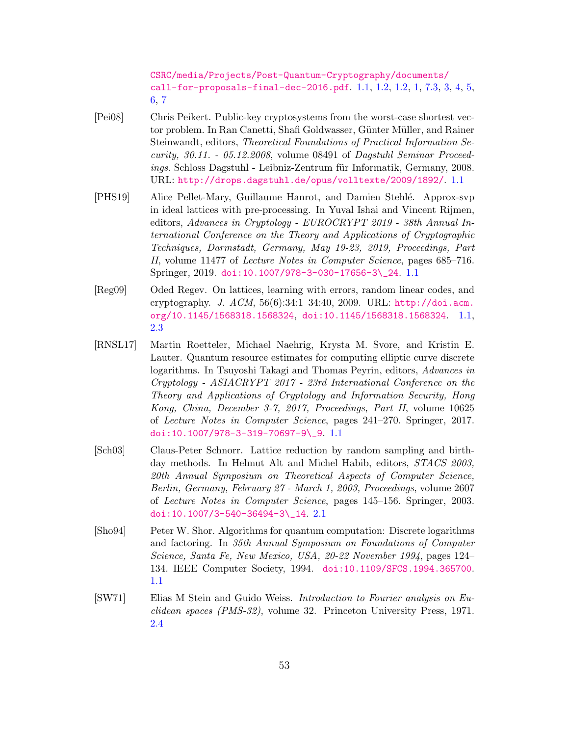[CSRC/media/Projects/Post-Quantum-Cryptography/documents/](https://csrc.nist.gov/CSRC/media/Projects/Post-Quantum-Cryptography/documents/call-for-proposals-final-dec-2016.pdf) [call-for-proposals-final-dec-2016.pdf](https://csrc.nist.gov/CSRC/media/Projects/Post-Quantum-Cryptography/documents/call-for-proposals-final-dec-2016.pdf). [1.1,](#page-1-0) [1.2,](#page-1-1) [1.2,](#page-2-2) [1,](#page-3-0) [7.3,](#page-38-0) [3,](#page-39-0) [4,](#page-39-1) [5,](#page-40-1) [6,](#page-40-0) [7](#page-41-1)

- <span id="page-52-3"></span>[Pei08] Chris Peikert. Public-key cryptosystems from the worst-case shortest vector problem. In Ran Canetti, Shafi Goldwasser, Günter Müller, and Rainer Steinwandt, editors, Theoretical Foundations of Practical Information Security, 30.11. - 05.12.2008, volume 08491 of Dagstuhl Seminar Proceedings. Schloss Dagstuhl - Leibniz-Zentrum für Informatik, Germany, 2008. URL: <http://drops.dagstuhl.de/opus/volltexte/2009/1892/>. [1.1](#page-1-0)
- <span id="page-52-4"></span>[PHS19] Alice Pellet-Mary, Guillaume Hanrot, and Damien Stehl´e. Approx-svp in ideal lattices with pre-processing. In Yuval Ishai and Vincent Rijmen, editors, Advances in Cryptology - EUROCRYPT 2019 - 38th Annual International Conference on the Theory and Applications of Cryptographic Techniques, Darmstadt, Germany, May 19-23, 2019, Proceedings, Part II, volume 11477 of Lecture Notes in Computer Science, pages 685–716. Springer, 2019. [doi:10.1007/978-3-030-17656-3\\\_24](https://doi.org/10.1007/978-3-030-17656-3_24). [1.1](#page-1-0)
- <span id="page-52-2"></span>[Reg09] Oded Regev. On lattices, learning with errors, random linear codes, and cryptography. J. ACM, 56(6):34:1–34:40, 2009. URL: [http://doi.acm.](http://doi.acm.org/10.1145/1568318.1568324) [org/10.1145/1568318.1568324](http://doi.acm.org/10.1145/1568318.1568324), [doi:10.1145/1568318.1568324](https://doi.org/10.1145/1568318.1568324). [1.1,](#page-1-0) [2.3](#page-8-1)
- <span id="page-52-1"></span>[RNSL17] Martin Roetteler, Michael Naehrig, Krysta M. Svore, and Kristin E. Lauter. Quantum resource estimates for computing elliptic curve discrete logarithms. In Tsuyoshi Takagi and Thomas Peyrin, editors, Advances in Cryptology - ASIACRYPT 2017 - 23rd International Conference on the Theory and Applications of Cryptology and Information Security, Hong Kong, China, December 3-7, 2017, Proceedings, Part II, volume 10625 of Lecture Notes in Computer Science, pages 241–270. Springer, 2017. [doi:10.1007/978-3-319-70697-9\\\_9](https://doi.org/10.1007/978-3-319-70697-9_9). [1.1](#page-1-0)
- <span id="page-52-5"></span>[Sch03] Claus-Peter Schnorr. Lattice reduction by random sampling and birthday methods. In Helmut Alt and Michel Habib, editors, STACS 2003, 20th Annual Symposium on Theoretical Aspects of Computer Science, Berlin, Germany, February 27 - March 1, 2003, Proceedings, volume 2607 of Lecture Notes in Computer Science, pages 145–156. Springer, 2003. [doi:10.1007/3-540-36494-3\\\_14](https://doi.org/10.1007/3-540-36494-3_14). [2.1](#page-7-1)
- <span id="page-52-0"></span>[Sho94] Peter W. Shor. Algorithms for quantum computation: Discrete logarithms and factoring. In 35th Annual Symposium on Foundations of Computer Science, Santa Fe, New Mexico, USA, 20-22 November 1994, pages 124– 134. IEEE Computer Society, 1994. [doi:10.1109/SFCS.1994.365700](https://doi.org/10.1109/SFCS.1994.365700). [1.1](#page-1-0)
- <span id="page-52-6"></span>[SW71] Elias M Stein and Guido Weiss. Introduction to Fourier analysis on Euclidean spaces (PMS-32), volume 32. Princeton University Press, 1971. [2.4](#page-9-0)